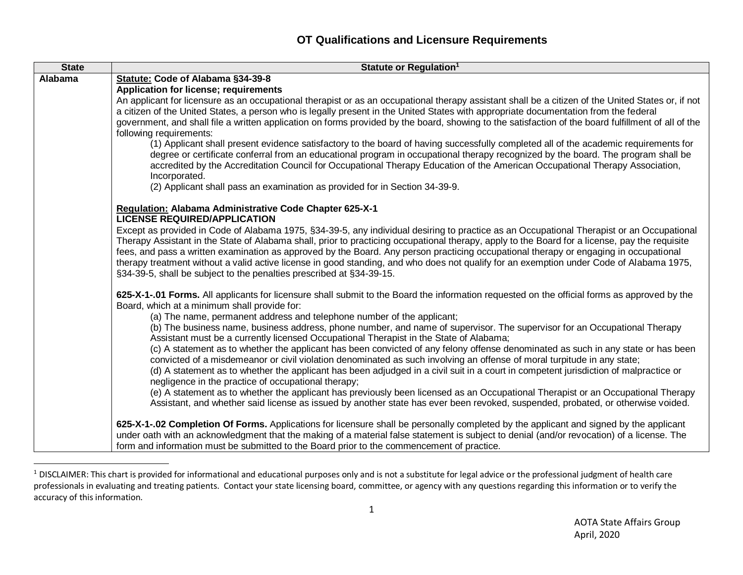## **OT Qualifications and Licensure Requirements**

| <b>State</b> | Statute or Regulation <sup>1</sup>                                                                                                                                                                                                                                                                                                                                                                                                                                           |
|--------------|------------------------------------------------------------------------------------------------------------------------------------------------------------------------------------------------------------------------------------------------------------------------------------------------------------------------------------------------------------------------------------------------------------------------------------------------------------------------------|
| Alabama      | Statute: Code of Alabama §34-39-8                                                                                                                                                                                                                                                                                                                                                                                                                                            |
|              | Application for license; requirements                                                                                                                                                                                                                                                                                                                                                                                                                                        |
|              | An applicant for licensure as an occupational therapist or as an occupational therapy assistant shall be a citizen of the United States or, if not<br>a citizen of the United States, a person who is legally present in the United States with appropriate documentation from the federal<br>government, and shall file a written application on forms provided by the board, showing to the satisfaction of the board fulfillment of all of the<br>following requirements: |
|              | (1) Applicant shall present evidence satisfactory to the board of having successfully completed all of the academic requirements for<br>degree or certificate conferral from an educational program in occupational therapy recognized by the board. The program shall be<br>accredited by the Accreditation Council for Occupational Therapy Education of the American Occupational Therapy Association,<br>Incorporated.                                                   |
|              | (2) Applicant shall pass an examination as provided for in Section 34-39-9.                                                                                                                                                                                                                                                                                                                                                                                                  |
|              | Regulation: Alabama Administrative Code Chapter 625-X-1<br><b>LICENSE REQUIRED/APPLICATION</b>                                                                                                                                                                                                                                                                                                                                                                               |
|              | Except as provided in Code of Alabama 1975, §34-39-5, any individual desiring to practice as an Occupational Therapist or an Occupational                                                                                                                                                                                                                                                                                                                                    |
|              | Therapy Assistant in the State of Alabama shall, prior to practicing occupational therapy, apply to the Board for a license, pay the requisite                                                                                                                                                                                                                                                                                                                               |
|              | fees, and pass a written examination as approved by the Board. Any person practicing occupational therapy or engaging in occupational                                                                                                                                                                                                                                                                                                                                        |
|              | therapy treatment without a valid active license in good standing, and who does not qualify for an exemption under Code of Alabama 1975,<br>§34-39-5, shall be subject to the penalties prescribed at §34-39-15.                                                                                                                                                                                                                                                             |
|              | 625-X-1-.01 Forms. All applicants for licensure shall submit to the Board the information requested on the official forms as approved by the<br>Board, which at a minimum shall provide for:                                                                                                                                                                                                                                                                                 |
|              | (a) The name, permanent address and telephone number of the applicant;                                                                                                                                                                                                                                                                                                                                                                                                       |
|              | (b) The business name, business address, phone number, and name of supervisor. The supervisor for an Occupational Therapy<br>Assistant must be a currently licensed Occupational Therapist in the State of Alabama;                                                                                                                                                                                                                                                          |
|              | (c) A statement as to whether the applicant has been convicted of any felony offense denominated as such in any state or has been                                                                                                                                                                                                                                                                                                                                            |
|              | convicted of a misdemeanor or civil violation denominated as such involving an offense of moral turpitude in any state;                                                                                                                                                                                                                                                                                                                                                      |
|              | (d) A statement as to whether the applicant has been adjudged in a civil suit in a court in competent jurisdiction of malpractice or                                                                                                                                                                                                                                                                                                                                         |
|              | negligence in the practice of occupational therapy;<br>(e) A statement as to whether the applicant has previously been licensed as an Occupational Therapist or an Occupational Therapy                                                                                                                                                                                                                                                                                      |
|              | Assistant, and whether said license as issued by another state has ever been revoked, suspended, probated, or otherwise voided.                                                                                                                                                                                                                                                                                                                                              |
|              | 625-X-1-.02 Completion Of Forms. Applications for licensure shall be personally completed by the applicant and signed by the applicant                                                                                                                                                                                                                                                                                                                                       |
|              | under oath with an acknowledgment that the making of a material false statement is subject to denial (and/or revocation) of a license. The                                                                                                                                                                                                                                                                                                                                   |
|              | form and information must be submitted to the Board prior to the commencement of practice.                                                                                                                                                                                                                                                                                                                                                                                   |

 $^1$  DISCLAIMER: This chart is provided for informational and educational purposes only and is not a substitute for legal advice or the professional judgment of health care professionals in evaluating and treating patients. Contact your state licensing board, committee, or agency with any questions regarding this information or to verify the accuracy of this information.

 $\overline{a}$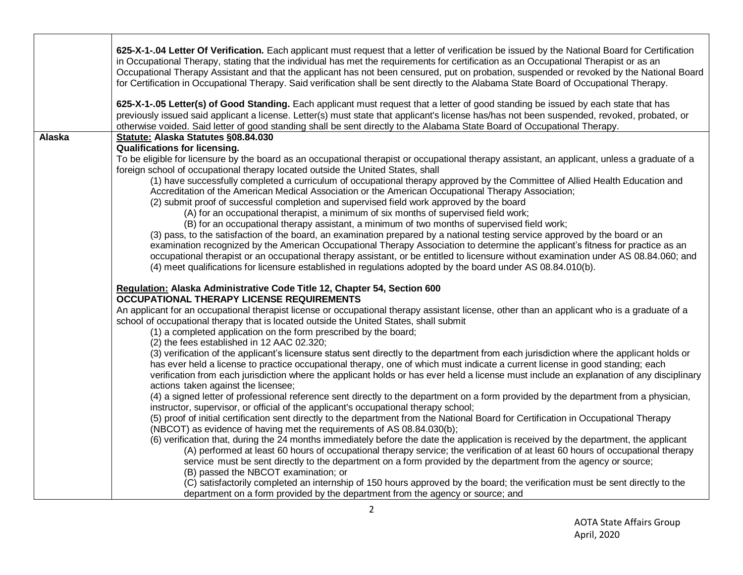|        | 625-X-1-.04 Letter Of Verification. Each applicant must request that a letter of verification be issued by the National Board for Certification<br>in Occupational Therapy, stating that the individual has met the requirements for certification as an Occupational Therapist or as an<br>Occupational Therapy Assistant and that the applicant has not been censured, put on probation, suspended or revoked by the National Board<br>for Certification in Occupational Therapy. Said verification shall be sent directly to the Alabama State Board of Occupational Therapy.<br>625-X-1-.05 Letter(s) of Good Standing. Each applicant must request that a letter of good standing be issued by each state that has |
|--------|-------------------------------------------------------------------------------------------------------------------------------------------------------------------------------------------------------------------------------------------------------------------------------------------------------------------------------------------------------------------------------------------------------------------------------------------------------------------------------------------------------------------------------------------------------------------------------------------------------------------------------------------------------------------------------------------------------------------------|
|        | previously issued said applicant a license. Letter(s) must state that applicant's license has/has not been suspended, revoked, probated, or<br>otherwise voided. Said letter of good standing shall be sent directly to the Alabama State Board of Occupational Therapy.                                                                                                                                                                                                                                                                                                                                                                                                                                                |
| Alaska | Statute: Alaska Statutes §08.84.030                                                                                                                                                                                                                                                                                                                                                                                                                                                                                                                                                                                                                                                                                     |
|        | <b>Qualifications for licensing.</b><br>To be eligible for licensure by the board as an occupational therapist or occupational therapy assistant, an applicant, unless a graduate of a                                                                                                                                                                                                                                                                                                                                                                                                                                                                                                                                  |
|        | foreign school of occupational therapy located outside the United States, shall                                                                                                                                                                                                                                                                                                                                                                                                                                                                                                                                                                                                                                         |
|        | (1) have successfully completed a curriculum of occupational therapy approved by the Committee of Allied Health Education and<br>Accreditation of the American Medical Association or the American Occupational Therapy Association;                                                                                                                                                                                                                                                                                                                                                                                                                                                                                    |
|        | (2) submit proof of successful completion and supervised field work approved by the board                                                                                                                                                                                                                                                                                                                                                                                                                                                                                                                                                                                                                               |
|        | (A) for an occupational therapist, a minimum of six months of supervised field work;                                                                                                                                                                                                                                                                                                                                                                                                                                                                                                                                                                                                                                    |
|        | (B) for an occupational therapy assistant, a minimum of two months of supervised field work;                                                                                                                                                                                                                                                                                                                                                                                                                                                                                                                                                                                                                            |
|        | (3) pass, to the satisfaction of the board, an examination prepared by a national testing service approved by the board or an<br>examination recognized by the American Occupational Therapy Association to determine the applicant's fitness for practice as an                                                                                                                                                                                                                                                                                                                                                                                                                                                        |
|        | occupational therapist or an occupational therapy assistant, or be entitled to licensure without examination under AS 08.84.060; and                                                                                                                                                                                                                                                                                                                                                                                                                                                                                                                                                                                    |
|        | (4) meet qualifications for licensure established in regulations adopted by the board under AS 08.84.010(b).                                                                                                                                                                                                                                                                                                                                                                                                                                                                                                                                                                                                            |
|        | Regulation: Alaska Administrative Code Title 12, Chapter 54, Section 600<br><b>OCCUPATIONAL THERAPY LICENSE REQUIREMENTS</b>                                                                                                                                                                                                                                                                                                                                                                                                                                                                                                                                                                                            |
|        | An applicant for an occupational therapist license or occupational therapy assistant license, other than an applicant who is a graduate of a<br>school of occupational therapy that is located outside the United States, shall submit<br>(1) a completed application on the form prescribed by the board;                                                                                                                                                                                                                                                                                                                                                                                                              |
|        | (2) the fees established in 12 AAC 02.320;                                                                                                                                                                                                                                                                                                                                                                                                                                                                                                                                                                                                                                                                              |
|        | (3) verification of the applicant's licensure status sent directly to the department from each jurisdiction where the applicant holds or<br>has ever held a license to practice occupational therapy, one of which must indicate a current license in good standing; each<br>verification from each jurisdiction where the applicant holds or has ever held a license must include an explanation of any disciplinary                                                                                                                                                                                                                                                                                                   |
|        | actions taken against the licensee;                                                                                                                                                                                                                                                                                                                                                                                                                                                                                                                                                                                                                                                                                     |
|        | (4) a signed letter of professional reference sent directly to the department on a form provided by the department from a physician,<br>instructor, supervisor, or official of the applicant's occupational therapy school;                                                                                                                                                                                                                                                                                                                                                                                                                                                                                             |
|        | (5) proof of initial certification sent directly to the department from the National Board for Certification in Occupational Therapy                                                                                                                                                                                                                                                                                                                                                                                                                                                                                                                                                                                    |
|        | (NBCOT) as evidence of having met the requirements of AS 08.84.030(b);                                                                                                                                                                                                                                                                                                                                                                                                                                                                                                                                                                                                                                                  |
|        | (6) verification that, during the 24 months immediately before the date the application is received by the department, the applicant                                                                                                                                                                                                                                                                                                                                                                                                                                                                                                                                                                                    |
|        | (A) performed at least 60 hours of occupational therapy service; the verification of at least 60 hours of occupational therapy                                                                                                                                                                                                                                                                                                                                                                                                                                                                                                                                                                                          |
|        | service must be sent directly to the department on a form provided by the department from the agency or source;<br>(B) passed the NBCOT examination; or                                                                                                                                                                                                                                                                                                                                                                                                                                                                                                                                                                 |
|        | (C) satisfactorily completed an internship of 150 hours approved by the board; the verification must be sent directly to the                                                                                                                                                                                                                                                                                                                                                                                                                                                                                                                                                                                            |
|        | department on a form provided by the department from the agency or source; and                                                                                                                                                                                                                                                                                                                                                                                                                                                                                                                                                                                                                                          |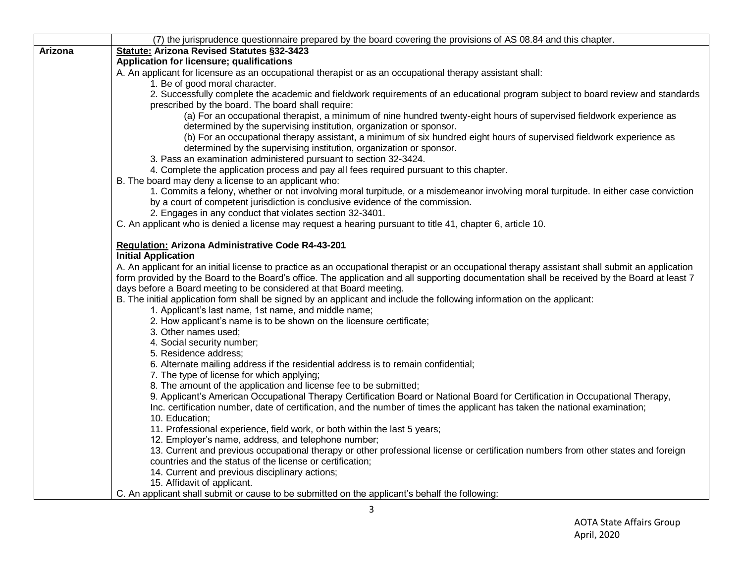|         | (7) the jurisprudence questionnaire prepared by the board covering the provisions of AS 08.84 and this chapter.                                                                                                                                                                                  |
|---------|--------------------------------------------------------------------------------------------------------------------------------------------------------------------------------------------------------------------------------------------------------------------------------------------------|
| Arizona | Statute: Arizona Revised Statutes §32-3423                                                                                                                                                                                                                                                       |
|         | Application for licensure; qualifications                                                                                                                                                                                                                                                        |
|         | A. An applicant for licensure as an occupational therapist or as an occupational therapy assistant shall:                                                                                                                                                                                        |
|         | 1. Be of good moral character.                                                                                                                                                                                                                                                                   |
|         | 2. Successfully complete the academic and fieldwork requirements of an educational program subject to board review and standards<br>prescribed by the board. The board shall require:                                                                                                            |
|         | (a) For an occupational therapist, a minimum of nine hundred twenty-eight hours of supervised fieldwork experience as<br>determined by the supervising institution, organization or sponsor.                                                                                                     |
|         | (b) For an occupational therapy assistant, a minimum of six hundred eight hours of supervised fieldwork experience as<br>determined by the supervising institution, organization or sponsor.                                                                                                     |
|         | 3. Pass an examination administered pursuant to section 32-3424.                                                                                                                                                                                                                                 |
|         | 4. Complete the application process and pay all fees required pursuant to this chapter.                                                                                                                                                                                                          |
|         | B. The board may deny a license to an applicant who:                                                                                                                                                                                                                                             |
|         | 1. Commits a felony, whether or not involving moral turpitude, or a misdemeanor involving moral turpitude. In either case conviction<br>by a court of competent jurisdiction is conclusive evidence of the commission.                                                                           |
|         | 2. Engages in any conduct that violates section 32-3401.                                                                                                                                                                                                                                         |
|         | C. An applicant who is denied a license may request a hearing pursuant to title 41, chapter 6, article 10.                                                                                                                                                                                       |
|         | Regulation: Arizona Administrative Code R4-43-201                                                                                                                                                                                                                                                |
|         | <b>Initial Application</b>                                                                                                                                                                                                                                                                       |
|         | A. An applicant for an initial license to practice as an occupational therapist or an occupational therapy assistant shall submit an application<br>form provided by the Board to the Board's office. The application and all supporting documentation shall be received by the Board at least 7 |
|         | days before a Board meeting to be considered at that Board meeting.                                                                                                                                                                                                                              |
|         | B. The initial application form shall be signed by an applicant and include the following information on the applicant:                                                                                                                                                                          |
|         | 1. Applicant's last name, 1st name, and middle name;                                                                                                                                                                                                                                             |
|         | 2. How applicant's name is to be shown on the licensure certificate;                                                                                                                                                                                                                             |
|         | 3. Other names used:                                                                                                                                                                                                                                                                             |
|         | 4. Social security number;<br>5. Residence address;                                                                                                                                                                                                                                              |
|         | 6. Alternate mailing address if the residential address is to remain confidential;                                                                                                                                                                                                               |
|         | 7. The type of license for which applying;                                                                                                                                                                                                                                                       |
|         | 8. The amount of the application and license fee to be submitted;                                                                                                                                                                                                                                |
|         | 9. Applicant's American Occupational Therapy Certification Board or National Board for Certification in Occupational Therapy,                                                                                                                                                                    |
|         | Inc. certification number, date of certification, and the number of times the applicant has taken the national examination;                                                                                                                                                                      |
|         | 10. Education;                                                                                                                                                                                                                                                                                   |
|         | 11. Professional experience, field work, or both within the last 5 years;                                                                                                                                                                                                                        |
|         | 12. Employer's name, address, and telephone number;                                                                                                                                                                                                                                              |
|         | 13. Current and previous occupational therapy or other professional license or certification numbers from other states and foreign                                                                                                                                                               |
|         | countries and the status of the license or certification;                                                                                                                                                                                                                                        |
|         | 14. Current and previous disciplinary actions;                                                                                                                                                                                                                                                   |
|         | 15. Affidavit of applicant.                                                                                                                                                                                                                                                                      |
|         | C. An applicant shall submit or cause to be submitted on the applicant's behalf the following:                                                                                                                                                                                                   |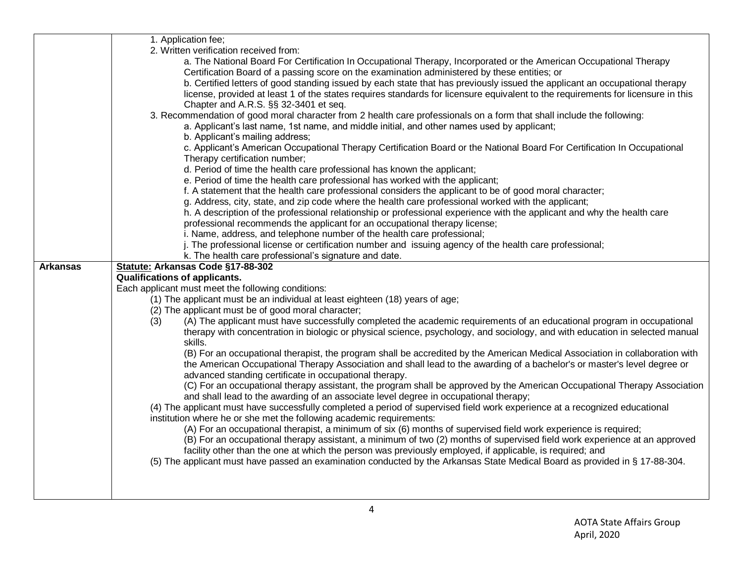|                 | 1. Application fee;                                                                                                                                                                                                                                      |
|-----------------|----------------------------------------------------------------------------------------------------------------------------------------------------------------------------------------------------------------------------------------------------------|
|                 | 2. Written verification received from:                                                                                                                                                                                                                   |
|                 | a. The National Board For Certification In Occupational Therapy, Incorporated or the American Occupational Therapy                                                                                                                                       |
|                 | Certification Board of a passing score on the examination administered by these entities; or                                                                                                                                                             |
|                 | b. Certified letters of good standing issued by each state that has previously issued the applicant an occupational therapy                                                                                                                              |
|                 | license, provided at least 1 of the states requires standards for licensure equivalent to the requirements for licensure in this                                                                                                                         |
|                 | Chapter and A.R.S. §§ 32-3401 et seq.                                                                                                                                                                                                                    |
|                 | 3. Recommendation of good moral character from 2 health care professionals on a form that shall include the following:                                                                                                                                   |
|                 | a. Applicant's last name, 1st name, and middle initial, and other names used by applicant;                                                                                                                                                               |
|                 | b. Applicant's mailing address;                                                                                                                                                                                                                          |
|                 | c. Applicant's American Occupational Therapy Certification Board or the National Board For Certification In Occupational                                                                                                                                 |
|                 | Therapy certification number;                                                                                                                                                                                                                            |
|                 | d. Period of time the health care professional has known the applicant;                                                                                                                                                                                  |
|                 | e. Period of time the health care professional has worked with the applicant;                                                                                                                                                                            |
|                 | f. A statement that the health care professional considers the applicant to be of good moral character;                                                                                                                                                  |
|                 | g. Address, city, state, and zip code where the health care professional worked with the applicant;                                                                                                                                                      |
|                 | h. A description of the professional relationship or professional experience with the applicant and why the health care                                                                                                                                  |
|                 | professional recommends the applicant for an occupational therapy license;                                                                                                                                                                               |
|                 | i. Name, address, and telephone number of the health care professional;                                                                                                                                                                                  |
|                 | j. The professional license or certification number and issuing agency of the health care professional;                                                                                                                                                  |
|                 | k. The health care professional's signature and date.                                                                                                                                                                                                    |
| <b>Arkansas</b> | Statute: Arkansas Code §17-88-302                                                                                                                                                                                                                        |
|                 | <b>Qualifications of applicants.</b>                                                                                                                                                                                                                     |
|                 | Each applicant must meet the following conditions:                                                                                                                                                                                                       |
|                 | (1) The applicant must be an individual at least eighteen (18) years of age;                                                                                                                                                                             |
|                 | (2) The applicant must be of good moral character;                                                                                                                                                                                                       |
|                 | (A) The applicant must have successfully completed the academic requirements of an educational program in occupational<br>(3)                                                                                                                            |
|                 | therapy with concentration in biologic or physical science, psychology, and sociology, and with education in selected manual                                                                                                                             |
|                 | skills.                                                                                                                                                                                                                                                  |
|                 | (B) For an occupational therapist, the program shall be accredited by the American Medical Association in collaboration with<br>the American Occupational Therapy Association and shall lead to the awarding of a bachelor's or master's level degree or |
|                 | advanced standing certificate in occupational therapy.                                                                                                                                                                                                   |
|                 | (C) For an occupational therapy assistant, the program shall be approved by the American Occupational Therapy Association                                                                                                                                |
|                 | and shall lead to the awarding of an associate level degree in occupational therapy;                                                                                                                                                                     |
|                 | (4) The applicant must have successfully completed a period of supervised field work experience at a recognized educational                                                                                                                              |
|                 | institution where he or she met the following academic requirements:                                                                                                                                                                                     |
|                 | (A) For an occupational therapist, a minimum of six (6) months of supervised field work experience is required;                                                                                                                                          |
|                 | (B) For an occupational therapy assistant, a minimum of two (2) months of supervised field work experience at an approved                                                                                                                                |
|                 | facility other than the one at which the person was previously employed, if applicable, is required; and                                                                                                                                                 |
|                 | (5) The applicant must have passed an examination conducted by the Arkansas State Medical Board as provided in § 17-88-304.                                                                                                                              |
|                 |                                                                                                                                                                                                                                                          |
|                 |                                                                                                                                                                                                                                                          |
|                 |                                                                                                                                                                                                                                                          |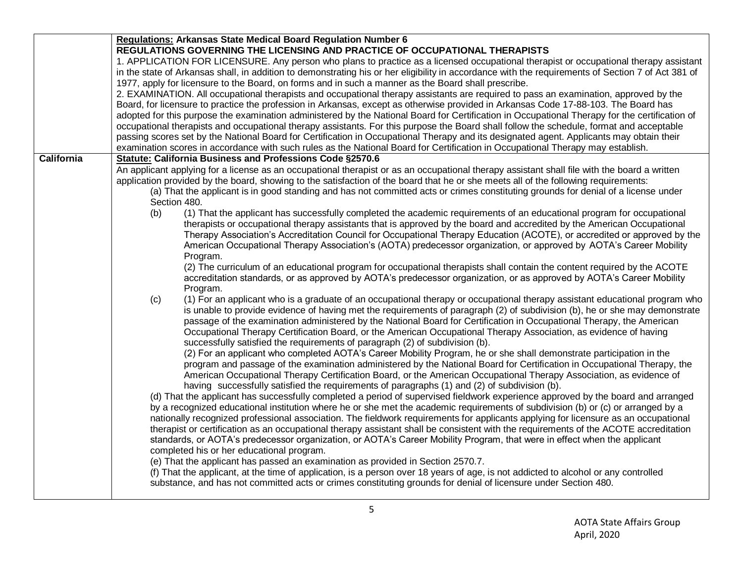|                   | Regulations: Arkansas State Medical Board Regulation Number 6<br>REGULATIONS GOVERNING THE LICENSING AND PRACTICE OF OCCUPATIONAL THERAPISTS                                                                                                                                                                                                                                                       |
|-------------------|----------------------------------------------------------------------------------------------------------------------------------------------------------------------------------------------------------------------------------------------------------------------------------------------------------------------------------------------------------------------------------------------------|
|                   |                                                                                                                                                                                                                                                                                                                                                                                                    |
|                   | 1. APPLICATION FOR LICENSURE. Any person who plans to practice as a licensed occupational therapist or occupational therapy assistant<br>in the state of Arkansas shall, in addition to demonstrating his or her eligibility in accordance with the requirements of Section 7 of Act 381 of<br>1977, apply for licensure to the Board, on forms and in such a manner as the Board shall prescribe. |
|                   |                                                                                                                                                                                                                                                                                                                                                                                                    |
|                   | 2. EXAMINATION. All occupational therapists and occupational therapy assistants are required to pass an examination, approved by the<br>Board, for licensure to practice the profession in Arkansas, except as otherwise provided in Arkansas Code 17-88-103. The Board has                                                                                                                        |
|                   | adopted for this purpose the examination administered by the National Board for Certification in Occupational Therapy for the certification of                                                                                                                                                                                                                                                     |
|                   | occupational therapists and occupational therapy assistants. For this purpose the Board shall follow the schedule, format and acceptable                                                                                                                                                                                                                                                           |
|                   | passing scores set by the National Board for Certification in Occupational Therapy and its designated agent. Applicants may obtain their                                                                                                                                                                                                                                                           |
|                   | examination scores in accordance with such rules as the National Board for Certification in Occupational Therapy may establish.                                                                                                                                                                                                                                                                    |
| <b>California</b> | Statute: California Business and Professions Code §2570.6                                                                                                                                                                                                                                                                                                                                          |
|                   | An applicant applying for a license as an occupational therapist or as an occupational therapy assistant shall file with the board a written<br>application provided by the board, showing to the satisfaction of the board that he or she meets all of the following requirements:                                                                                                                |
|                   | (a) That the applicant is in good standing and has not committed acts or crimes constituting grounds for denial of a license under<br>Section 480.                                                                                                                                                                                                                                                 |
|                   | (1) That the applicant has successfully completed the academic requirements of an educational program for occupational                                                                                                                                                                                                                                                                             |
|                   | (b)                                                                                                                                                                                                                                                                                                                                                                                                |
|                   | therapists or occupational therapy assistants that is approved by the board and accredited by the American Occupational                                                                                                                                                                                                                                                                            |
|                   | Therapy Association's Accreditation Council for Occupational Therapy Education (ACOTE), or accredited or approved by the                                                                                                                                                                                                                                                                           |
|                   | American Occupational Therapy Association's (AOTA) predecessor organization, or approved by AOTA's Career Mobility                                                                                                                                                                                                                                                                                 |
|                   | Program.                                                                                                                                                                                                                                                                                                                                                                                           |
|                   | (2) The curriculum of an educational program for occupational therapists shall contain the content required by the ACOTE                                                                                                                                                                                                                                                                           |
|                   | accreditation standards, or as approved by AOTA's predecessor organization, or as approved by AOTA's Career Mobility                                                                                                                                                                                                                                                                               |
|                   | Program.                                                                                                                                                                                                                                                                                                                                                                                           |
|                   | (1) For an applicant who is a graduate of an occupational therapy or occupational therapy assistant educational program who<br>(c)                                                                                                                                                                                                                                                                 |
|                   | is unable to provide evidence of having met the requirements of paragraph (2) of subdivision (b), he or she may demonstrate                                                                                                                                                                                                                                                                        |
|                   | passage of the examination administered by the National Board for Certification in Occupational Therapy, the American                                                                                                                                                                                                                                                                              |
|                   | Occupational Therapy Certification Board, or the American Occupational Therapy Association, as evidence of having                                                                                                                                                                                                                                                                                  |
|                   | successfully satisfied the requirements of paragraph (2) of subdivision (b).                                                                                                                                                                                                                                                                                                                       |
|                   | (2) For an applicant who completed AOTA's Career Mobility Program, he or she shall demonstrate participation in the                                                                                                                                                                                                                                                                                |
|                   | program and passage of the examination administered by the National Board for Certification in Occupational Therapy, the                                                                                                                                                                                                                                                                           |
|                   | American Occupational Therapy Certification Board, or the American Occupational Therapy Association, as evidence of                                                                                                                                                                                                                                                                                |
|                   | having successfully satisfied the requirements of paragraphs (1) and (2) of subdivision (b).                                                                                                                                                                                                                                                                                                       |
|                   | (d) That the applicant has successfully completed a period of supervised fieldwork experience approved by the board and arranged                                                                                                                                                                                                                                                                   |
|                   | by a recognized educational institution where he or she met the academic requirements of subdivision (b) or (c) or arranged by a                                                                                                                                                                                                                                                                   |
|                   | nationally recognized professional association. The fieldwork requirements for applicants applying for licensure as an occupational                                                                                                                                                                                                                                                                |
|                   | therapist or certification as an occupational therapy assistant shall be consistent with the requirements of the ACOTE accreditation                                                                                                                                                                                                                                                               |
|                   | standards, or AOTA's predecessor organization, or AOTA's Career Mobility Program, that were in effect when the applicant                                                                                                                                                                                                                                                                           |
|                   | completed his or her educational program.                                                                                                                                                                                                                                                                                                                                                          |
|                   | (e) That the applicant has passed an examination as provided in Section 2570.7.                                                                                                                                                                                                                                                                                                                    |
|                   | (f) That the applicant, at the time of application, is a person over 18 years of age, is not addicted to alcohol or any controlled                                                                                                                                                                                                                                                                 |
|                   | substance, and has not committed acts or crimes constituting grounds for denial of licensure under Section 480.                                                                                                                                                                                                                                                                                    |
|                   |                                                                                                                                                                                                                                                                                                                                                                                                    |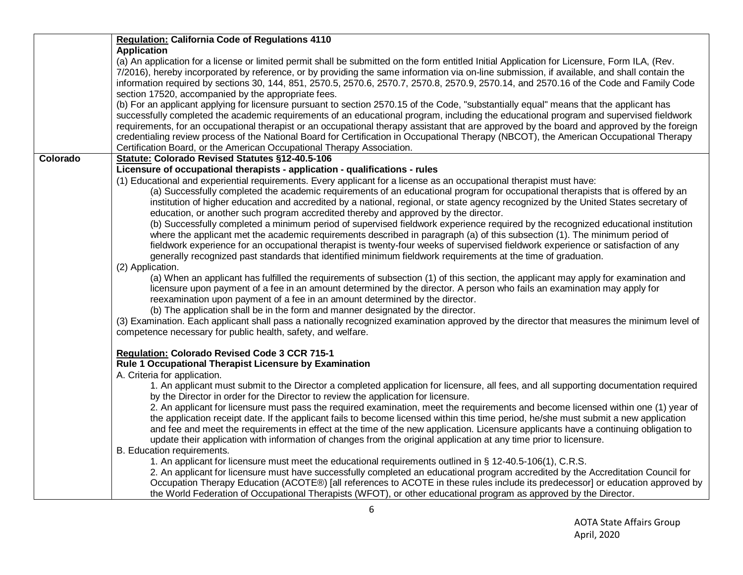|          | Regulation: California Code of Regulations 4110                                                                                                                                                                                                                                                                                                                                                                                                                                                                                                                                                                                                                                                                                                                                                                                                                                                                                                                                                                                                                                                                                                                               |
|----------|-------------------------------------------------------------------------------------------------------------------------------------------------------------------------------------------------------------------------------------------------------------------------------------------------------------------------------------------------------------------------------------------------------------------------------------------------------------------------------------------------------------------------------------------------------------------------------------------------------------------------------------------------------------------------------------------------------------------------------------------------------------------------------------------------------------------------------------------------------------------------------------------------------------------------------------------------------------------------------------------------------------------------------------------------------------------------------------------------------------------------------------------------------------------------------|
|          | <b>Application</b><br>(a) An application for a license or limited permit shall be submitted on the form entitled Initial Application for Licensure, Form ILA, (Rev.<br>7/2016), hereby incorporated by reference, or by providing the same information via on-line submission, if available, and shall contain the<br>information required by sections 30, 144, 851, 2570.5, 2570.6, 2570.7, 2570.8, 2570.9, 2570.14, and 2570.16 of the Code and Family Code<br>section 17520, accompanied by the appropriate fees.<br>(b) For an applicant applying for licensure pursuant to section 2570.15 of the Code, "substantially equal" means that the applicant has<br>successfully completed the academic requirements of an educational program, including the educational program and supervised fieldwork<br>requirements, for an occupational therapist or an occupational therapy assistant that are approved by the board and approved by the foreign<br>credentialing review process of the National Board for Certification in Occupational Therapy (NBCOT), the American Occupational Therapy<br>Certification Board, or the American Occupational Therapy Association. |
| Colorado | Statute: Colorado Revised Statutes §12-40.5-106                                                                                                                                                                                                                                                                                                                                                                                                                                                                                                                                                                                                                                                                                                                                                                                                                                                                                                                                                                                                                                                                                                                               |
|          | Licensure of occupational therapists - application - qualifications - rules                                                                                                                                                                                                                                                                                                                                                                                                                                                                                                                                                                                                                                                                                                                                                                                                                                                                                                                                                                                                                                                                                                   |
|          | (1) Educational and experiential requirements. Every applicant for a license as an occupational therapist must have:<br>(a) Successfully completed the academic requirements of an educational program for occupational therapists that is offered by an<br>institution of higher education and accredited by a national, regional, or state agency recognized by the United States secretary of<br>education, or another such program accredited thereby and approved by the director.<br>(b) Successfully completed a minimum period of supervised fieldwork experience required by the recognized educational institution<br>where the applicant met the academic requirements described in paragraph (a) of this subsection (1). The minimum period of<br>fieldwork experience for an occupational therapist is twenty-four weeks of supervised fieldwork experience or satisfaction of any<br>generally recognized past standards that identified minimum fieldwork requirements at the time of graduation.<br>(2) Application.                                                                                                                                          |
|          | (a) When an applicant has fulfilled the requirements of subsection (1) of this section, the applicant may apply for examination and<br>licensure upon payment of a fee in an amount determined by the director. A person who fails an examination may apply for<br>reexamination upon payment of a fee in an amount determined by the director.<br>(b) The application shall be in the form and manner designated by the director.<br>(3) Examination. Each applicant shall pass a nationally recognized examination approved by the director that measures the minimum level of<br>competence necessary for public health, safety, and welfare.                                                                                                                                                                                                                                                                                                                                                                                                                                                                                                                              |
|          | Regulation: Colorado Revised Code 3 CCR 715-1<br>Rule 1 Occupational Therapist Licensure by Examination<br>A. Criteria for application.                                                                                                                                                                                                                                                                                                                                                                                                                                                                                                                                                                                                                                                                                                                                                                                                                                                                                                                                                                                                                                       |
|          | 1. An applicant must submit to the Director a completed application for licensure, all fees, and all supporting documentation required<br>by the Director in order for the Director to review the application for licensure.<br>2. An applicant for licensure must pass the required examination, meet the requirements and become licensed within one (1) year of<br>the application receipt date. If the applicant fails to become licensed within this time period, he/she must submit a new application<br>and fee and meet the requirements in effect at the time of the new application. Licensure applicants have a continuing obligation to<br>update their application with information of changes from the original application at any time prior to licensure.<br>B. Education requirements.                                                                                                                                                                                                                                                                                                                                                                       |
|          | 1. An applicant for licensure must meet the educational requirements outlined in § 12-40.5-106(1), C.R.S.<br>2. An applicant for licensure must have successfully completed an educational program accredited by the Accreditation Council for<br>Occupation Therapy Education (ACOTE®) [all references to ACOTE in these rules include its predecessor] or education approved by<br>the World Federation of Occupational Therapists (WFOT), or other educational program as approved by the Director.                                                                                                                                                                                                                                                                                                                                                                                                                                                                                                                                                                                                                                                                        |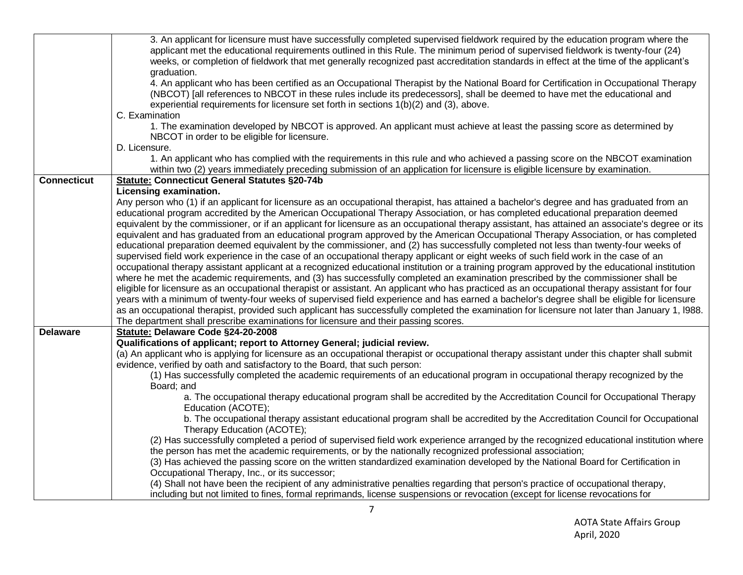|                    | 3. An applicant for licensure must have successfully completed supervised fieldwork required by the education program where the<br>applicant met the educational requirements outlined in this Rule. The minimum period of supervised fieldwork is twenty-four (24)<br>weeks, or completion of fieldwork that met generally recognized past accreditation standards in effect at the time of the applicant's |
|--------------------|--------------------------------------------------------------------------------------------------------------------------------------------------------------------------------------------------------------------------------------------------------------------------------------------------------------------------------------------------------------------------------------------------------------|
|                    | graduation.                                                                                                                                                                                                                                                                                                                                                                                                  |
|                    | 4. An applicant who has been certified as an Occupational Therapist by the National Board for Certification in Occupational Therapy<br>(NBCOT) [all references to NBCOT in these rules include its predecessors], shall be deemed to have met the educational and<br>experiential requirements for licensure set forth in sections 1(b)(2) and (3), above.                                                   |
|                    | C. Examination                                                                                                                                                                                                                                                                                                                                                                                               |
|                    | 1. The examination developed by NBCOT is approved. An applicant must achieve at least the passing score as determined by                                                                                                                                                                                                                                                                                     |
|                    | NBCOT in order to be eligible for licensure.                                                                                                                                                                                                                                                                                                                                                                 |
|                    | D. Licensure.                                                                                                                                                                                                                                                                                                                                                                                                |
|                    | 1. An applicant who has complied with the requirements in this rule and who achieved a passing score on the NBCOT examination                                                                                                                                                                                                                                                                                |
|                    | within two (2) years immediately preceding submission of an application for licensure is eligible licensure by examination.                                                                                                                                                                                                                                                                                  |
| <b>Connecticut</b> | <b>Statute: Connecticut General Statutes §20-74b</b>                                                                                                                                                                                                                                                                                                                                                         |
|                    | Licensing examination.                                                                                                                                                                                                                                                                                                                                                                                       |
|                    | Any person who (1) if an applicant for licensure as an occupational therapist, has attained a bachelor's degree and has graduated from an<br>educational program accredited by the American Occupational Therapy Association, or has completed educational preparation deemed                                                                                                                                |
|                    | equivalent by the commissioner, or if an applicant for licensure as an occupational therapy assistant, has attained an associate's degree or its                                                                                                                                                                                                                                                             |
|                    | equivalent and has graduated from an educational program approved by the American Occupational Therapy Association, or has completed                                                                                                                                                                                                                                                                         |
|                    | educational preparation deemed equivalent by the commissioner, and (2) has successfully completed not less than twenty-four weeks of                                                                                                                                                                                                                                                                         |
|                    | supervised field work experience in the case of an occupational therapy applicant or eight weeks of such field work in the case of an                                                                                                                                                                                                                                                                        |
|                    | occupational therapy assistant applicant at a recognized educational institution or a training program approved by the educational institution                                                                                                                                                                                                                                                               |
|                    | where he met the academic requirements, and (3) has successfully completed an examination prescribed by the commissioner shall be                                                                                                                                                                                                                                                                            |
|                    | eligible for licensure as an occupational therapist or assistant. An applicant who has practiced as an occupational therapy assistant for four                                                                                                                                                                                                                                                               |
|                    | years with a minimum of twenty-four weeks of supervised field experience and has earned a bachelor's degree shall be eligible for licensure                                                                                                                                                                                                                                                                  |
|                    | as an occupational therapist, provided such applicant has successfully completed the examination for licensure not later than January 1, 1988.                                                                                                                                                                                                                                                               |
| <b>Delaware</b>    | The department shall prescribe examinations for licensure and their passing scores.<br>Statute: Delaware Code §24-20-2008                                                                                                                                                                                                                                                                                    |
|                    | Qualifications of applicant; report to Attorney General; judicial review.                                                                                                                                                                                                                                                                                                                                    |
|                    | (a) An applicant who is applying for licensure as an occupational therapist or occupational therapy assistant under this chapter shall submit                                                                                                                                                                                                                                                                |
|                    | evidence, verified by oath and satisfactory to the Board, that such person:                                                                                                                                                                                                                                                                                                                                  |
|                    | (1) Has successfully completed the academic requirements of an educational program in occupational therapy recognized by the                                                                                                                                                                                                                                                                                 |
|                    | Board; and                                                                                                                                                                                                                                                                                                                                                                                                   |
|                    | a. The occupational therapy educational program shall be accredited by the Accreditation Council for Occupational Therapy<br>Education (ACOTE);                                                                                                                                                                                                                                                              |
|                    | b. The occupational therapy assistant educational program shall be accredited by the Accreditation Council for Occupational<br>Therapy Education (ACOTE);                                                                                                                                                                                                                                                    |
|                    | (2) Has successfully completed a period of supervised field work experience arranged by the recognized educational institution where                                                                                                                                                                                                                                                                         |
|                    | the person has met the academic requirements, or by the nationally recognized professional association;                                                                                                                                                                                                                                                                                                      |
|                    | (3) Has achieved the passing score on the written standardized examination developed by the National Board for Certification in                                                                                                                                                                                                                                                                              |
|                    | Occupational Therapy, Inc., or its successor;                                                                                                                                                                                                                                                                                                                                                                |
|                    | (4) Shall not have been the recipient of any administrative penalties regarding that person's practice of occupational therapy,                                                                                                                                                                                                                                                                              |
|                    | including but not limited to fines, formal reprimands, license suspensions or revocation (except for license revocations for                                                                                                                                                                                                                                                                                 |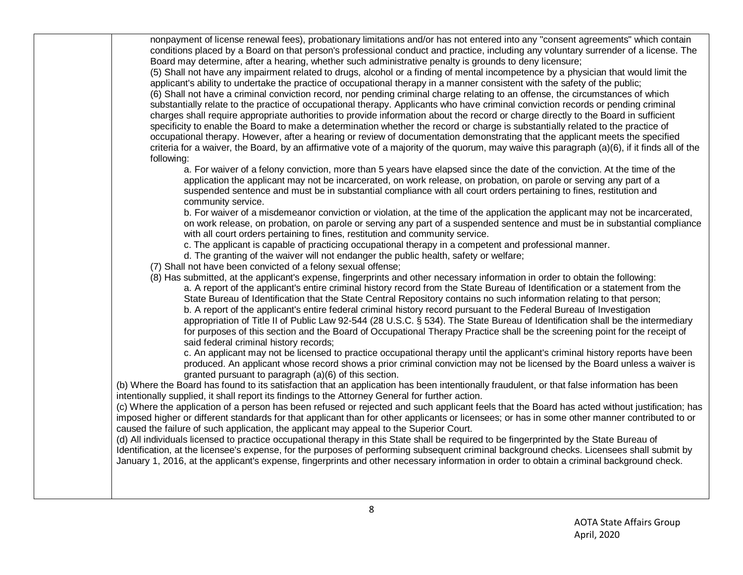nonpayment of license renewal fees), probationary limitations and/or has not entered into any "consent agreements" which contain conditions placed by a Board on that person's professional conduct and practice, including any voluntary surrender of a license. The Board may determine, after a hearing, whether such administrative penalty is grounds to deny licensure;

(5) Shall not have any impairment related to drugs, alcohol or a finding of mental incompetence by a physician that would limit the applicant's ability to undertake the practice of occupational therapy in a manner consistent with the safety of the public; (6) Shall not have a criminal conviction record, nor pending criminal charge relating to an offense, the circumstances of which substantially relate to the practice of occupational therapy. Applicants who have criminal conviction records or pending criminal charges shall require appropriate authorities to provide information about the record or charge directly to the Board in sufficient specificity to enable the Board to make a determination whether the record or charge is substantially related to the practice of occupational therapy. However, after a hearing or review of documentation demonstrating that the applicant meets the specified criteria for a waiver, the Board, by an affirmative vote of a majority of the quorum, may waive this paragraph (a)(6), if it finds all of the following:

a. For waiver of a felony conviction, more than 5 years have elapsed since the date of the conviction. At the time of the application the applicant may not be incarcerated, on work release, on probation, on parole or serving any part of a suspended sentence and must be in substantial compliance with all court orders pertaining to fines, restitution and community service.

b. For waiver of a misdemeanor conviction or violation, at the time of the application the applicant may not be incarcerated, on work release, on probation, on parole or serving any part of a suspended sentence and must be in substantial compliance with all court orders pertaining to fines, restitution and community service.

c. The applicant is capable of practicing occupational therapy in a competent and professional manner.

d. The granting of the waiver will not endanger the public health, safety or welfare;

(7) Shall not have been convicted of a felony sexual offense;

(8) Has submitted, at the applicant's expense, fingerprints and other necessary information in order to obtain the following: a. A report of the applicant's entire criminal history record from the State Bureau of Identification or a statement from the State Bureau of Identification that the State Central Repository contains no such information relating to that person; b. A report of the applicant's entire federal criminal history record pursuant to the Federal Bureau of Investigation appropriation of Title II of Public Law 92-544 (28 U.S.C. § 534). The State Bureau of Identification shall be the intermediary for purposes of this section and the Board of Occupational Therapy Practice shall be the screening point for the receipt of said federal criminal history records;

c. An applicant may not be licensed to practice occupational therapy until the applicant's criminal history reports have been produced. An applicant whose record shows a prior criminal conviction may not be licensed by the Board unless a waiver is granted pursuant to paragraph (a)(6) of this section.

(b) Where the Board has found to its satisfaction that an application has been intentionally fraudulent, or that false information has been intentionally supplied, it shall report its findings to the Attorney General for further action.

(c) Where the application of a person has been refused or rejected and such applicant feels that the Board has acted without justification; has imposed higher or different standards for that applicant than for other applicants or licensees; or has in some other manner contributed to or caused the failure of such application, the applicant may appeal to the Superior Court.

(d) All individuals licensed to practice occupational therapy in this State shall be required to be fingerprinted by the State Bureau of Identification, at the licensee's expense, for the purposes of performing subsequent criminal background checks. Licensees shall submit by January 1, 2016, at the applicant's expense, fingerprints and other necessary information in order to obtain a criminal background check.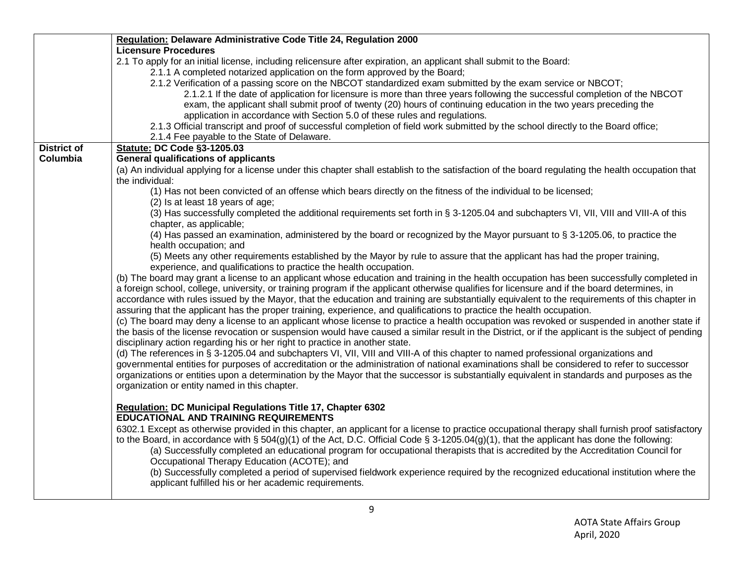|                    | Regulation: Delaware Administrative Code Title 24, Regulation 2000                                                                                  |
|--------------------|-----------------------------------------------------------------------------------------------------------------------------------------------------|
|                    | <b>Licensure Procedures</b>                                                                                                                         |
|                    | 2.1 To apply for an initial license, including relicensure after expiration, an applicant shall submit to the Board:                                |
|                    | 2.1.1 A completed notarized application on the form approved by the Board;                                                                          |
|                    | 2.1.2 Verification of a passing score on the NBCOT standardized exam submitted by the exam service or NBCOT;                                        |
|                    | 2.1.2.1 If the date of application for licensure is more than three years following the successful completion of the NBCOT                          |
|                    | exam, the applicant shall submit proof of twenty (20) hours of continuing education in the two years preceding the                                  |
|                    | application in accordance with Section 5.0 of these rules and regulations.                                                                          |
|                    | 2.1.3 Official transcript and proof of successful completion of field work submitted by the school directly to the Board office;                    |
|                    | 2.1.4 Fee payable to the State of Delaware.                                                                                                         |
| <b>District of</b> | <b>Statute: DC Code §3-1205.03</b>                                                                                                                  |
| Columbia           | <b>General qualifications of applicants</b>                                                                                                         |
|                    | (a) An individual applying for a license under this chapter shall establish to the satisfaction of the board regulating the health occupation that  |
|                    | the individual:                                                                                                                                     |
|                    | (1) Has not been convicted of an offense which bears directly on the fitness of the individual to be licensed;                                      |
|                    | (2) Is at least 18 years of age;                                                                                                                    |
|                    | (3) Has successfully completed the additional requirements set forth in § 3-1205.04 and subchapters VI, VII, VIII and VIII-A of this                |
|                    | chapter, as applicable;                                                                                                                             |
|                    | (4) Has passed an examination, administered by the board or recognized by the Mayor pursuant to § 3-1205.06, to practice the                        |
|                    | health occupation; and                                                                                                                              |
|                    | (5) Meets any other requirements established by the Mayor by rule to assure that the applicant has had the proper training,                         |
|                    | experience, and qualifications to practice the health occupation.                                                                                   |
|                    | (b) The board may grant a license to an applicant whose education and training in the health occupation has been successfully completed in          |
|                    | a foreign school, college, university, or training program if the applicant otherwise qualifies for licensure and if the board determines, in       |
|                    | accordance with rules issued by the Mayor, that the education and training are substantially equivalent to the requirements of this chapter in      |
|                    | assuring that the applicant has the proper training, experience, and qualifications to practice the health occupation.                              |
|                    | (c) The board may deny a license to an applicant whose license to practice a health occupation was revoked or suspended in another state if         |
|                    | the basis of the license revocation or suspension would have caused a similar result in the District, or if the applicant is the subject of pending |
|                    | disciplinary action regarding his or her right to practice in another state.                                                                        |
|                    | (d) The references in § 3-1205.04 and subchapters VI, VII, VIII and VIII-A of this chapter to named professional organizations and                  |
|                    | governmental entities for purposes of accreditation or the administration of national examinations shall be considered to refer to successor        |
|                    | organizations or entities upon a determination by the Mayor that the successor is substantially equivalent in standards and purposes as the         |
|                    | organization or entity named in this chapter.                                                                                                       |
|                    |                                                                                                                                                     |
|                    | Regulation: DC Municipal Regulations Title 17, Chapter 6302                                                                                         |
|                    | <b>EDUCATIONAL AND TRAINING REQUIREMENTS</b>                                                                                                        |
|                    | 6302.1 Except as otherwise provided in this chapter, an applicant for a license to practice occupational therapy shall furnish proof satisfactory   |
|                    | to the Board, in accordance with § 504(g)(1) of the Act, D.C. Official Code § 3-1205.04(g)(1), that the applicant has done the following:           |
|                    | (a) Successfully completed an educational program for occupational therapists that is accredited by the Accreditation Council for                   |
|                    | Occupational Therapy Education (ACOTE); and                                                                                                         |
|                    | (b) Successfully completed a period of supervised fieldwork experience required by the recognized educational institution where the                 |
|                    | applicant fulfilled his or her academic requirements.                                                                                               |
|                    |                                                                                                                                                     |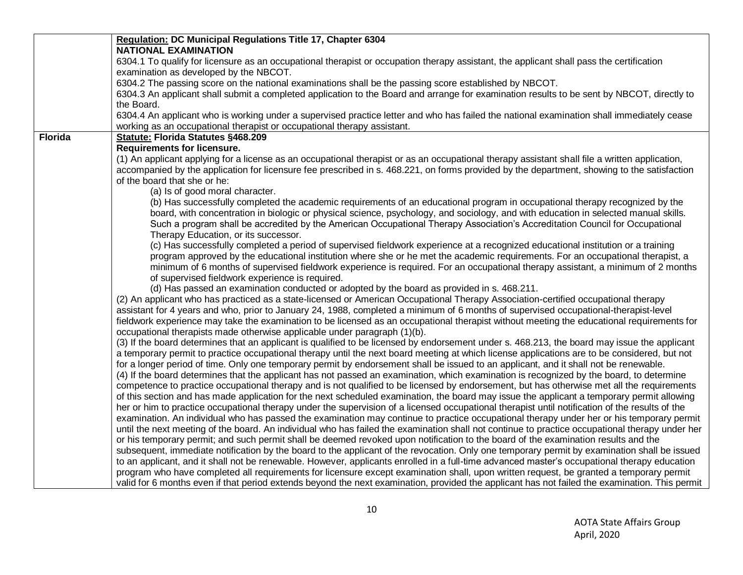|                | Regulation: DC Municipal Regulations Title 17, Chapter 6304                                                                                                                                                                                                                                  |
|----------------|----------------------------------------------------------------------------------------------------------------------------------------------------------------------------------------------------------------------------------------------------------------------------------------------|
|                | <b>NATIONAL EXAMINATION</b><br>6304.1 To qualify for licensure as an occupational therapist or occupation therapy assistant, the applicant shall pass the certification                                                                                                                      |
|                | examination as developed by the NBCOT.                                                                                                                                                                                                                                                       |
|                | 6304.2 The passing score on the national examinations shall be the passing score established by NBCOT.                                                                                                                                                                                       |
|                | 6304.3 An applicant shall submit a completed application to the Board and arrange for examination results to be sent by NBCOT, directly to                                                                                                                                                   |
|                | the Board.                                                                                                                                                                                                                                                                                   |
|                | 6304.4 An applicant who is working under a supervised practice letter and who has failed the national examination shall immediately cease                                                                                                                                                    |
|                | working as an occupational therapist or occupational therapy assistant.                                                                                                                                                                                                                      |
| <b>Florida</b> | Statute: Florida Statutes §468.209                                                                                                                                                                                                                                                           |
|                | <b>Requirements for licensure.</b>                                                                                                                                                                                                                                                           |
|                | (1) An applicant applying for a license as an occupational therapist or as an occupational therapy assistant shall file a written application,                                                                                                                                               |
|                | accompanied by the application for licensure fee prescribed in s. 468.221, on forms provided by the department, showing to the satisfaction                                                                                                                                                  |
|                | of the board that she or he:                                                                                                                                                                                                                                                                 |
|                | (a) Is of good moral character.                                                                                                                                                                                                                                                              |
|                | (b) Has successfully completed the academic requirements of an educational program in occupational therapy recognized by the                                                                                                                                                                 |
|                | board, with concentration in biologic or physical science, psychology, and sociology, and with education in selected manual skills.                                                                                                                                                          |
|                | Such a program shall be accredited by the American Occupational Therapy Association's Accreditation Council for Occupational                                                                                                                                                                 |
|                | Therapy Education, or its successor.<br>(c) Has successfully completed a period of supervised fieldwork experience at a recognized educational institution or a training                                                                                                                     |
|                | program approved by the educational institution where she or he met the academic requirements. For an occupational therapist, a                                                                                                                                                              |
|                | minimum of 6 months of supervised fieldwork experience is required. For an occupational therapy assistant, a minimum of 2 months                                                                                                                                                             |
|                | of supervised fieldwork experience is required.                                                                                                                                                                                                                                              |
|                | (d) Has passed an examination conducted or adopted by the board as provided in s. 468.211.                                                                                                                                                                                                   |
|                | (2) An applicant who has practiced as a state-licensed or American Occupational Therapy Association-certified occupational therapy                                                                                                                                                           |
|                | assistant for 4 years and who, prior to January 24, 1988, completed a minimum of 6 months of supervised occupational-therapist-level                                                                                                                                                         |
|                | fieldwork experience may take the examination to be licensed as an occupational therapist without meeting the educational requirements for                                                                                                                                                   |
|                | occupational therapists made otherwise applicable under paragraph (1)(b).                                                                                                                                                                                                                    |
|                | (3) If the board determines that an applicant is qualified to be licensed by endorsement under s. 468.213, the board may issue the applicant                                                                                                                                                 |
|                | a temporary permit to practice occupational therapy until the next board meeting at which license applications are to be considered, but not                                                                                                                                                 |
|                | for a longer period of time. Only one temporary permit by endorsement shall be issued to an applicant, and it shall not be renewable.                                                                                                                                                        |
|                | (4) If the board determines that the applicant has not passed an examination, which examination is recognized by the board, to determine                                                                                                                                                     |
|                | competence to practice occupational therapy and is not qualified to be licensed by endorsement, but has otherwise met all the requirements                                                                                                                                                   |
|                | of this section and has made application for the next scheduled examination, the board may issue the applicant a temporary permit allowing                                                                                                                                                   |
|                | her or him to practice occupational therapy under the supervision of a licensed occupational therapist until notification of the results of the                                                                                                                                              |
|                | examination. An individual who has passed the examination may continue to practice occupational therapy under her or his temporary permit<br>until the next meeting of the board. An individual who has failed the examination shall not continue to practice occupational therapy under her |
|                | or his temporary permit; and such permit shall be deemed revoked upon notification to the board of the examination results and the                                                                                                                                                           |
|                | subsequent, immediate notification by the board to the applicant of the revocation. Only one temporary permit by examination shall be issued                                                                                                                                                 |
|                | to an applicant, and it shall not be renewable. However, applicants enrolled in a full-time advanced master's occupational therapy education                                                                                                                                                 |
|                | program who have completed all requirements for licensure except examination shall, upon written request, be granted a temporary permit                                                                                                                                                      |
|                | valid for 6 months even if that period extends beyond the next examination, provided the applicant has not failed the examination. This permit                                                                                                                                               |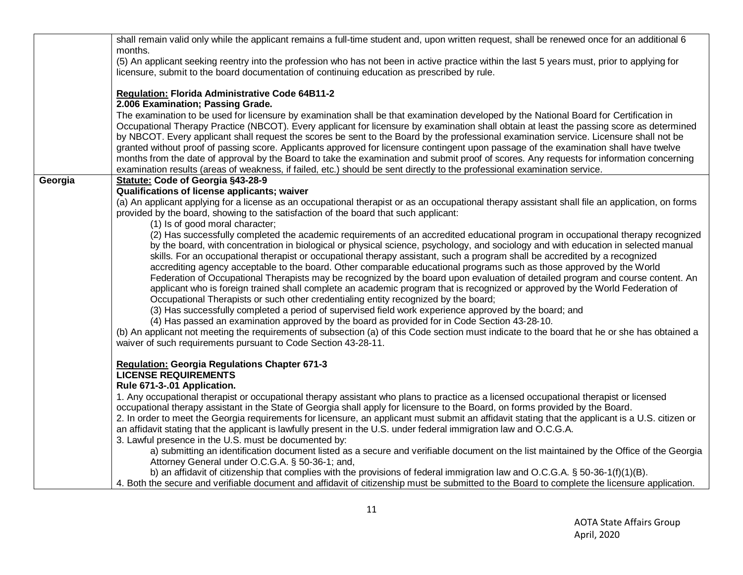|         | shall remain valid only while the applicant remains a full-time student and, upon written request, shall be renewed once for an additional 6                                                                                                                       |
|---------|--------------------------------------------------------------------------------------------------------------------------------------------------------------------------------------------------------------------------------------------------------------------|
|         | months.                                                                                                                                                                                                                                                            |
|         | (5) An applicant seeking reentry into the profession who has not been in active practice within the last 5 years must, prior to applying for                                                                                                                       |
|         | licensure, submit to the board documentation of continuing education as prescribed by rule.                                                                                                                                                                        |
|         | Regulation: Florida Administrative Code 64B11-2                                                                                                                                                                                                                    |
|         | 2.006 Examination; Passing Grade.                                                                                                                                                                                                                                  |
|         | The examination to be used for licensure by examination shall be that examination developed by the National Board for Certification in                                                                                                                             |
|         | Occupational Therapy Practice (NBCOT). Every applicant for licensure by examination shall obtain at least the passing score as determined                                                                                                                          |
|         | by NBCOT. Every applicant shall request the scores be sent to the Board by the professional examination service. Licensure shall not be                                                                                                                            |
|         | granted without proof of passing score. Applicants approved for licensure contingent upon passage of the examination shall have twelve                                                                                                                             |
|         | months from the date of approval by the Board to take the examination and submit proof of scores. Any requests for information concerning                                                                                                                          |
|         | examination results (areas of weakness, if failed, etc.) should be sent directly to the professional examination service.                                                                                                                                          |
| Georgia | Statute: Code of Georgia §43-28-9                                                                                                                                                                                                                                  |
|         | Qualifications of license applicants; waiver                                                                                                                                                                                                                       |
|         | (a) An applicant applying for a license as an occupational therapist or as an occupational therapy assistant shall file an application, on forms                                                                                                                   |
|         | provided by the board, showing to the satisfaction of the board that such applicant:                                                                                                                                                                               |
|         | (1) Is of good moral character;                                                                                                                                                                                                                                    |
|         | (2) Has successfully completed the academic requirements of an accredited educational program in occupational therapy recognized                                                                                                                                   |
|         | by the board, with concentration in biological or physical science, psychology, and sociology and with education in selected manual<br>skills. For an occupational therapist or occupational therapy assistant, such a program shall be accredited by a recognized |
|         | accrediting agency acceptable to the board. Other comparable educational programs such as those approved by the World                                                                                                                                              |
|         | Federation of Occupational Therapists may be recognized by the board upon evaluation of detailed program and course content. An                                                                                                                                    |
|         | applicant who is foreign trained shall complete an academic program that is recognized or approved by the World Federation of                                                                                                                                      |
|         | Occupational Therapists or such other credentialing entity recognized by the board;                                                                                                                                                                                |
|         | (3) Has successfully completed a period of supervised field work experience approved by the board; and                                                                                                                                                             |
|         | (4) Has passed an examination approved by the board as provided for in Code Section 43-28-10.                                                                                                                                                                      |
|         | (b) An applicant not meeting the requirements of subsection (a) of this Code section must indicate to the board that he or she has obtained a                                                                                                                      |
|         | waiver of such requirements pursuant to Code Section 43-28-11.                                                                                                                                                                                                     |
|         |                                                                                                                                                                                                                                                                    |
|         | <b>Regulation: Georgia Regulations Chapter 671-3</b><br><b>LICENSE REQUIREMENTS</b>                                                                                                                                                                                |
|         | Rule 671-3-.01 Application.                                                                                                                                                                                                                                        |
|         | 1. Any occupational therapist or occupational therapy assistant who plans to practice as a licensed occupational therapist or licensed                                                                                                                             |
|         | occupational therapy assistant in the State of Georgia shall apply for licensure to the Board, on forms provided by the Board.                                                                                                                                     |
|         | 2. In order to meet the Georgia requirements for licensure, an applicant must submit an affidavit stating that the applicant is a U.S. citizen or                                                                                                                  |
|         | an affidavit stating that the applicant is lawfully present in the U.S. under federal immigration law and O.C.G.A.                                                                                                                                                 |
|         | 3. Lawful presence in the U.S. must be documented by:                                                                                                                                                                                                              |
|         | a) submitting an identification document listed as a secure and verifiable document on the list maintained by the Office of the Georgia                                                                                                                            |
|         | Attorney General under O.C.G.A. § 50-36-1; and,                                                                                                                                                                                                                    |
|         | b) an affidavit of citizenship that complies with the provisions of federal immigration law and O.C.G.A. § 50-36-1(f)(1)(B).                                                                                                                                       |
|         | 4. Both the secure and verifiable document and affidavit of citizenship must be submitted to the Board to complete the licensure application.                                                                                                                      |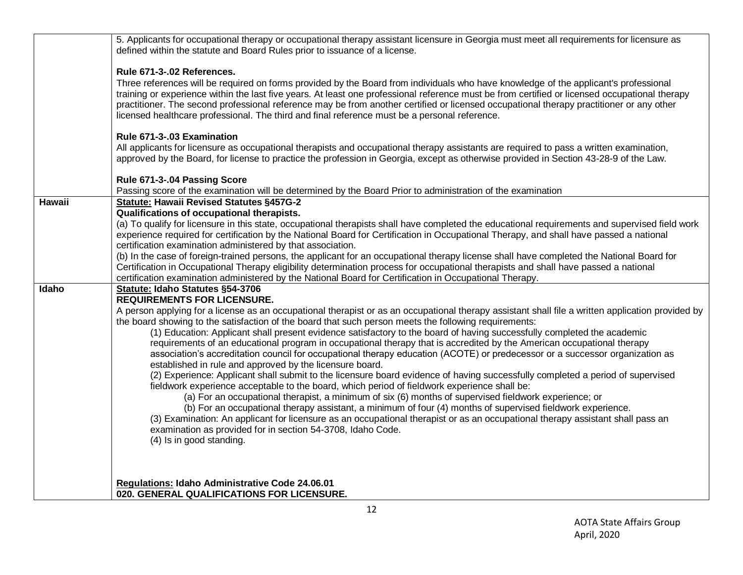| 5. Applicants for occupational therapy or occupational therapy assistant licensure in Georgia must meet all requirements for licensure as<br>defined within the statute and Board Rules prior to issuance of a license.                                                                                                                                                                                                                                                                                                                                                                                                                                                                                                                                                                                                                                                                                                                                                                                                                                                                                                                                                                                                                                                                                                                                                                                                                                                                                                                                                       |
|-------------------------------------------------------------------------------------------------------------------------------------------------------------------------------------------------------------------------------------------------------------------------------------------------------------------------------------------------------------------------------------------------------------------------------------------------------------------------------------------------------------------------------------------------------------------------------------------------------------------------------------------------------------------------------------------------------------------------------------------------------------------------------------------------------------------------------------------------------------------------------------------------------------------------------------------------------------------------------------------------------------------------------------------------------------------------------------------------------------------------------------------------------------------------------------------------------------------------------------------------------------------------------------------------------------------------------------------------------------------------------------------------------------------------------------------------------------------------------------------------------------------------------------------------------------------------------|
| Rule 671-3-.02 References.<br>Three references will be required on forms provided by the Board from individuals who have knowledge of the applicant's professional<br>training or experience within the last five years. At least one professional reference must be from certified or licensed occupational therapy<br>practitioner. The second professional reference may be from another certified or licensed occupational therapy practitioner or any other<br>licensed healthcare professional. The third and final reference must be a personal reference.                                                                                                                                                                                                                                                                                                                                                                                                                                                                                                                                                                                                                                                                                                                                                                                                                                                                                                                                                                                                             |
| Rule 671-3-.03 Examination<br>All applicants for licensure as occupational therapists and occupational therapy assistants are required to pass a written examination,<br>approved by the Board, for license to practice the profession in Georgia, except as otherwise provided in Section 43-28-9 of the Law.                                                                                                                                                                                                                                                                                                                                                                                                                                                                                                                                                                                                                                                                                                                                                                                                                                                                                                                                                                                                                                                                                                                                                                                                                                                                |
| Rule 671-3-.04 Passing Score<br>Passing score of the examination will be determined by the Board Prior to administration of the examination                                                                                                                                                                                                                                                                                                                                                                                                                                                                                                                                                                                                                                                                                                                                                                                                                                                                                                                                                                                                                                                                                                                                                                                                                                                                                                                                                                                                                                   |
| <b>Statute: Hawaii Revised Statutes §457G-2</b><br>Qualifications of occupational therapists.<br>(a) To qualify for licensure in this state, occupational therapists shall have completed the educational requirements and supervised field work<br>experience required for certification by the National Board for Certification in Occupational Therapy, and shall have passed a national<br>certification examination administered by that association.<br>(b) In the case of foreign-trained persons, the applicant for an occupational therapy license shall have completed the National Board for<br>Certification in Occupational Therapy eligibility determination process for occupational therapists and shall have passed a national<br>certification examination administered by the National Board for Certification in Occupational Therapy.                                                                                                                                                                                                                                                                                                                                                                                                                                                                                                                                                                                                                                                                                                                    |
| Statute: Idaho Statutes §54-3706<br><b>REQUIREMENTS FOR LICENSURE.</b><br>A person applying for a license as an occupational therapist or as an occupational therapy assistant shall file a written application provided by<br>the board showing to the satisfaction of the board that such person meets the following requirements:<br>(1) Education: Applicant shall present evidence satisfactory to the board of having successfully completed the academic<br>requirements of an educational program in occupational therapy that is accredited by the American occupational therapy<br>association's accreditation council for occupational therapy education (ACOTE) or predecessor or a successor organization as<br>established in rule and approved by the licensure board.<br>(2) Experience: Applicant shall submit to the licensure board evidence of having successfully completed a period of supervised<br>fieldwork experience acceptable to the board, which period of fieldwork experience shall be:<br>(a) For an occupational therapist, a minimum of six (6) months of supervised fieldwork experience; or<br>(b) For an occupational therapy assistant, a minimum of four (4) months of supervised fieldwork experience.<br>(3) Examination: An applicant for licensure as an occupational therapist or as an occupational therapy assistant shall pass an<br>examination as provided for in section 54-3708, Idaho Code.<br>(4) Is in good standing.<br>Regulations: Idaho Administrative Code 24.06.01<br>020. GENERAL QUALIFICATIONS FOR LICENSURE. |
|                                                                                                                                                                                                                                                                                                                                                                                                                                                                                                                                                                                                                                                                                                                                                                                                                                                                                                                                                                                                                                                                                                                                                                                                                                                                                                                                                                                                                                                                                                                                                                               |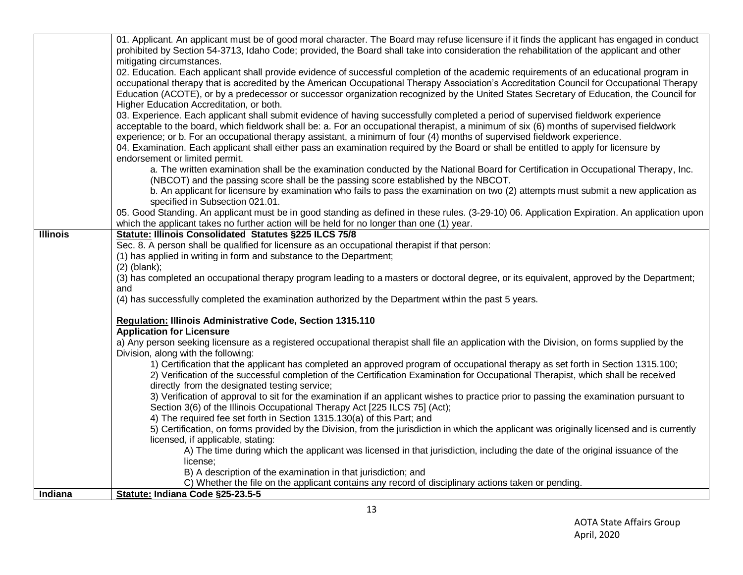|                 | 01. Applicant. An applicant must be of good moral character. The Board may refuse licensure if it finds the applicant has engaged in conduct  |
|-----------------|-----------------------------------------------------------------------------------------------------------------------------------------------|
|                 | prohibited by Section 54-3713, Idaho Code; provided, the Board shall take into consideration the rehabilitation of the applicant and other    |
|                 | mitigating circumstances.                                                                                                                     |
|                 | 02. Education. Each applicant shall provide evidence of successful completion of the academic requirements of an educational program in       |
|                 | occupational therapy that is accredited by the American Occupational Therapy Association's Accreditation Council for Occupational Therapy     |
|                 | Education (ACOTE), or by a predecessor or successor organization recognized by the United States Secretary of Education, the Council for      |
|                 | Higher Education Accreditation, or both.                                                                                                      |
|                 | 03. Experience. Each applicant shall submit evidence of having successfully completed a period of supervised fieldwork experience             |
|                 | acceptable to the board, which fieldwork shall be: a. For an occupational therapist, a minimum of six (6) months of supervised fieldwork      |
|                 | experience; or b. For an occupational therapy assistant, a minimum of four (4) months of supervised fieldwork experience.                     |
|                 | 04. Examination. Each applicant shall either pass an examination required by the Board or shall be entitled to apply for licensure by         |
|                 | endorsement or limited permit.                                                                                                                |
|                 | a. The written examination shall be the examination conducted by the National Board for Certification in Occupational Therapy, Inc.           |
|                 | (NBCOT) and the passing score shall be the passing score established by the NBCOT.                                                            |
|                 | b. An applicant for licensure by examination who fails to pass the examination on two (2) attempts must submit a new application as           |
|                 | specified in Subsection 021.01.                                                                                                               |
|                 | 05. Good Standing. An applicant must be in good standing as defined in these rules. (3-29-10) 06. Application Expiration. An application upon |
|                 | which the applicant takes no further action will be held for no longer than one (1) year.                                                     |
| <b>Illinois</b> | Statute: Illinois Consolidated Statutes §225 ILCS 75/8                                                                                        |
|                 | Sec. 8. A person shall be qualified for licensure as an occupational therapist if that person:                                                |
|                 | (1) has applied in writing in form and substance to the Department;                                                                           |
|                 | $(2)$ (blank);                                                                                                                                |
|                 | (3) has completed an occupational therapy program leading to a masters or doctoral degree, or its equivalent, approved by the Department;     |
|                 | and                                                                                                                                           |
|                 | (4) has successfully completed the examination authorized by the Department within the past 5 years.                                          |
|                 | Regulation: Illinois Administrative Code, Section 1315.110                                                                                    |
|                 | <b>Application for Licensure</b>                                                                                                              |
|                 | a) Any person seeking licensure as a registered occupational therapist shall file an application with the Division, on forms supplied by the  |
|                 | Division, along with the following:                                                                                                           |
|                 | 1) Certification that the applicant has completed an approved program of occupational therapy as set forth in Section 1315.100;               |
|                 | 2) Verification of the successful completion of the Certification Examination for Occupational Therapist, which shall be received             |
|                 | directly from the designated testing service;                                                                                                 |
|                 | 3) Verification of approval to sit for the examination if an applicant wishes to practice prior to passing the examination pursuant to        |
|                 | Section 3(6) of the Illinois Occupational Therapy Act [225 ILCS 75] (Act);                                                                    |
|                 | 4) The required fee set forth in Section 1315.130(a) of this Part; and                                                                        |
|                 | 5) Certification, on forms provided by the Division, from the jurisdiction in which the applicant was originally licensed and is currently    |
|                 | licensed, if applicable, stating:                                                                                                             |
|                 | A) The time during which the applicant was licensed in that jurisdiction, including the date of the original issuance of the                  |
|                 | license;                                                                                                                                      |
|                 | B) A description of the examination in that jurisdiction; and                                                                                 |
|                 | C) Whether the file on the applicant contains any record of disciplinary actions taken or pending.                                            |
| Indiana         | Statute: Indiana Code §25-23.5-5                                                                                                              |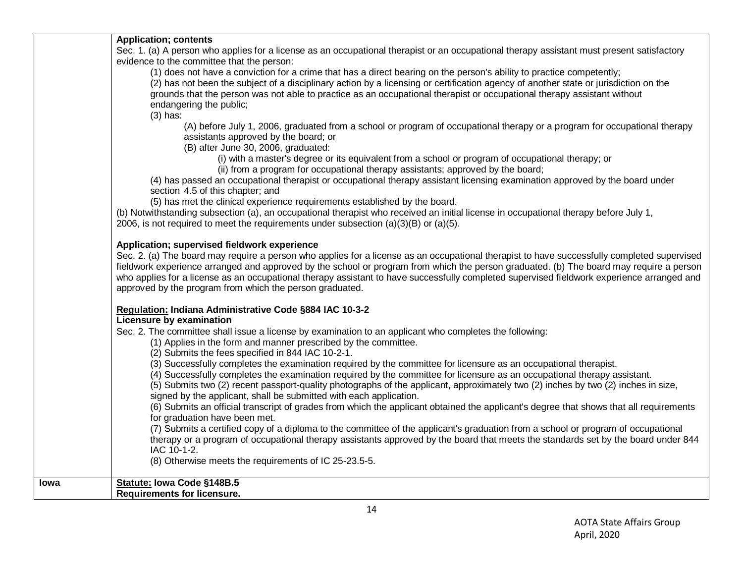|      | <b>Application; contents</b>                                                                                                                |
|------|---------------------------------------------------------------------------------------------------------------------------------------------|
|      | Sec. 1. (a) A person who applies for a license as an occupational therapist or an occupational therapy assistant must present satisfactory  |
|      | evidence to the committee that the person:                                                                                                  |
|      | (1) does not have a conviction for a crime that has a direct bearing on the person's ability to practice competently;                       |
|      | (2) has not been the subject of a disciplinary action by a licensing or certification agency of another state or jurisdiction on the        |
|      | grounds that the person was not able to practice as an occupational therapist or occupational therapy assistant without                     |
|      | endangering the public;                                                                                                                     |
|      | $(3)$ has:                                                                                                                                  |
|      | (A) before July 1, 2006, graduated from a school or program of occupational therapy or a program for occupational therapy                   |
|      | assistants approved by the board; or                                                                                                        |
|      | (B) after June 30, 2006, graduated:                                                                                                         |
|      | (i) with a master's degree or its equivalent from a school or program of occupational therapy; or                                           |
|      | (ii) from a program for occupational therapy assistants; approved by the board;                                                             |
|      | (4) has passed an occupational therapist or occupational therapy assistant licensing examination approved by the board under                |
|      | section 4.5 of this chapter; and                                                                                                            |
|      | (5) has met the clinical experience requirements established by the board.                                                                  |
|      | (b) Notwithstanding subsection (a), an occupational therapist who received an initial license in occupational therapy before July 1,        |
|      | 2006, is not required to meet the requirements under subsection $(a)(3)(B)$ or $(a)(5)$ .                                                   |
|      |                                                                                                                                             |
|      | Application; supervised fieldwork experience                                                                                                |
|      | Sec. 2. (a) The board may require a person who applies for a license as an occupational therapist to have successfully completed supervised |
|      | fieldwork experience arranged and approved by the school or program from which the person graduated. (b) The board may require a person     |
|      | who applies for a license as an occupational therapy assistant to have successfully completed supervised fieldwork experience arranged and  |
|      | approved by the program from which the person graduated.                                                                                    |
|      |                                                                                                                                             |
|      | Regulation: Indiana Administrative Code §884 IAC 10-3-2                                                                                     |
|      | Licensure by examination                                                                                                                    |
|      | Sec. 2. The committee shall issue a license by examination to an applicant who completes the following:                                     |
|      | (1) Applies in the form and manner prescribed by the committee.                                                                             |
|      | (2) Submits the fees specified in 844 IAC 10-2-1.                                                                                           |
|      | (3) Successfully completes the examination required by the committee for licensure as an occupational therapist.                            |
|      | (4) Successfully completes the examination required by the committee for licensure as an occupational therapy assistant.                    |
|      | (5) Submits two (2) recent passport-quality photographs of the applicant, approximately two (2) inches by two (2) inches in size,           |
|      | signed by the applicant, shall be submitted with each application.                                                                          |
|      | (6) Submits an official transcript of grades from which the applicant obtained the applicant's degree that shows that all requirements      |
|      | for graduation have been met.                                                                                                               |
|      | (7) Submits a certified copy of a diploma to the committee of the applicant's graduation from a school or program of occupational           |
|      | therapy or a program of occupational therapy assistants approved by the board that meets the standards set by the board under 844           |
|      | IAC 10-1-2.                                                                                                                                 |
|      | (8) Otherwise meets the requirements of IC 25-23.5-5.                                                                                       |
|      |                                                                                                                                             |
| Iowa | Statute: Iowa Code §148B.5                                                                                                                  |
|      | <b>Requirements for licensure.</b>                                                                                                          |
|      |                                                                                                                                             |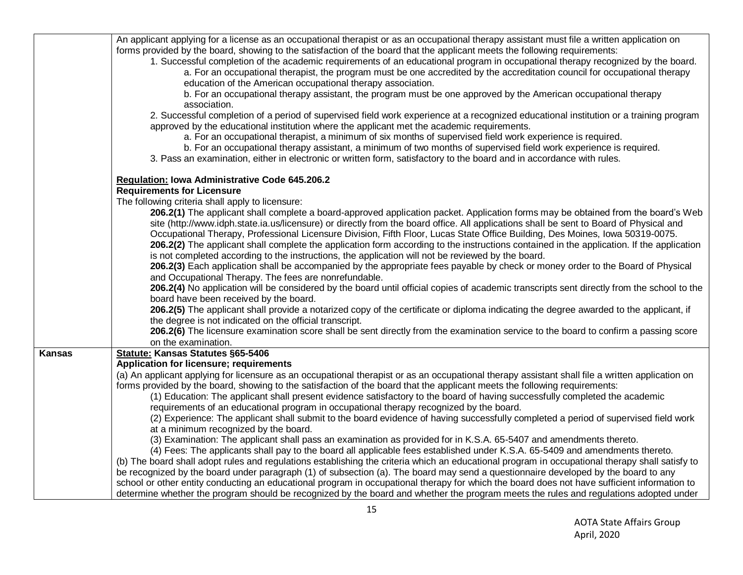|               | An applicant applying for a license as an occupational therapist or as an occupational therapy assistant must file a written application on      |
|---------------|--------------------------------------------------------------------------------------------------------------------------------------------------|
|               | forms provided by the board, showing to the satisfaction of the board that the applicant meets the following requirements:                       |
|               | 1. Successful completion of the academic requirements of an educational program in occupational therapy recognized by the board.                 |
|               | a. For an occupational therapist, the program must be one accredited by the accreditation council for occupational therapy                       |
|               | education of the American occupational therapy association.                                                                                      |
|               | b. For an occupational therapy assistant, the program must be one approved by the American occupational therapy                                  |
|               | association.                                                                                                                                     |
|               | 2. Successful completion of a period of supervised field work experience at a recognized educational institution or a training program           |
|               | approved by the educational institution where the applicant met the academic requirements.                                                       |
|               | a. For an occupational therapist, a minimum of six months of supervised field work experience is required.                                       |
|               | b. For an occupational therapy assistant, a minimum of two months of supervised field work experience is required.                               |
|               | 3. Pass an examination, either in electronic or written form, satisfactory to the board and in accordance with rules.                            |
|               |                                                                                                                                                  |
|               | Regulation: Iowa Administrative Code 645.206.2                                                                                                   |
|               | <b>Requirements for Licensure</b>                                                                                                                |
|               | The following criteria shall apply to licensure:                                                                                                 |
|               | 206.2(1) The applicant shall complete a board-approved application packet. Application forms may be obtained from the board's Web                |
|               | site (http://www.idph.state.ia.us/licensure) or directly from the board office. All applications shall be sent to Board of Physical and          |
|               | Occupational Therapy, Professional Licensure Division, Fifth Floor, Lucas State Office Building, Des Moines, Iowa 50319-0075.                    |
|               | 206.2(2) The applicant shall complete the application form according to the instructions contained in the application. If the application        |
|               | is not completed according to the instructions, the application will not be reviewed by the board.                                               |
|               | 206.2(3) Each application shall be accompanied by the appropriate fees payable by check or money order to the Board of Physical                  |
|               | and Occupational Therapy. The fees are nonrefundable.                                                                                            |
|               | 206.2(4) No application will be considered by the board until official copies of academic transcripts sent directly from the school to the       |
|               | board have been received by the board.                                                                                                           |
|               | 206.2(5) The applicant shall provide a notarized copy of the certificate or diploma indicating the degree awarded to the applicant, if           |
|               | the degree is not indicated on the official transcript.                                                                                          |
|               | 206.2(6) The licensure examination score shall be sent directly from the examination service to the board to confirm a passing score             |
|               | on the examination.                                                                                                                              |
| <b>Kansas</b> | <b>Statute: Kansas Statutes §65-5406</b>                                                                                                         |
|               | <b>Application for licensure; requirements</b>                                                                                                   |
|               | (a) An applicant applying for licensure as an occupational therapist or as an occupational therapy assistant shall file a written application on |
|               | forms provided by the board, showing to the satisfaction of the board that the applicant meets the following requirements:                       |
|               | (1) Education: The applicant shall present evidence satisfactory to the board of having successfully completed the academic                      |
|               | requirements of an educational program in occupational therapy recognized by the board.                                                          |
|               | (2) Experience: The applicant shall submit to the board evidence of having successfully completed a period of supervised field work              |
|               | at a minimum recognized by the board.                                                                                                            |
|               | (3) Examination: The applicant shall pass an examination as provided for in K.S.A. 65-5407 and amendments thereto.                               |
|               | (4) Fees: The applicants shall pay to the board all applicable fees established under K.S.A. 65-5409 and amendments thereto.                     |
|               | (b) The board shall adopt rules and regulations establishing the criteria which an educational program in occupational therapy shall satisfy to  |
|               | be recognized by the board under paragraph (1) of subsection (a). The board may send a questionnaire developed by the board to any               |
|               | school or other entity conducting an educational program in occupational therapy for which the board does not have sufficient information to     |
|               | determine whether the program should be recognized by the board and whether the program meets the rules and regulations adopted under            |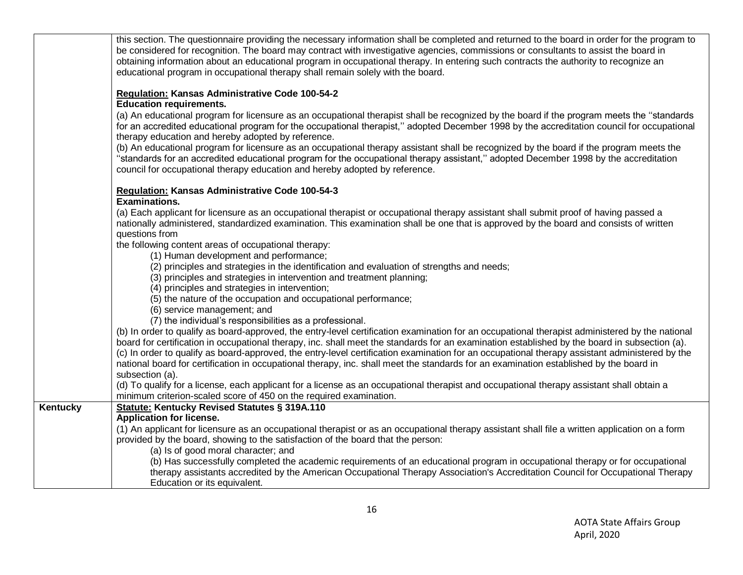|          | this section. The questionnaire providing the necessary information shall be completed and returned to the board in order for the program to<br>be considered for recognition. The board may contract with investigative agencies, commissions or consultants to assist the board in<br>obtaining information about an educational program in occupational therapy. In entering such contracts the authority to recognize an<br>educational program in occupational therapy shall remain solely with the board.                                                                                                                                                                                                                                                                                       |
|----------|-------------------------------------------------------------------------------------------------------------------------------------------------------------------------------------------------------------------------------------------------------------------------------------------------------------------------------------------------------------------------------------------------------------------------------------------------------------------------------------------------------------------------------------------------------------------------------------------------------------------------------------------------------------------------------------------------------------------------------------------------------------------------------------------------------|
|          | Regulation: Kansas Administrative Code 100-54-2<br><b>Education requirements.</b><br>(a) An educational program for licensure as an occupational therapist shall be recognized by the board if the program meets the "standards<br>for an accredited educational program for the occupational therapist," adopted December 1998 by the accreditation council for occupational<br>therapy education and hereby adopted by reference.<br>(b) An educational program for licensure as an occupational therapy assistant shall be recognized by the board if the program meets the<br>"standards for an accredited educational program for the occupational therapy assistant," adopted December 1998 by the accreditation<br>council for occupational therapy education and hereby adopted by reference. |
|          | Regulation: Kansas Administrative Code 100-54-3<br><b>Examinations.</b><br>(a) Each applicant for licensure as an occupational therapist or occupational therapy assistant shall submit proof of having passed a<br>nationally administered, standardized examination. This examination shall be one that is approved by the board and consists of written                                                                                                                                                                                                                                                                                                                                                                                                                                            |
|          | questions from<br>the following content areas of occupational therapy:<br>(1) Human development and performance;<br>(2) principles and strategies in the identification and evaluation of strengths and needs;<br>(3) principles and strategies in intervention and treatment planning;<br>(4) principles and strategies in intervention;                                                                                                                                                                                                                                                                                                                                                                                                                                                             |
|          | (5) the nature of the occupation and occupational performance;<br>(6) service management; and<br>(7) the individual's responsibilities as a professional.<br>(b) In order to qualify as board-approved, the entry-level certification examination for an occupational therapist administered by the national<br>board for certification in occupational therapy, inc. shall meet the standards for an examination established by the board in subsection (a).                                                                                                                                                                                                                                                                                                                                         |
|          | (c) In order to qualify as board-approved, the entry-level certification examination for an occupational therapy assistant administered by the<br>national board for certification in occupational therapy, inc. shall meet the standards for an examination established by the board in<br>subsection (a).<br>(d) To qualify for a license, each applicant for a license as an occupational therapist and occupational therapy assistant shall obtain a<br>minimum criterion-scaled score of 450 on the required examination.                                                                                                                                                                                                                                                                        |
| Kentucky | <b>Statute: Kentucky Revised Statutes § 319A.110</b><br><b>Application for license.</b><br>(1) An applicant for licensure as an occupational therapist or as an occupational therapy assistant shall file a written application on a form<br>provided by the board, showing to the satisfaction of the board that the person:<br>(a) Is of good moral character; and                                                                                                                                                                                                                                                                                                                                                                                                                                  |
|          | (b) Has successfully completed the academic requirements of an educational program in occupational therapy or for occupational<br>therapy assistants accredited by the American Occupational Therapy Association's Accreditation Council for Occupational Therapy<br>Education or its equivalent.                                                                                                                                                                                                                                                                                                                                                                                                                                                                                                     |
|          |                                                                                                                                                                                                                                                                                                                                                                                                                                                                                                                                                                                                                                                                                                                                                                                                       |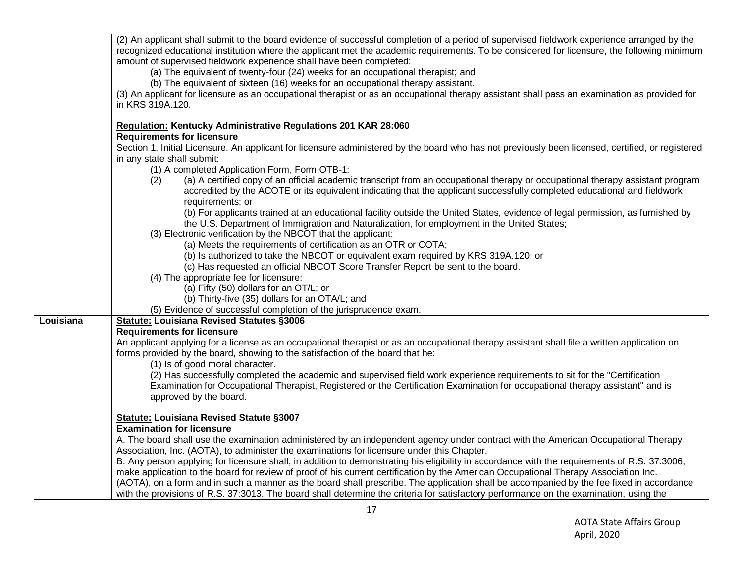|           | (2) An applicant shall submit to the board evidence of successful completion of a period of supervised fieldwork experience arranged by the<br>recognized educational institution where the applicant met the academic requirements. To be considered for licensure, the following minimum<br>amount of supervised fieldwork experience shall have been completed:<br>(a) The equivalent of twenty-four (24) weeks for an occupational therapist; and<br>(b) The equivalent of sixteen (16) weeks for an occupational therapy assistant.<br>(3) An applicant for licensure as an occupational therapist or as an occupational therapy assistant shall pass an examination as provided for<br>in KRS 319A.120. |
|-----------|---------------------------------------------------------------------------------------------------------------------------------------------------------------------------------------------------------------------------------------------------------------------------------------------------------------------------------------------------------------------------------------------------------------------------------------------------------------------------------------------------------------------------------------------------------------------------------------------------------------------------------------------------------------------------------------------------------------|
|           | Regulation: Kentucky Administrative Regulations 201 KAR 28:060                                                                                                                                                                                                                                                                                                                                                                                                                                                                                                                                                                                                                                                |
|           | <b>Requirements for licensure</b>                                                                                                                                                                                                                                                                                                                                                                                                                                                                                                                                                                                                                                                                             |
|           | Section 1. Initial Licensure. An applicant for licensure administered by the board who has not previously been licensed, certified, or registered                                                                                                                                                                                                                                                                                                                                                                                                                                                                                                                                                             |
|           | in any state shall submit:<br>(1) A completed Application Form, Form OTB-1;                                                                                                                                                                                                                                                                                                                                                                                                                                                                                                                                                                                                                                   |
|           | (a) A certified copy of an official academic transcript from an occupational therapy or occupational therapy assistant program<br>(2)<br>accredited by the ACOTE or its equivalent indicating that the applicant successfully completed educational and fieldwork                                                                                                                                                                                                                                                                                                                                                                                                                                             |
|           | requirements; or<br>(b) For applicants trained at an educational facility outside the United States, evidence of legal permission, as furnished by<br>the U.S. Department of Immigration and Naturalization, for employment in the United States;                                                                                                                                                                                                                                                                                                                                                                                                                                                             |
|           | (3) Electronic verification by the NBCOT that the applicant:                                                                                                                                                                                                                                                                                                                                                                                                                                                                                                                                                                                                                                                  |
|           | (a) Meets the requirements of certification as an OTR or COTA;                                                                                                                                                                                                                                                                                                                                                                                                                                                                                                                                                                                                                                                |
|           | (b) Is authorized to take the NBCOT or equivalent exam required by KRS 319A.120; or                                                                                                                                                                                                                                                                                                                                                                                                                                                                                                                                                                                                                           |
|           | (c) Has requested an official NBCOT Score Transfer Report be sent to the board.<br>(4) The appropriate fee for licensure:                                                                                                                                                                                                                                                                                                                                                                                                                                                                                                                                                                                     |
|           | (a) Fifty (50) dollars for an OT/L; or                                                                                                                                                                                                                                                                                                                                                                                                                                                                                                                                                                                                                                                                        |
|           | (b) Thirty-five (35) dollars for an OTA/L; and                                                                                                                                                                                                                                                                                                                                                                                                                                                                                                                                                                                                                                                                |
|           | (5) Evidence of successful completion of the jurisprudence exam.                                                                                                                                                                                                                                                                                                                                                                                                                                                                                                                                                                                                                                              |
| Louisiana | <b>Statute: Louisiana Revised Statutes §3006</b>                                                                                                                                                                                                                                                                                                                                                                                                                                                                                                                                                                                                                                                              |
|           | <b>Requirements for licensure</b>                                                                                                                                                                                                                                                                                                                                                                                                                                                                                                                                                                                                                                                                             |
|           | An applicant applying for a license as an occupational therapist or as an occupational therapy assistant shall file a written application on<br>forms provided by the board, showing to the satisfaction of the board that he:                                                                                                                                                                                                                                                                                                                                                                                                                                                                                |
|           | (1) Is of good moral character.<br>(2) Has successfully completed the academic and supervised field work experience requirements to sit for the "Certification<br>Examination for Occupational Therapist, Registered or the Certification Examination for occupational therapy assistant" and is<br>approved by the board.                                                                                                                                                                                                                                                                                                                                                                                    |
|           | Statute: Louisiana Revised Statute §3007                                                                                                                                                                                                                                                                                                                                                                                                                                                                                                                                                                                                                                                                      |
|           | <b>Examination for licensure</b>                                                                                                                                                                                                                                                                                                                                                                                                                                                                                                                                                                                                                                                                              |
|           | A. The board shall use the examination administered by an independent agency under contract with the American Occupational Therapy                                                                                                                                                                                                                                                                                                                                                                                                                                                                                                                                                                            |
|           | Association, Inc. (AOTA), to administer the examinations for licensure under this Chapter.                                                                                                                                                                                                                                                                                                                                                                                                                                                                                                                                                                                                                    |
|           | B. Any person applying for licensure shall, in addition to demonstrating his eligibility in accordance with the requirements of R.S. 37:3006,                                                                                                                                                                                                                                                                                                                                                                                                                                                                                                                                                                 |
|           | make application to the board for review of proof of his current certification by the American Occupational Therapy Association Inc.<br>(AOTA), on a form and in such a manner as the board shall prescribe. The application shall be accompanied by the fee fixed in accordance                                                                                                                                                                                                                                                                                                                                                                                                                              |
|           | with the provisions of R.S. 37:3013. The board shall determine the criteria for satisfactory performance on the examination, using the                                                                                                                                                                                                                                                                                                                                                                                                                                                                                                                                                                        |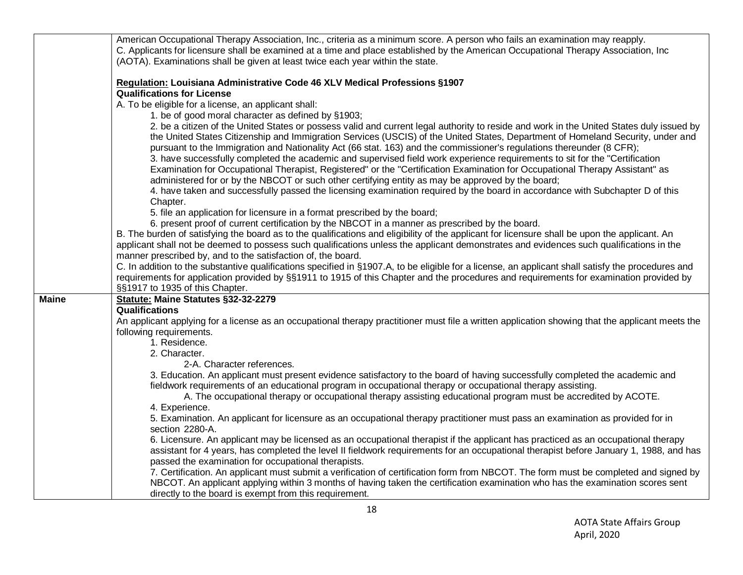|              | American Occupational Therapy Association, Inc., criteria as a minimum score. A person who fails an examination may reapply.                       |
|--------------|----------------------------------------------------------------------------------------------------------------------------------------------------|
|              | C. Applicants for licensure shall be examined at a time and place established by the American Occupational Therapy Association, Inc                |
|              | (AOTA). Examinations shall be given at least twice each year within the state.                                                                     |
|              |                                                                                                                                                    |
|              | Regulation: Louisiana Administrative Code 46 XLV Medical Professions §1907                                                                         |
|              | <b>Qualifications for License</b>                                                                                                                  |
|              | A. To be eligible for a license, an applicant shall:                                                                                               |
|              | 1. be of good moral character as defined by §1903;                                                                                                 |
|              | 2. be a citizen of the United States or possess valid and current legal authority to reside and work in the United States duly issued by           |
|              | the United States Citizenship and Immigration Services (USCIS) of the United States, Department of Homeland Security, under and                    |
|              | pursuant to the Immigration and Nationality Act (66 stat. 163) and the commissioner's regulations thereunder (8 CFR);                              |
|              | 3. have successfully completed the academic and supervised field work experience requirements to sit for the "Certification"                       |
|              | Examination for Occupational Therapist, Registered" or the "Certification Examination for Occupational Therapy Assistant" as                       |
|              | administered for or by the NBCOT or such other certifying entity as may be approved by the board;                                                  |
|              | 4. have taken and successfully passed the licensing examination required by the board in accordance with Subchapter D of this                      |
|              | Chapter.                                                                                                                                           |
|              | 5. file an application for licensure in a format prescribed by the board;                                                                          |
|              | 6. present proof of current certification by the NBCOT in a manner as prescribed by the board.                                                     |
|              | B. The burden of satisfying the board as to the qualifications and eligibility of the applicant for licensure shall be upon the applicant. An      |
|              | applicant shall not be deemed to possess such qualifications unless the applicant demonstrates and evidences such qualifications in the            |
|              | manner prescribed by, and to the satisfaction of, the board.                                                                                       |
|              | C. In addition to the substantive qualifications specified in §1907.A, to be eligible for a license, an applicant shall satisfy the procedures and |
|              | requirements for application provided by §§1911 to 1915 of this Chapter and the procedures and requirements for examination provided by            |
|              | §§1917 to 1935 of this Chapter.                                                                                                                    |
| <b>Maine</b> | Statute: Maine Statutes §32-32-2279                                                                                                                |
|              | Qualifications                                                                                                                                     |
|              | An applicant applying for a license as an occupational therapy practitioner must file a written application showing that the applicant meets the   |
|              | following requirements.                                                                                                                            |
|              | 1. Residence.                                                                                                                                      |
|              | 2. Character.                                                                                                                                      |
|              | 2-A. Character references.                                                                                                                         |
|              | 3. Education. An applicant must present evidence satisfactory to the board of having successfully completed the academic and                       |
|              | fieldwork requirements of an educational program in occupational therapy or occupational therapy assisting.                                        |
|              | A. The occupational therapy or occupational therapy assisting educational program must be accredited by ACOTE.                                     |
|              | 4. Experience.                                                                                                                                     |
|              | 5. Examination. An applicant for licensure as an occupational therapy practitioner must pass an examination as provided for in                     |
|              | section 2280-A.                                                                                                                                    |
|              | 6. Licensure. An applicant may be licensed as an occupational therapist if the applicant has practiced as an occupational therapy                  |
|              | assistant for 4 years, has completed the level II fieldwork requirements for an occupational therapist before January 1, 1988, and has             |
|              | passed the examination for occupational therapists.                                                                                                |
|              | 7. Certification. An applicant must submit a verification of certification form from NBCOT. The form must be completed and signed by               |
|              | NBCOT. An applicant applying within 3 months of having taken the certification examination who has the examination scores sent                     |
|              | directly to the board is exempt from this requirement.                                                                                             |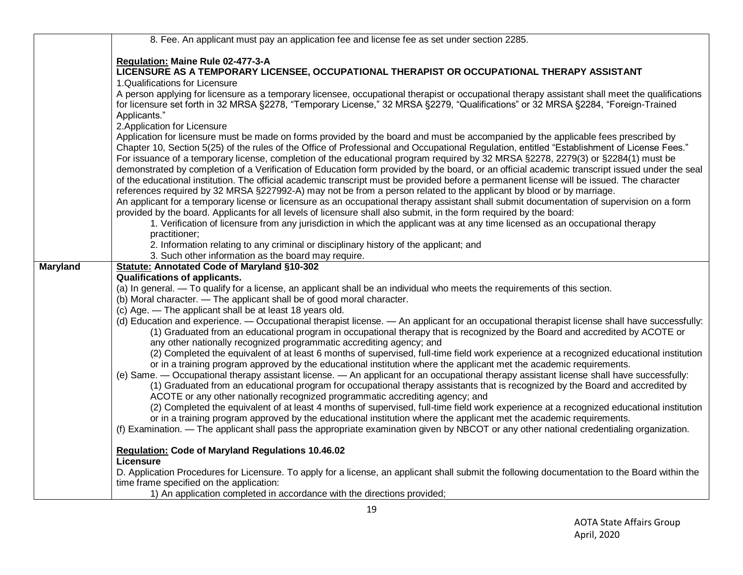|                 | 8. Fee. An applicant must pay an application fee and license fee as set under section 2285.                                                                                                                                                                     |
|-----------------|-----------------------------------------------------------------------------------------------------------------------------------------------------------------------------------------------------------------------------------------------------------------|
|                 |                                                                                                                                                                                                                                                                 |
|                 | Regulation: Maine Rule 02-477-3-A                                                                                                                                                                                                                               |
|                 | LICENSURE AS A TEMPORARY LICENSEE, OCCUPATIONAL THERAPIST OR OCCUPATIONAL THERAPY ASSISTANT<br>1.Qualifications for Licensure                                                                                                                                   |
|                 | A person applying for licensure as a temporary licensee, occupational therapist or occupational therapy assistant shall meet the qualifications                                                                                                                 |
|                 | for licensure set forth in 32 MRSA §2278, "Temporary License," 32 MRSA §2279, "Qualifications" or 32 MRSA §2284, "Foreign-Trained                                                                                                                               |
|                 | Applicants."                                                                                                                                                                                                                                                    |
|                 | 2. Application for Licensure                                                                                                                                                                                                                                    |
|                 | Application for licensure must be made on forms provided by the board and must be accompanied by the applicable fees prescribed by                                                                                                                              |
|                 | Chapter 10, Section 5(25) of the rules of the Office of Professional and Occupational Regulation, entitled "Establishment of License Fees."                                                                                                                     |
|                 | For issuance of a temporary license, completion of the educational program required by 32 MRSA §2278, 2279(3) or §2284(1) must be                                                                                                                               |
|                 | demonstrated by completion of a Verification of Education form provided by the board, or an official academic transcript issued under the seal                                                                                                                  |
|                 | of the educational institution. The official academic transcript must be provided before a permanent license will be issued. The character                                                                                                                      |
|                 | references required by 32 MRSA §227992-A) may not be from a person related to the applicant by blood or by marriage.                                                                                                                                            |
|                 | An applicant for a temporary license or licensure as an occupational therapy assistant shall submit documentation of supervision on a form                                                                                                                      |
|                 | provided by the board. Applicants for all levels of licensure shall also submit, in the form required by the board:                                                                                                                                             |
|                 | 1. Verification of licensure from any jurisdiction in which the applicant was at any time licensed as an occupational therapy                                                                                                                                   |
|                 | practitioner;                                                                                                                                                                                                                                                   |
|                 | 2. Information relating to any criminal or disciplinary history of the applicant; and<br>3. Such other information as the board may require.                                                                                                                    |
| <b>Maryland</b> | <b>Statute: Annotated Code of Maryland §10-302</b>                                                                                                                                                                                                              |
|                 | <b>Qualifications of applicants.</b>                                                                                                                                                                                                                            |
|                 | (a) In general. - To qualify for a license, an applicant shall be an individual who meets the requirements of this section.                                                                                                                                     |
|                 | (b) Moral character. — The applicant shall be of good moral character.                                                                                                                                                                                          |
|                 | (c) Age. - The applicant shall be at least 18 years old.                                                                                                                                                                                                        |
|                 | (d) Education and experience. - Occupational therapist license. - An applicant for an occupational therapist license shall have successfully:                                                                                                                   |
|                 | (1) Graduated from an educational program in occupational therapy that is recognized by the Board and accredited by ACOTE or                                                                                                                                    |
|                 | any other nationally recognized programmatic accrediting agency; and                                                                                                                                                                                            |
|                 | (2) Completed the equivalent of at least 6 months of supervised, full-time field work experience at a recognized educational institution                                                                                                                        |
|                 | or in a training program approved by the educational institution where the applicant met the academic requirements.                                                                                                                                             |
|                 | (e) Same. — Occupational therapy assistant license. — An applicant for an occupational therapy assistant license shall have successfully:                                                                                                                       |
|                 | (1) Graduated from an educational program for occupational therapy assistants that is recognized by the Board and accredited by                                                                                                                                 |
|                 | ACOTE or any other nationally recognized programmatic accrediting agency; and                                                                                                                                                                                   |
|                 | (2) Completed the equivalent of at least 4 months of supervised, full-time field work experience at a recognized educational institution<br>or in a training program approved by the educational institution where the applicant met the academic requirements. |
|                 | (f) Examination. — The applicant shall pass the appropriate examination given by NBCOT or any other national credentialing organization.                                                                                                                        |
|                 |                                                                                                                                                                                                                                                                 |
|                 | Regulation: Code of Maryland Regulations 10.46.02                                                                                                                                                                                                               |
|                 | Licensure                                                                                                                                                                                                                                                       |
|                 | D. Application Procedures for Licensure. To apply for a license, an applicant shall submit the following documentation to the Board within the                                                                                                                  |
|                 | time frame specified on the application:                                                                                                                                                                                                                        |
|                 | 1) An application completed in accordance with the directions provided;                                                                                                                                                                                         |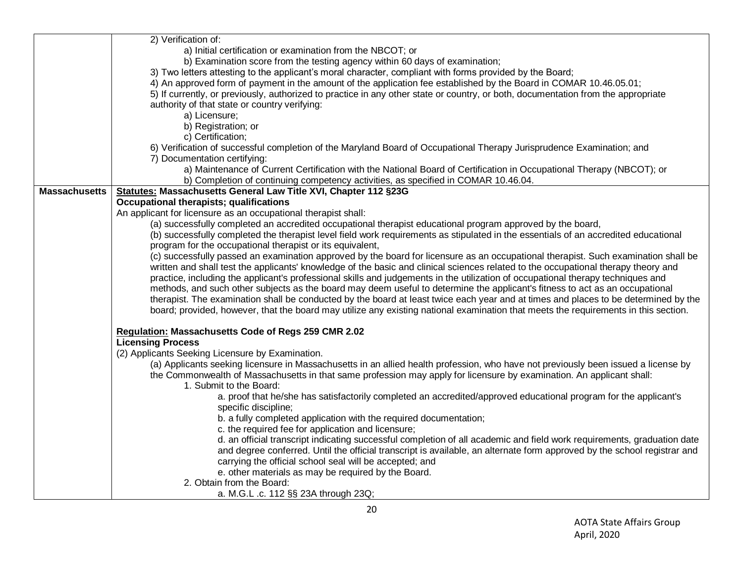|                      | 2) Verification of:                                                                                                                 |
|----------------------|-------------------------------------------------------------------------------------------------------------------------------------|
|                      | a) Initial certification or examination from the NBCOT; or                                                                          |
|                      | b) Examination score from the testing agency within 60 days of examination;                                                         |
|                      | 3) Two letters attesting to the applicant's moral character, compliant with forms provided by the Board;                            |
|                      | 4) An approved form of payment in the amount of the application fee established by the Board in COMAR 10.46.05.01;                  |
|                      | 5) If currently, or previously, authorized to practice in any other state or country, or both, documentation from the appropriate   |
|                      | authority of that state or country verifying:                                                                                       |
|                      | a) Licensure;                                                                                                                       |
|                      | b) Registration; or                                                                                                                 |
|                      | c) Certification;                                                                                                                   |
|                      |                                                                                                                                     |
|                      | 6) Verification of successful completion of the Maryland Board of Occupational Therapy Jurisprudence Examination; and               |
|                      | 7) Documentation certifying:                                                                                                        |
|                      | a) Maintenance of Current Certification with the National Board of Certification in Occupational Therapy (NBCOT); or                |
|                      | b) Completion of continuing competency activities, as specified in COMAR 10.46.04.                                                  |
| <b>Massachusetts</b> | Statutes: Massachusetts General Law Title XVI, Chapter 112 §23G                                                                     |
|                      | Occupational therapists; qualifications                                                                                             |
|                      | An applicant for licensure as an occupational therapist shall:                                                                      |
|                      | (a) successfully completed an accredited occupational therapist educational program approved by the board,                          |
|                      | (b) successfully completed the therapist level field work requirements as stipulated in the essentials of an accredited educational |
|                      | program for the occupational therapist or its equivalent,                                                                           |
|                      | (c) successfully passed an examination approved by the board for licensure as an occupational therapist. Such examination shall be  |
|                      | written and shall test the applicants' knowledge of the basic and clinical sciences related to the occupational therapy theory and  |
|                      | practice, including the applicant's professional skills and judgements in the utilization of occupational therapy techniques and    |
|                      | methods, and such other subjects as the board may deem useful to determine the applicant's fitness to act as an occupational        |
|                      | therapist. The examination shall be conducted by the board at least twice each year and at times and places to be determined by the |
|                      | board; provided, however, that the board may utilize any existing national examination that meets the requirements in this section. |
|                      |                                                                                                                                     |
|                      | Regulation: Massachusetts Code of Regs 259 CMR 2.02                                                                                 |
|                      | <b>Licensing Process</b>                                                                                                            |
|                      | (2) Applicants Seeking Licensure by Examination.                                                                                    |
|                      | (a) Applicants seeking licensure in Massachusetts in an allied health profession, who have not previously been issued a license by  |
|                      | the Commonwealth of Massachusetts in that same profession may apply for licensure by examination. An applicant shall:               |
|                      | 1. Submit to the Board:                                                                                                             |
|                      | a. proof that he/she has satisfactorily completed an accredited/approved educational program for the applicant's                    |
|                      | specific discipline;                                                                                                                |
|                      | b. a fully completed application with the required documentation;                                                                   |
|                      | c. the required fee for application and licensure;                                                                                  |
|                      |                                                                                                                                     |
|                      | d. an official transcript indicating successful completion of all academic and field work requirements, graduation date             |
|                      | and degree conferred. Until the official transcript is available, an alternate form approved by the school registrar and            |
|                      | carrying the official school seal will be accepted; and                                                                             |
|                      | e. other materials as may be required by the Board.                                                                                 |
|                      | 2. Obtain from the Board:                                                                                                           |
|                      | a. M.G.L .c. 112 §§ 23A through 23Q;                                                                                                |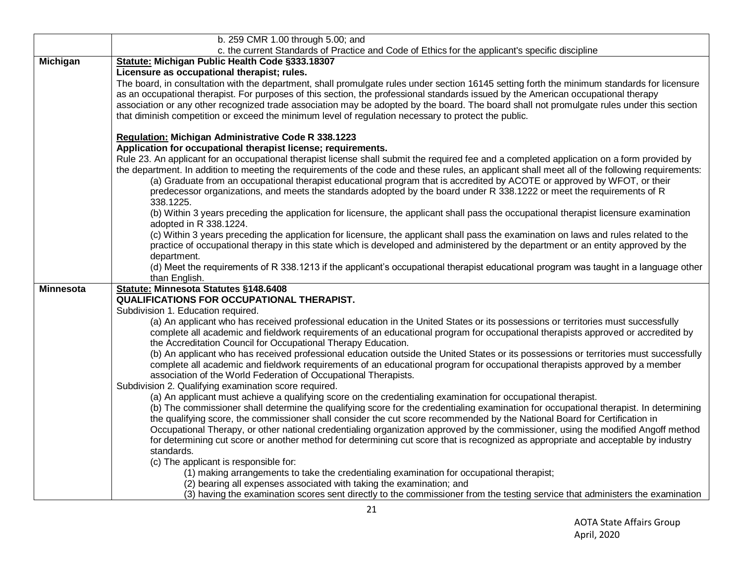|                  | b. 259 CMR 1.00 through 5.00; and                                                                                                                                                                                                                                                                                                                                                                                                                                                                                                                                                                                                                                |
|------------------|------------------------------------------------------------------------------------------------------------------------------------------------------------------------------------------------------------------------------------------------------------------------------------------------------------------------------------------------------------------------------------------------------------------------------------------------------------------------------------------------------------------------------------------------------------------------------------------------------------------------------------------------------------------|
|                  | c. the current Standards of Practice and Code of Ethics for the applicant's specific discipline                                                                                                                                                                                                                                                                                                                                                                                                                                                                                                                                                                  |
| Michigan         | Statute: Michigan Public Health Code §333.18307                                                                                                                                                                                                                                                                                                                                                                                                                                                                                                                                                                                                                  |
|                  | Licensure as occupational therapist; rules.                                                                                                                                                                                                                                                                                                                                                                                                                                                                                                                                                                                                                      |
|                  | The board, in consultation with the department, shall promulgate rules under section 16145 setting forth the minimum standards for licensure<br>as an occupational therapist. For purposes of this section, the professional standards issued by the American occupational therapy<br>association or any other recognized trade association may be adopted by the board. The board shall not promulgate rules under this section<br>that diminish competition or exceed the minimum level of regulation necessary to protect the public.                                                                                                                         |
|                  | <b>Regulation: Michigan Administrative Code R 338.1223</b>                                                                                                                                                                                                                                                                                                                                                                                                                                                                                                                                                                                                       |
|                  | Application for occupational therapist license; requirements.                                                                                                                                                                                                                                                                                                                                                                                                                                                                                                                                                                                                    |
|                  | Rule 23. An applicant for an occupational therapist license shall submit the required fee and a completed application on a form provided by                                                                                                                                                                                                                                                                                                                                                                                                                                                                                                                      |
|                  | the department. In addition to meeting the requirements of the code and these rules, an applicant shall meet all of the following requirements:<br>(a) Graduate from an occupational therapist educational program that is accredited by ACOTE or approved by WFOT, or their<br>predecessor organizations, and meets the standards adopted by the board under R 338.1222 or meet the requirements of R<br>338.1225.                                                                                                                                                                                                                                              |
|                  | (b) Within 3 years preceding the application for licensure, the applicant shall pass the occupational therapist licensure examination<br>adopted in R 338.1224.                                                                                                                                                                                                                                                                                                                                                                                                                                                                                                  |
|                  | (c) Within 3 years preceding the application for licensure, the applicant shall pass the examination on laws and rules related to the<br>practice of occupational therapy in this state which is developed and administered by the department or an entity approved by the<br>department.                                                                                                                                                                                                                                                                                                                                                                        |
|                  | (d) Meet the requirements of R 338.1213 if the applicant's occupational therapist educational program was taught in a language other<br>than English.                                                                                                                                                                                                                                                                                                                                                                                                                                                                                                            |
| <b>Minnesota</b> | Statute: Minnesota Statutes §148.6408                                                                                                                                                                                                                                                                                                                                                                                                                                                                                                                                                                                                                            |
|                  | QUALIFICATIONS FOR OCCUPATIONAL THERAPIST.                                                                                                                                                                                                                                                                                                                                                                                                                                                                                                                                                                                                                       |
|                  | Subdivision 1. Education required.                                                                                                                                                                                                                                                                                                                                                                                                                                                                                                                                                                                                                               |
|                  | (a) An applicant who has received professional education in the United States or its possessions or territories must successfully                                                                                                                                                                                                                                                                                                                                                                                                                                                                                                                                |
|                  | complete all academic and fieldwork requirements of an educational program for occupational therapists approved or accredited by<br>the Accreditation Council for Occupational Therapy Education.                                                                                                                                                                                                                                                                                                                                                                                                                                                                |
|                  | (b) An applicant who has received professional education outside the United States or its possessions or territories must successfully<br>complete all academic and fieldwork requirements of an educational program for occupational therapists approved by a member<br>association of the World Federation of Occupational Therapists.                                                                                                                                                                                                                                                                                                                         |
|                  | Subdivision 2. Qualifying examination score required.                                                                                                                                                                                                                                                                                                                                                                                                                                                                                                                                                                                                            |
|                  | (a) An applicant must achieve a qualifying score on the credentialing examination for occupational therapist.<br>(b) The commissioner shall determine the qualifying score for the credentialing examination for occupational therapist. In determining<br>the qualifying score, the commissioner shall consider the cut score recommended by the National Board for Certification in<br>Occupational Therapy, or other national credentialing organization approved by the commissioner, using the modified Angoff method<br>for determining cut score or another method for determining cut score that is recognized as appropriate and acceptable by industry |
|                  | standards.                                                                                                                                                                                                                                                                                                                                                                                                                                                                                                                                                                                                                                                       |
|                  | (c) The applicant is responsible for:<br>(1) making arrangements to take the credentialing examination for occupational therapist;                                                                                                                                                                                                                                                                                                                                                                                                                                                                                                                               |
|                  | (2) bearing all expenses associated with taking the examination; and                                                                                                                                                                                                                                                                                                                                                                                                                                                                                                                                                                                             |
|                  | (3) having the examination scores sent directly to the commissioner from the testing service that administers the examination                                                                                                                                                                                                                                                                                                                                                                                                                                                                                                                                    |
|                  |                                                                                                                                                                                                                                                                                                                                                                                                                                                                                                                                                                                                                                                                  |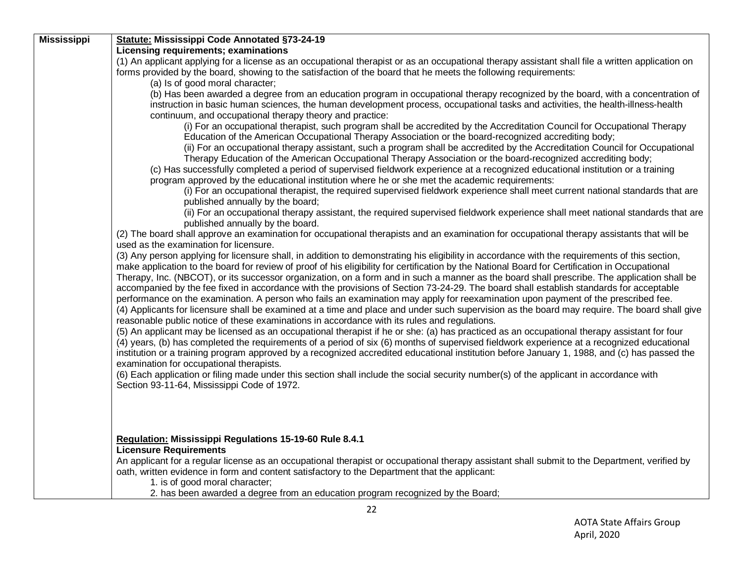| <b>Mississippi</b> | <b>Statute: Mississippi Code Annotated §73-24-19</b>                                                                                                                                                                                                                                                                             |
|--------------------|----------------------------------------------------------------------------------------------------------------------------------------------------------------------------------------------------------------------------------------------------------------------------------------------------------------------------------|
|                    | Licensing requirements; examinations                                                                                                                                                                                                                                                                                             |
|                    | (1) An applicant applying for a license as an occupational therapist or as an occupational therapy assistant shall file a written application on                                                                                                                                                                                 |
|                    | forms provided by the board, showing to the satisfaction of the board that he meets the following requirements:                                                                                                                                                                                                                  |
|                    | (a) Is of good moral character;                                                                                                                                                                                                                                                                                                  |
|                    | (b) Has been awarded a degree from an education program in occupational therapy recognized by the board, with a concentration of<br>instruction in basic human sciences, the human development process, occupational tasks and activities, the health-illness-health<br>continuum, and occupational therapy theory and practice: |
|                    | (i) For an occupational therapist, such program shall be accredited by the Accreditation Council for Occupational Therapy                                                                                                                                                                                                        |
|                    | Education of the American Occupational Therapy Association or the board-recognized accrediting body;                                                                                                                                                                                                                             |
|                    | (ii) For an occupational therapy assistant, such a program shall be accredited by the Accreditation Council for Occupational                                                                                                                                                                                                     |
|                    | Therapy Education of the American Occupational Therapy Association or the board-recognized accrediting body;                                                                                                                                                                                                                     |
|                    | (c) Has successfully completed a period of supervised fieldwork experience at a recognized educational institution or a training                                                                                                                                                                                                 |
|                    | program approved by the educational institution where he or she met the academic requirements:                                                                                                                                                                                                                                   |
|                    | (i) For an occupational therapist, the required supervised fieldwork experience shall meet current national standards that are                                                                                                                                                                                                   |
|                    | published annually by the board;                                                                                                                                                                                                                                                                                                 |
|                    | (ii) For an occupational therapy assistant, the required supervised fieldwork experience shall meet national standards that are                                                                                                                                                                                                  |
|                    | published annually by the board.                                                                                                                                                                                                                                                                                                 |
|                    | (2) The board shall approve an examination for occupational therapists and an examination for occupational therapy assistants that will be                                                                                                                                                                                       |
|                    | used as the examination for licensure.                                                                                                                                                                                                                                                                                           |
|                    | (3) Any person applying for licensure shall, in addition to demonstrating his eligibility in accordance with the requirements of this section,<br>make application to the board for review of proof of his eligibility for certification by the National Board for Certification in Occupational                                 |
|                    | Therapy, Inc. (NBCOT), or its successor organization, on a form and in such a manner as the board shall prescribe. The application shall be<br>accompanied by the fee fixed in accordance with the provisions of Section 73-24-29. The board shall establish standards for acceptable                                            |
|                    | performance on the examination. A person who fails an examination may apply for reexamination upon payment of the prescribed fee.<br>(4) Applicants for licensure shall be examined at a time and place and under such supervision as the board may require. The board shall give                                                |
|                    | reasonable public notice of these examinations in accordance with its rules and regulations.                                                                                                                                                                                                                                     |
|                    | (5) An applicant may be licensed as an occupational therapist if he or she: (a) has practiced as an occupational therapy assistant for four                                                                                                                                                                                      |
|                    | (4) years, (b) has completed the requirements of a period of six (6) months of supervised fieldwork experience at a recognized educational                                                                                                                                                                                       |
|                    | institution or a training program approved by a recognized accredited educational institution before January 1, 1988, and (c) has passed the                                                                                                                                                                                     |
|                    | examination for occupational therapists.                                                                                                                                                                                                                                                                                         |
|                    | (6) Each application or filing made under this section shall include the social security number(s) of the applicant in accordance with                                                                                                                                                                                           |
|                    | Section 93-11-64, Mississippi Code of 1972.                                                                                                                                                                                                                                                                                      |
|                    |                                                                                                                                                                                                                                                                                                                                  |
|                    |                                                                                                                                                                                                                                                                                                                                  |
|                    |                                                                                                                                                                                                                                                                                                                                  |
|                    | <b>Regulation: Mississippi Regulations 15-19-60 Rule 8.4.1</b>                                                                                                                                                                                                                                                                   |
|                    | <b>Licensure Requirements</b>                                                                                                                                                                                                                                                                                                    |
|                    | An applicant for a regular license as an occupational therapist or occupational therapy assistant shall submit to the Department, verified by                                                                                                                                                                                    |
|                    | oath, written evidence in form and content satisfactory to the Department that the applicant:                                                                                                                                                                                                                                    |
|                    | 1. is of good moral character;                                                                                                                                                                                                                                                                                                   |
|                    | 2. has been awarded a degree from an education program recognized by the Board;                                                                                                                                                                                                                                                  |
|                    | $\sim$                                                                                                                                                                                                                                                                                                                           |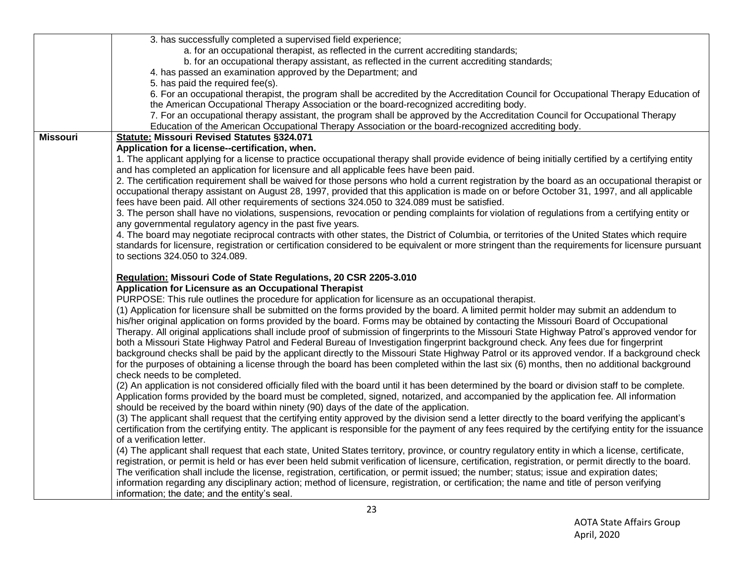|                 | 3. has successfully completed a supervised field experience;                                                                                                                                                                                                                                        |
|-----------------|-----------------------------------------------------------------------------------------------------------------------------------------------------------------------------------------------------------------------------------------------------------------------------------------------------|
|                 | a. for an occupational therapist, as reflected in the current accrediting standards;                                                                                                                                                                                                                |
|                 | b. for an occupational therapy assistant, as reflected in the current accrediting standards;                                                                                                                                                                                                        |
|                 | 4. has passed an examination approved by the Department; and                                                                                                                                                                                                                                        |
|                 | 5. has paid the required fee(s).                                                                                                                                                                                                                                                                    |
|                 | 6. For an occupational therapist, the program shall be accredited by the Accreditation Council for Occupational Therapy Education of<br>the American Occupational Therapy Association or the board-recognized accrediting body.                                                                     |
|                 | 7. For an occupational therapy assistant, the program shall be approved by the Accreditation Council for Occupational Therapy<br>Education of the American Occupational Therapy Association or the board-recognized accrediting body.                                                               |
| <b>Missouri</b> | <b>Statute: Missouri Revised Statutes §324.071</b>                                                                                                                                                                                                                                                  |
|                 | Application for a license--certification, when.                                                                                                                                                                                                                                                     |
|                 | 1. The applicant applying for a license to practice occupational therapy shall provide evidence of being initially certified by a certifying entity                                                                                                                                                 |
|                 | and has completed an application for licensure and all applicable fees have been paid.                                                                                                                                                                                                              |
|                 | 2. The certification requirement shall be waived for those persons who hold a current registration by the board as an occupational therapist or                                                                                                                                                     |
|                 | occupational therapy assistant on August 28, 1997, provided that this application is made on or before October 31, 1997, and all applicable                                                                                                                                                         |
|                 | fees have been paid. All other requirements of sections 324.050 to 324.089 must be satisfied.                                                                                                                                                                                                       |
|                 | 3. The person shall have no violations, suspensions, revocation or pending complaints for violation of regulations from a certifying entity or                                                                                                                                                      |
|                 | any governmental regulatory agency in the past five years.                                                                                                                                                                                                                                          |
|                 | 4. The board may negotiate reciprocal contracts with other states, the District of Columbia, or territories of the United States which require<br>standards for licensure, registration or certification considered to be equivalent or more stringent than the requirements for licensure pursuant |
|                 | to sections 324.050 to 324.089.                                                                                                                                                                                                                                                                     |
|                 |                                                                                                                                                                                                                                                                                                     |
|                 | Regulation: Missouri Code of State Regulations, 20 CSR 2205-3.010                                                                                                                                                                                                                                   |
|                 | Application for Licensure as an Occupational Therapist                                                                                                                                                                                                                                              |
|                 | PURPOSE: This rule outlines the procedure for application for licensure as an occupational therapist.                                                                                                                                                                                               |
|                 | (1) Application for licensure shall be submitted on the forms provided by the board. A limited permit holder may submit an addendum to                                                                                                                                                              |
|                 | his/her original application on forms provided by the board. Forms may be obtained by contacting the Missouri Board of Occupational                                                                                                                                                                 |
|                 | Therapy. All original applications shall include proof of submission of fingerprints to the Missouri State Highway Patrol's approved vendor for                                                                                                                                                     |
|                 | both a Missouri State Highway Patrol and Federal Bureau of Investigation fingerprint background check. Any fees due for fingerprint                                                                                                                                                                 |
|                 | background checks shall be paid by the applicant directly to the Missouri State Highway Patrol or its approved vendor. If a background check                                                                                                                                                        |
|                 | for the purposes of obtaining a license through the board has been completed within the last six (6) months, then no additional background                                                                                                                                                          |
|                 | check needs to be completed.                                                                                                                                                                                                                                                                        |
|                 | (2) An application is not considered officially filed with the board until it has been determined by the board or division staff to be complete.                                                                                                                                                    |
|                 | Application forms provided by the board must be completed, signed, notarized, and accompanied by the application fee. All information                                                                                                                                                               |
|                 | should be received by the board within ninety (90) days of the date of the application.                                                                                                                                                                                                             |
|                 | (3) The applicant shall request that the certifying entity approved by the division send a letter directly to the board verifying the applicant's                                                                                                                                                   |
|                 | certification from the certifying entity. The applicant is responsible for the payment of any fees required by the certifying entity for the issuance<br>of a verification letter.                                                                                                                  |
|                 | (4) The applicant shall request that each state, United States territory, province, or country regulatory entity in which a license, certificate,                                                                                                                                                   |
|                 | registration, or permit is held or has ever been held submit verification of licensure, certification, registration, or permit directly to the board.                                                                                                                                               |
|                 |                                                                                                                                                                                                                                                                                                     |
|                 |                                                                                                                                                                                                                                                                                                     |
|                 | The verification shall include the license, registration, certification, or permit issued; the number; status; issue and expiration dates;                                                                                                                                                          |
|                 | information regarding any disciplinary action; method of licensure, registration, or certification; the name and title of person verifying<br>information; the date; and the entity's seal.                                                                                                         |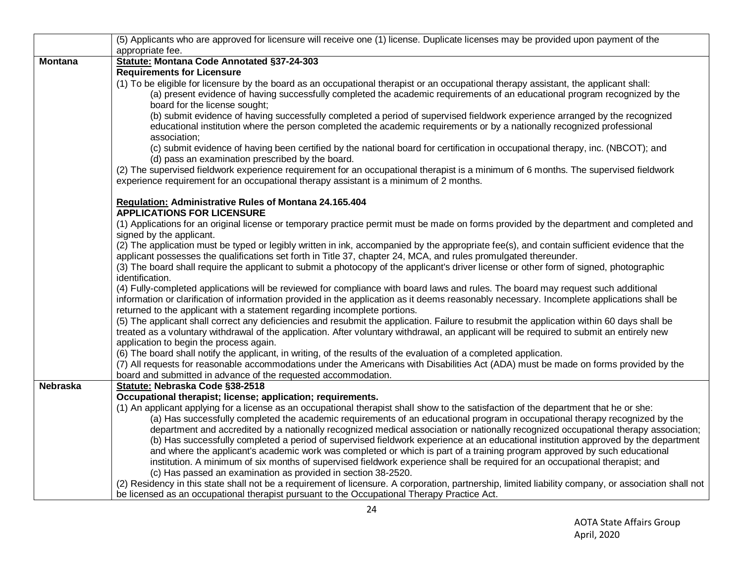|                 | (5) Applicants who are approved for licensure will receive one (1) license. Duplicate licenses may be provided upon payment of the                                                                                                                                                                                                                                                                                                                                                                                                                                                                                                                                                                                                                                                                                                                                                                                                                                                                                                                                                                                                                                                                      |
|-----------------|---------------------------------------------------------------------------------------------------------------------------------------------------------------------------------------------------------------------------------------------------------------------------------------------------------------------------------------------------------------------------------------------------------------------------------------------------------------------------------------------------------------------------------------------------------------------------------------------------------------------------------------------------------------------------------------------------------------------------------------------------------------------------------------------------------------------------------------------------------------------------------------------------------------------------------------------------------------------------------------------------------------------------------------------------------------------------------------------------------------------------------------------------------------------------------------------------------|
|                 | appropriate fee.                                                                                                                                                                                                                                                                                                                                                                                                                                                                                                                                                                                                                                                                                                                                                                                                                                                                                                                                                                                                                                                                                                                                                                                        |
| <b>Montana</b>  | <b>Statute: Montana Code Annotated §37-24-303</b>                                                                                                                                                                                                                                                                                                                                                                                                                                                                                                                                                                                                                                                                                                                                                                                                                                                                                                                                                                                                                                                                                                                                                       |
|                 | <b>Requirements for Licensure</b>                                                                                                                                                                                                                                                                                                                                                                                                                                                                                                                                                                                                                                                                                                                                                                                                                                                                                                                                                                                                                                                                                                                                                                       |
|                 | (1) To be eligible for licensure by the board as an occupational therapist or an occupational therapy assistant, the applicant shall:                                                                                                                                                                                                                                                                                                                                                                                                                                                                                                                                                                                                                                                                                                                                                                                                                                                                                                                                                                                                                                                                   |
|                 | (a) present evidence of having successfully completed the academic requirements of an educational program recognized by the                                                                                                                                                                                                                                                                                                                                                                                                                                                                                                                                                                                                                                                                                                                                                                                                                                                                                                                                                                                                                                                                             |
|                 | board for the license sought;                                                                                                                                                                                                                                                                                                                                                                                                                                                                                                                                                                                                                                                                                                                                                                                                                                                                                                                                                                                                                                                                                                                                                                           |
|                 | (b) submit evidence of having successfully completed a period of supervised fieldwork experience arranged by the recognized                                                                                                                                                                                                                                                                                                                                                                                                                                                                                                                                                                                                                                                                                                                                                                                                                                                                                                                                                                                                                                                                             |
|                 | educational institution where the person completed the academic requirements or by a nationally recognized professional                                                                                                                                                                                                                                                                                                                                                                                                                                                                                                                                                                                                                                                                                                                                                                                                                                                                                                                                                                                                                                                                                 |
|                 | association;                                                                                                                                                                                                                                                                                                                                                                                                                                                                                                                                                                                                                                                                                                                                                                                                                                                                                                                                                                                                                                                                                                                                                                                            |
|                 | (c) submit evidence of having been certified by the national board for certification in occupational therapy, inc. (NBCOT); and                                                                                                                                                                                                                                                                                                                                                                                                                                                                                                                                                                                                                                                                                                                                                                                                                                                                                                                                                                                                                                                                         |
|                 | (d) pass an examination prescribed by the board.                                                                                                                                                                                                                                                                                                                                                                                                                                                                                                                                                                                                                                                                                                                                                                                                                                                                                                                                                                                                                                                                                                                                                        |
|                 | (2) The supervised fieldwork experience requirement for an occupational therapist is a minimum of 6 months. The supervised fieldwork                                                                                                                                                                                                                                                                                                                                                                                                                                                                                                                                                                                                                                                                                                                                                                                                                                                                                                                                                                                                                                                                    |
|                 | experience requirement for an occupational therapy assistant is a minimum of 2 months.                                                                                                                                                                                                                                                                                                                                                                                                                                                                                                                                                                                                                                                                                                                                                                                                                                                                                                                                                                                                                                                                                                                  |
|                 | Regulation: Administrative Rules of Montana 24.165.404                                                                                                                                                                                                                                                                                                                                                                                                                                                                                                                                                                                                                                                                                                                                                                                                                                                                                                                                                                                                                                                                                                                                                  |
|                 | <b>APPLICATIONS FOR LICENSURE</b>                                                                                                                                                                                                                                                                                                                                                                                                                                                                                                                                                                                                                                                                                                                                                                                                                                                                                                                                                                                                                                                                                                                                                                       |
|                 | (1) Applications for an original license or temporary practice permit must be made on forms provided by the department and completed and                                                                                                                                                                                                                                                                                                                                                                                                                                                                                                                                                                                                                                                                                                                                                                                                                                                                                                                                                                                                                                                                |
|                 | signed by the applicant.                                                                                                                                                                                                                                                                                                                                                                                                                                                                                                                                                                                                                                                                                                                                                                                                                                                                                                                                                                                                                                                                                                                                                                                |
|                 | (2) The application must be typed or legibly written in ink, accompanied by the appropriate fee(s), and contain sufficient evidence that the                                                                                                                                                                                                                                                                                                                                                                                                                                                                                                                                                                                                                                                                                                                                                                                                                                                                                                                                                                                                                                                            |
|                 | applicant possesses the qualifications set forth in Title 37, chapter 24, MCA, and rules promulgated thereunder.                                                                                                                                                                                                                                                                                                                                                                                                                                                                                                                                                                                                                                                                                                                                                                                                                                                                                                                                                                                                                                                                                        |
|                 | (3) The board shall require the applicant to submit a photocopy of the applicant's driver license or other form of signed, photographic                                                                                                                                                                                                                                                                                                                                                                                                                                                                                                                                                                                                                                                                                                                                                                                                                                                                                                                                                                                                                                                                 |
|                 | identification.                                                                                                                                                                                                                                                                                                                                                                                                                                                                                                                                                                                                                                                                                                                                                                                                                                                                                                                                                                                                                                                                                                                                                                                         |
|                 | (4) Fully-completed applications will be reviewed for compliance with board laws and rules. The board may request such additional                                                                                                                                                                                                                                                                                                                                                                                                                                                                                                                                                                                                                                                                                                                                                                                                                                                                                                                                                                                                                                                                       |
|                 | information or clarification of information provided in the application as it deems reasonably necessary. Incomplete applications shall be                                                                                                                                                                                                                                                                                                                                                                                                                                                                                                                                                                                                                                                                                                                                                                                                                                                                                                                                                                                                                                                              |
|                 | returned to the applicant with a statement regarding incomplete portions.                                                                                                                                                                                                                                                                                                                                                                                                                                                                                                                                                                                                                                                                                                                                                                                                                                                                                                                                                                                                                                                                                                                               |
|                 | (5) The applicant shall correct any deficiencies and resubmit the application. Failure to resubmit the application within 60 days shall be                                                                                                                                                                                                                                                                                                                                                                                                                                                                                                                                                                                                                                                                                                                                                                                                                                                                                                                                                                                                                                                              |
|                 | treated as a voluntary withdrawal of the application. After voluntary withdrawal, an applicant will be required to submit an entirely new                                                                                                                                                                                                                                                                                                                                                                                                                                                                                                                                                                                                                                                                                                                                                                                                                                                                                                                                                                                                                                                               |
|                 | application to begin the process again.                                                                                                                                                                                                                                                                                                                                                                                                                                                                                                                                                                                                                                                                                                                                                                                                                                                                                                                                                                                                                                                                                                                                                                 |
|                 | (6) The board shall notify the applicant, in writing, of the results of the evaluation of a completed application.                                                                                                                                                                                                                                                                                                                                                                                                                                                                                                                                                                                                                                                                                                                                                                                                                                                                                                                                                                                                                                                                                      |
|                 | (7) All requests for reasonable accommodations under the Americans with Disabilities Act (ADA) must be made on forms provided by the                                                                                                                                                                                                                                                                                                                                                                                                                                                                                                                                                                                                                                                                                                                                                                                                                                                                                                                                                                                                                                                                    |
|                 | board and submitted in advance of the requested accommodation.                                                                                                                                                                                                                                                                                                                                                                                                                                                                                                                                                                                                                                                                                                                                                                                                                                                                                                                                                                                                                                                                                                                                          |
| <b>Nebraska</b> | Statute: Nebraska Code §38-2518                                                                                                                                                                                                                                                                                                                                                                                                                                                                                                                                                                                                                                                                                                                                                                                                                                                                                                                                                                                                                                                                                                                                                                         |
|                 |                                                                                                                                                                                                                                                                                                                                                                                                                                                                                                                                                                                                                                                                                                                                                                                                                                                                                                                                                                                                                                                                                                                                                                                                         |
|                 |                                                                                                                                                                                                                                                                                                                                                                                                                                                                                                                                                                                                                                                                                                                                                                                                                                                                                                                                                                                                                                                                                                                                                                                                         |
|                 |                                                                                                                                                                                                                                                                                                                                                                                                                                                                                                                                                                                                                                                                                                                                                                                                                                                                                                                                                                                                                                                                                                                                                                                                         |
|                 |                                                                                                                                                                                                                                                                                                                                                                                                                                                                                                                                                                                                                                                                                                                                                                                                                                                                                                                                                                                                                                                                                                                                                                                                         |
|                 |                                                                                                                                                                                                                                                                                                                                                                                                                                                                                                                                                                                                                                                                                                                                                                                                                                                                                                                                                                                                                                                                                                                                                                                                         |
|                 |                                                                                                                                                                                                                                                                                                                                                                                                                                                                                                                                                                                                                                                                                                                                                                                                                                                                                                                                                                                                                                                                                                                                                                                                         |
|                 |                                                                                                                                                                                                                                                                                                                                                                                                                                                                                                                                                                                                                                                                                                                                                                                                                                                                                                                                                                                                                                                                                                                                                                                                         |
|                 |                                                                                                                                                                                                                                                                                                                                                                                                                                                                                                                                                                                                                                                                                                                                                                                                                                                                                                                                                                                                                                                                                                                                                                                                         |
|                 |                                                                                                                                                                                                                                                                                                                                                                                                                                                                                                                                                                                                                                                                                                                                                                                                                                                                                                                                                                                                                                                                                                                                                                                                         |
|                 | Occupational therapist; license; application; requirements.<br>(1) An applicant applying for a license as an occupational therapist shall show to the satisfaction of the department that he or she:<br>(a) Has successfully completed the academic requirements of an educational program in occupational therapy recognized by the<br>department and accredited by a nationally recognized medical association or nationally recognized occupational therapy association;<br>(b) Has successfully completed a period of supervised fieldwork experience at an educational institution approved by the department<br>and where the applicant's academic work was completed or which is part of a training program approved by such educational<br>institution. A minimum of six months of supervised fieldwork experience shall be required for an occupational therapist; and<br>(c) Has passed an examination as provided in section 38-2520.<br>(2) Residency in this state shall not be a requirement of licensure. A corporation, partnership, limited liability company, or association shall not<br>be licensed as an occupational therapist pursuant to the Occupational Therapy Practice Act. |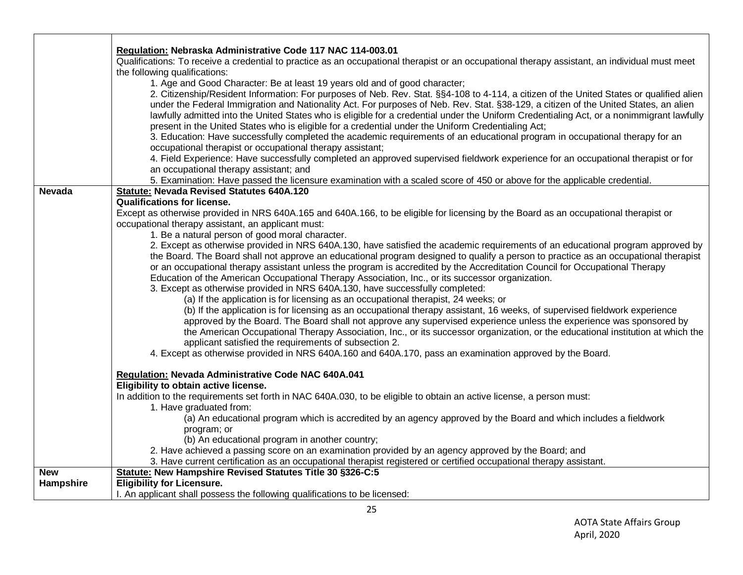|               | Regulation: Nebraska Administrative Code 117 NAC 114-003.01                                                                                    |
|---------------|------------------------------------------------------------------------------------------------------------------------------------------------|
|               | Qualifications: To receive a credential to practice as an occupational therapist or an occupational therapy assistant, an individual must meet |
|               | the following qualifications:                                                                                                                  |
|               | 1. Age and Good Character: Be at least 19 years old and of good character;                                                                     |
|               | 2. Citizenship/Resident Information: For purposes of Neb. Rev. Stat. §§4-108 to 4-114, a citizen of the United States or qualified alien       |
|               | under the Federal Immigration and Nationality Act. For purposes of Neb. Rev. Stat. §38-129, a citizen of the United States, an alien           |
|               | lawfully admitted into the United States who is eligible for a credential under the Uniform Credentialing Act, or a nonimmigrant lawfully      |
|               |                                                                                                                                                |
|               | present in the United States who is eligible for a credential under the Uniform Credentialing Act;                                             |
|               | 3. Education: Have successfully completed the academic requirements of an educational program in occupational therapy for an                   |
|               | occupational therapist or occupational therapy assistant;                                                                                      |
|               | 4. Field Experience: Have successfully completed an approved supervised fieldwork experience for an occupational therapist or for              |
|               | an occupational therapy assistant; and                                                                                                         |
|               | 5. Examination: Have passed the licensure examination with a scaled score of 450 or above for the applicable credential.                       |
| <b>Nevada</b> | <b>Statute: Nevada Revised Statutes 640A.120</b>                                                                                               |
|               | <b>Qualifications for license.</b>                                                                                                             |
|               | Except as otherwise provided in NRS 640A.165 and 640A.166, to be eligible for licensing by the Board as an occupational therapist or           |
|               | occupational therapy assistant, an applicant must:                                                                                             |
|               | 1. Be a natural person of good moral character.                                                                                                |
|               | 2. Except as otherwise provided in NRS 640A.130, have satisfied the academic requirements of an educational program approved by                |
|               | the Board. The Board shall not approve an educational program designed to qualify a person to practice as an occupational therapist            |
|               | or an occupational therapy assistant unless the program is accredited by the Accreditation Council for Occupational Therapy                    |
|               | Education of the American Occupational Therapy Association, Inc., or its successor organization.                                               |
|               | 3. Except as otherwise provided in NRS 640A.130, have successfully completed:                                                                  |
|               | (a) If the application is for licensing as an occupational therapist, 24 weeks; or                                                             |
|               | (b) If the application is for licensing as an occupational therapy assistant, 16 weeks, of supervised fieldwork experience                     |
|               | approved by the Board. The Board shall not approve any supervised experience unless the experience was sponsored by                            |
|               | the American Occupational Therapy Association, Inc., or its successor organization, or the educational institution at which the                |
|               | applicant satisfied the requirements of subsection 2.                                                                                          |
|               | 4. Except as otherwise provided in NRS 640A.160 and 640A.170, pass an examination approved by the Board.                                       |
|               |                                                                                                                                                |
|               | Regulation: Nevada Administrative Code NAC 640A.041                                                                                            |
|               | Eligibility to obtain active license.                                                                                                          |
|               | In addition to the requirements set forth in NAC 640A.030, to be eligible to obtain an active license, a person must:                          |
|               | 1. Have graduated from:                                                                                                                        |
|               | (a) An educational program which is accredited by an agency approved by the Board and which includes a fieldwork                               |
|               | program; or                                                                                                                                    |
|               | (b) An educational program in another country;                                                                                                 |
|               | 2. Have achieved a passing score on an examination provided by an agency approved by the Board; and                                            |
|               | 3. Have current certification as an occupational therapist registered or certified occupational therapy assistant.                             |
| <b>New</b>    | Statute: New Hampshire Revised Statutes Title 30 §326-C:5                                                                                      |
|               | <b>Eligibility for Licensure.</b>                                                                                                              |
| Hampshire     |                                                                                                                                                |
|               | I. An applicant shall possess the following qualifications to be licensed:                                                                     |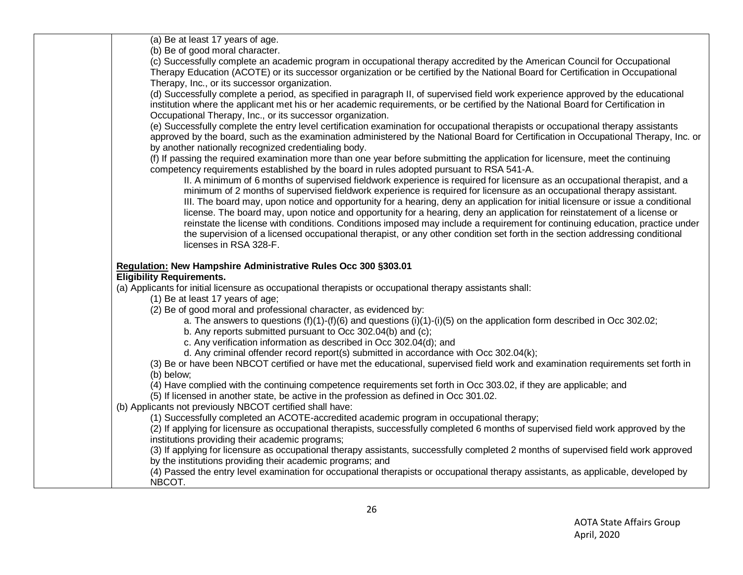| (a) Be at least 17 years of age.                                                                                                     |
|--------------------------------------------------------------------------------------------------------------------------------------|
| (b) Be of good moral character.                                                                                                      |
| (c) Successfully complete an academic program in occupational therapy accredited by the American Council for Occupational            |
| Therapy Education (ACOTE) or its successor organization or be certified by the National Board for Certification in Occupational      |
| Therapy, Inc., or its successor organization.                                                                                        |
| (d) Successfully complete a period, as specified in paragraph II, of supervised field work experience approved by the educational    |
| institution where the applicant met his or her academic requirements, or be certified by the National Board for Certification in     |
| Occupational Therapy, Inc., or its successor organization.                                                                           |
| (e) Successfully complete the entry level certification examination for occupational therapists or occupational therapy assistants   |
| approved by the board, such as the examination administered by the National Board for Certification in Occupational Therapy, Inc. or |
| by another nationally recognized credentialing body.                                                                                 |
| (f) If passing the required examination more than one year before submitting the application for licensure, meet the continuing      |
| competency requirements established by the board in rules adopted pursuant to RSA 541-A.                                             |
| II. A minimum of 6 months of supervised fieldwork experience is required for licensure as an occupational therapist, and a           |
| minimum of 2 months of supervised fieldwork experience is required for licensure as an occupational therapy assistant.               |
| III. The board may, upon notice and opportunity for a hearing, deny an application for initial licensure or issue a conditional      |
| license. The board may, upon notice and opportunity for a hearing, deny an application for reinstatement of a license or             |
| reinstate the license with conditions. Conditions imposed may include a requirement for continuing education, practice under         |
| the supervision of a licensed occupational therapist, or any other condition set forth in the section addressing conditional         |
| licenses in RSA 328-F.                                                                                                               |
|                                                                                                                                      |
| Regulation: New Hampshire Administrative Rules Occ 300 §303.01                                                                       |
| <b>Eligibility Requirements.</b>                                                                                                     |
| (a) Applicants for initial licensure as occupational therapists or occupational therapy assistants shall:                            |
| (1) Be at least 17 years of age;                                                                                                     |
| (2) Be of good moral and professional character, as evidenced by:                                                                    |
| a. The answers to questions $(f)(1)-(f)(6)$ and questions $(i)(1)-(i)(5)$ on the application form described in Occ 302.02;           |
| b. Any reports submitted pursuant to Occ 302.04(b) and (c);                                                                          |
| c. Any verification information as described in Occ 302.04(d); and                                                                   |
| d. Any criminal offender record report(s) submitted in accordance with Occ 302.04(k);                                                |
| (3) Be or have been NBCOT certified or have met the educational, supervised field work and examination requirements set forth in     |
| (b) below;                                                                                                                           |
| (4) Have complied with the continuing competence requirements set forth in Occ 303.02, if they are applicable; and                   |
| (5) If licensed in another state, be active in the profession as defined in Occ 301.02.                                              |
| (b) Applicants not previously NBCOT certified shall have:                                                                            |
| (1) Successfully completed an ACOTE-accredited academic program in occupational therapy;                                             |
| (2) If applying for licensure as occupational therapists, successfully completed 6 months of supervised field work approved by the   |
| institutions providing their academic programs;                                                                                      |
| (3) If applying for licensure as occupational therapy assistants, successfully completed 2 months of supervised field work approved  |
| by the institutions providing their academic programs; and                                                                           |
| (4) Passed the entry level examination for occupational therapists or occupational therapy assistants, as applicable, developed by   |
| NBCOT.                                                                                                                               |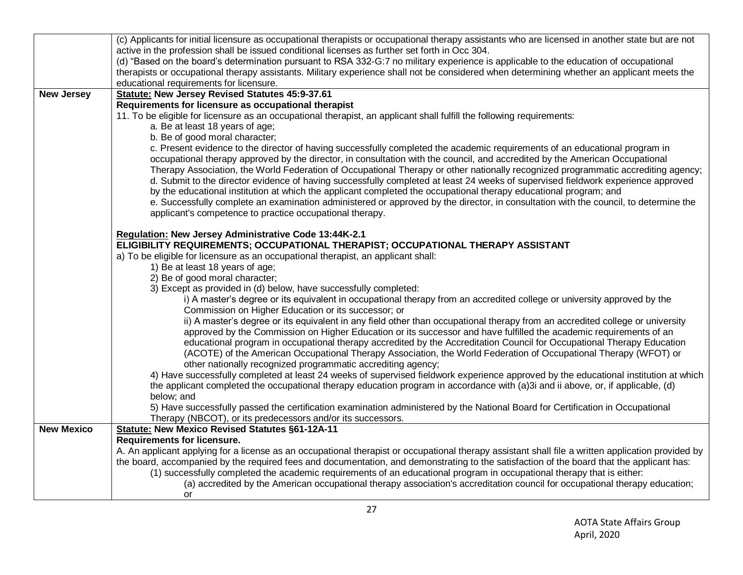|                   | (c) Applicants for initial licensure as occupational therapists or occupational therapy assistants who are licensed in another state but are not                      |
|-------------------|-----------------------------------------------------------------------------------------------------------------------------------------------------------------------|
|                   | active in the profession shall be issued conditional licenses as further set forth in Occ 304.                                                                        |
|                   | (d) "Based on the board's determination pursuant to RSA 332-G:7 no military experience is applicable to the education of occupational                                 |
|                   | therapists or occupational therapy assistants. Military experience shall not be considered when determining whether an applicant meets the                            |
|                   | educational requirements for licensure.                                                                                                                               |
| <b>New Jersey</b> | <b>Statute: New Jersey Revised Statutes 45:9-37.61</b>                                                                                                                |
|                   | Requirements for licensure as occupational therapist                                                                                                                  |
|                   | 11. To be eligible for licensure as an occupational therapist, an applicant shall fulfill the following requirements:                                                 |
|                   | a. Be at least 18 years of age;                                                                                                                                       |
|                   | b. Be of good moral character;                                                                                                                                        |
|                   | c. Present evidence to the director of having successfully completed the academic requirements of an educational program in                                           |
|                   | occupational therapy approved by the director, in consultation with the council, and accredited by the American Occupational                                          |
|                   | Therapy Association, the World Federation of Occupational Therapy or other nationally recognized programmatic accrediting agency;                                     |
|                   | d. Submit to the director evidence of having successfully completed at least 24 weeks of supervised fieldwork experience approved                                     |
|                   | by the educational institution at which the applicant completed the occupational therapy educational program; and                                                     |
|                   | e. Successfully complete an examination administered or approved by the director, in consultation with the council, to determine the                                  |
|                   | applicant's competence to practice occupational therapy.                                                                                                              |
|                   |                                                                                                                                                                       |
|                   | Regulation: New Jersey Administrative Code 13:44K-2.1                                                                                                                 |
|                   | ELIGIBILITY REQUIREMENTS; OCCUPATIONAL THERAPIST; OCCUPATIONAL THERAPY ASSISTANT<br>a) To be eligible for licensure as an occupational therapist, an applicant shall: |
|                   | 1) Be at least 18 years of age;                                                                                                                                       |
|                   | 2) Be of good moral character;                                                                                                                                        |
|                   | 3) Except as provided in (d) below, have successfully completed:                                                                                                      |
|                   | i) A master's degree or its equivalent in occupational therapy from an accredited college or university approved by the                                               |
|                   | Commission on Higher Education or its successor; or                                                                                                                   |
|                   | ii) A master's degree or its equivalent in any field other than occupational therapy from an accredited college or university                                         |
|                   | approved by the Commission on Higher Education or its successor and have fulfilled the academic requirements of an                                                    |
|                   | educational program in occupational therapy accredited by the Accreditation Council for Occupational Therapy Education                                                |
|                   | (ACOTE) of the American Occupational Therapy Association, the World Federation of Occupational Therapy (WFOT) or                                                      |
|                   | other nationally recognized programmatic accrediting agency;                                                                                                          |
|                   | 4) Have successfully completed at least 24 weeks of supervised fieldwork experience approved by the educational institution at which                                  |
|                   | the applicant completed the occupational therapy education program in accordance with (a)3i and ii above, or, if applicable, (d)                                      |
|                   | below; and                                                                                                                                                            |
|                   | 5) Have successfully passed the certification examination administered by the National Board for Certification in Occupational                                        |
|                   | Therapy (NBCOT), or its predecessors and/or its successors.                                                                                                           |
| <b>New Mexico</b> | <b>Statute: New Mexico Revised Statutes §61-12A-11</b>                                                                                                                |
|                   | <b>Requirements for licensure.</b>                                                                                                                                    |
|                   | A. An applicant applying for a license as an occupational therapist or occupational therapy assistant shall file a written application provided by                    |
|                   | the board, accompanied by the required fees and documentation, and demonstrating to the satisfaction of the board that the applicant has:                             |
|                   | (1) successfully completed the academic requirements of an educational program in occupational therapy that is either:                                                |
|                   | (a) accredited by the American occupational therapy association's accreditation council for occupational therapy education;                                           |
|                   | or                                                                                                                                                                    |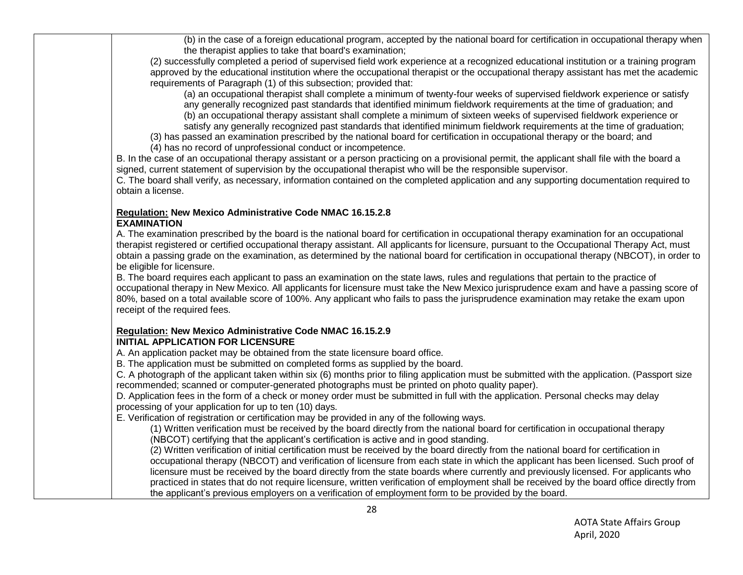(b) in the case of a foreign educational program, accepted by the national board for certification in occupational therapy when the therapist applies to take that board's examination;

(2) successfully completed a period of supervised field work experience at a recognized educational institution or a training program approved by the educational institution where the occupational therapist or the occupational therapy assistant has met the academic requirements of Paragraph (1) of this subsection; provided that:

(a) an occupational therapist shall complete a minimum of twenty-four weeks of supervised fieldwork experience or satisfy any generally recognized past standards that identified minimum fieldwork requirements at the time of graduation; and

(b) an occupational therapy assistant shall complete a minimum of sixteen weeks of supervised fieldwork experience or satisfy any generally recognized past standards that identified minimum fieldwork requirements at the time of graduation;

(3) has passed an examination prescribed by the national board for certification in occupational therapy or the board; and

(4) has no record of unprofessional conduct or incompetence.

B. In the case of an occupational therapy assistant or a person practicing on a provisional permit, the applicant shall file with the board a signed, current statement of supervision by the occupational therapist who will be the responsible supervisor.

C. The board shall verify, as necessary, information contained on the completed application and any supporting documentation required to obtain a license.

## **Regulation: New Mexico Administrative Code NMAC 16.15.2.8 EXAMINATION**

A. The examination prescribed by the board is the national board for certification in occupational therapy examination for an occupational therapist registered or certified occupational therapy assistant. All applicants for licensure, pursuant to the Occupational Therapy Act, must obtain a passing grade on the examination, as determined by the national board for certification in occupational therapy (NBCOT), in order to be eligible for licensure.

B. The board requires each applicant to pass an examination on the state laws, rules and regulations that pertain to the practice of occupational therapy in New Mexico. All applicants for licensure must take the New Mexico jurisprudence exam and have a passing score of 80%, based on a total available score of 100%. Any applicant who fails to pass the jurisprudence examination may retake the exam upon receipt of the required fees.

## **Regulation: New Mexico Administrative Code NMAC 16.15.2.9 INITIAL APPLICATION FOR LICENSURE**

A. An application packet may be obtained from the state licensure board office.

B. The application must be submitted on completed forms as supplied by the board.

C. A photograph of the applicant taken within six (6) months prior to filing application must be submitted with the application. (Passport size recommended; scanned or computer-generated photographs must be printed on photo quality paper).

D. Application fees in the form of a check or money order must be submitted in full with the application. Personal checks may delay processing of your application for up to ten (10) days.

E. Verification of registration or certification may be provided in any of the following ways.

(1) Written verification must be received by the board directly from the national board for certification in occupational therapy (NBCOT) certifying that the applicant's certification is active and in good standing.

(2) Written verification of initial certification must be received by the board directly from the national board for certification in occupational therapy (NBCOT) and verification of licensure from each state in which the applicant has been licensed. Such proof of licensure must be received by the board directly from the state boards where currently and previously licensed. For applicants who practiced in states that do not require licensure, written verification of employment shall be received by the board office directly from the applicant's previous employers on a verification of employment form to be provided by the board.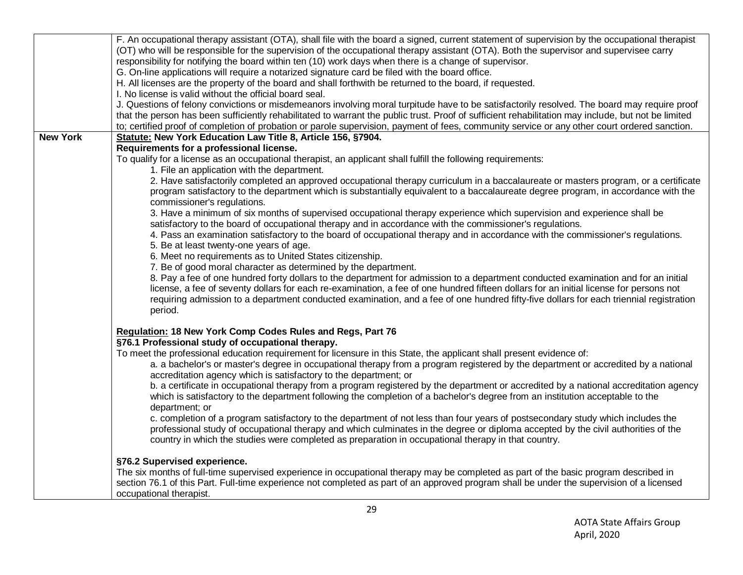|                 | F. An occupational therapy assistant (OTA), shall file with the board a signed, current statement of supervision by the occupational therapist      |
|-----------------|-----------------------------------------------------------------------------------------------------------------------------------------------------|
|                 | (OT) who will be responsible for the supervision of the occupational therapy assistant (OTA). Both the supervisor and supervisee carry              |
|                 | responsibility for notifying the board within ten (10) work days when there is a change of supervisor.                                              |
|                 | G. On-line applications will require a notarized signature card be filed with the board office.                                                     |
|                 | H. All licenses are the property of the board and shall forthwith be returned to the board, if requested.                                           |
|                 | I. No license is valid without the official board seal.                                                                                             |
|                 | J. Questions of felony convictions or misdemeanors involving moral turpitude have to be satisfactorily resolved. The board may require proof        |
|                 | that the person has been sufficiently rehabilitated to warrant the public trust. Proof of sufficient rehabilitation may include, but not be limited |
|                 | to; certified proof of completion of probation or parole supervision, payment of fees, community service or any other court ordered sanction.       |
| <b>New York</b> | Statute: New York Education Law Title 8, Article 156, §7904.                                                                                        |
|                 | Requirements for a professional license.                                                                                                            |
|                 | To qualify for a license as an occupational therapist, an applicant shall fulfill the following requirements:                                       |
|                 | 1. File an application with the department.                                                                                                         |
|                 | 2. Have satisfactorily completed an approved occupational therapy curriculum in a baccalaureate or masters program, or a certificate                |
|                 | program satisfactory to the department which is substantially equivalent to a baccalaureate degree program, in accordance with the                  |
|                 | commissioner's regulations.                                                                                                                         |
|                 | 3. Have a minimum of six months of supervised occupational therapy experience which supervision and experience shall be                             |
|                 | satisfactory to the board of occupational therapy and in accordance with the commissioner's regulations.                                            |
|                 | 4. Pass an examination satisfactory to the board of occupational therapy and in accordance with the commissioner's regulations.                     |
|                 | 5. Be at least twenty-one years of age.                                                                                                             |
|                 | 6. Meet no requirements as to United States citizenship.                                                                                            |
|                 | 7. Be of good moral character as determined by the department.                                                                                      |
|                 | 8. Pay a fee of one hundred forty dollars to the department for admission to a department conducted examination and for an initial                  |
|                 | license, a fee of seventy dollars for each re-examination, a fee of one hundred fifteen dollars for an initial license for persons not              |
|                 | requiring admission to a department conducted examination, and a fee of one hundred fifty-five dollars for each triennial registration              |
|                 | period.                                                                                                                                             |
|                 |                                                                                                                                                     |
|                 | Regulation: 18 New York Comp Codes Rules and Regs, Part 76                                                                                          |
|                 | §76.1 Professional study of occupational therapy.                                                                                                   |
|                 | To meet the professional education requirement for licensure in this State, the applicant shall present evidence of:                                |
|                 | a. a bachelor's or master's degree in occupational therapy from a program registered by the department or accredited by a national                  |
|                 | accreditation agency which is satisfactory to the department; or                                                                                    |
|                 | b. a certificate in occupational therapy from a program registered by the department or accredited by a national accreditation agency               |
|                 | which is satisfactory to the department following the completion of a bachelor's degree from an institution acceptable to the                       |
|                 | department; or                                                                                                                                      |
|                 | c. completion of a program satisfactory to the department of not less than four years of postsecondary study which includes the                     |
|                 | professional study of occupational therapy and which culminates in the degree or diploma accepted by the civil authorities of the                   |
|                 | country in which the studies were completed as preparation in occupational therapy in that country.                                                 |
|                 | §76.2 Supervised experience.                                                                                                                        |
|                 | The six months of full-time supervised experience in occupational therapy may be completed as part of the basic program described in                |
|                 | section 76.1 of this Part. Full-time experience not completed as part of an approved program shall be under the supervision of a licensed           |
|                 | occupational therapist.                                                                                                                             |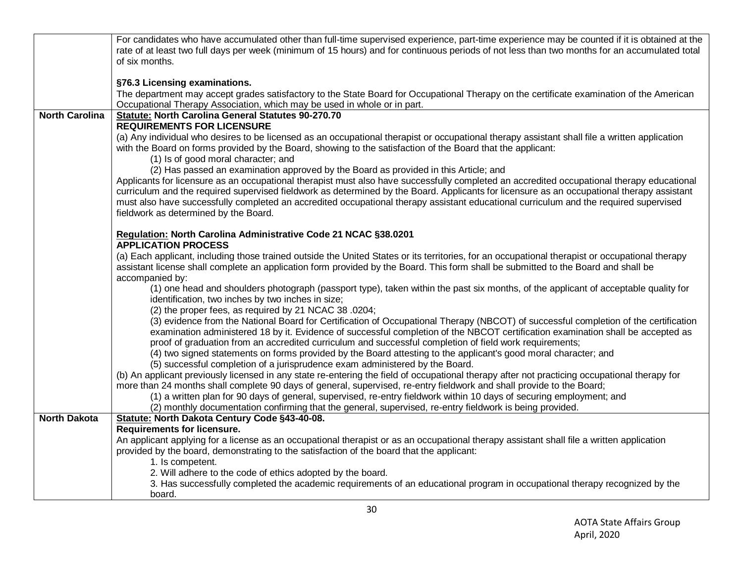|                       | For candidates who have accumulated other than full-time supervised experience, part-time experience may be counted if it is obtained at the<br>rate of at least two full days per week (minimum of 15 hours) and for continuous periods of not less than two months for an accumulated total                                                                                                                                     |
|-----------------------|-----------------------------------------------------------------------------------------------------------------------------------------------------------------------------------------------------------------------------------------------------------------------------------------------------------------------------------------------------------------------------------------------------------------------------------|
|                       | of six months.                                                                                                                                                                                                                                                                                                                                                                                                                    |
|                       | §76.3 Licensing examinations.                                                                                                                                                                                                                                                                                                                                                                                                     |
|                       | The department may accept grades satisfactory to the State Board for Occupational Therapy on the certificate examination of the American<br>Occupational Therapy Association, which may be used in whole or in part.                                                                                                                                                                                                              |
| <b>North Carolina</b> | Statute: North Carolina General Statutes 90-270.70                                                                                                                                                                                                                                                                                                                                                                                |
|                       | <b>REQUIREMENTS FOR LICENSURE</b><br>(a) Any individual who desires to be licensed as an occupational therapist or occupational therapy assistant shall file a written application<br>with the Board on forms provided by the Board, showing to the satisfaction of the Board that the applicant:<br>(1) Is of good moral character; and                                                                                          |
|                       | (2) Has passed an examination approved by the Board as provided in this Article; and                                                                                                                                                                                                                                                                                                                                              |
|                       | Applicants for licensure as an occupational therapist must also have successfully completed an accredited occupational therapy educational<br>curriculum and the required supervised fieldwork as determined by the Board. Applicants for licensure as an occupational therapy assistant<br>must also have successfully completed an accredited occupational therapy assistant educational curriculum and the required supervised |
|                       | fieldwork as determined by the Board.                                                                                                                                                                                                                                                                                                                                                                                             |
|                       | Regulation: North Carolina Administrative Code 21 NCAC §38.0201                                                                                                                                                                                                                                                                                                                                                                   |
|                       | <b>APPLICATION PROCESS</b>                                                                                                                                                                                                                                                                                                                                                                                                        |
|                       | (a) Each applicant, including those trained outside the United States or its territories, for an occupational therapist or occupational therapy<br>assistant license shall complete an application form provided by the Board. This form shall be submitted to the Board and shall be                                                                                                                                             |
|                       | accompanied by:<br>(1) one head and shoulders photograph (passport type), taken within the past six months, of the applicant of acceptable quality for<br>identification, two inches by two inches in size;                                                                                                                                                                                                                       |
|                       | (2) the proper fees, as required by 21 NCAC 38 .0204;                                                                                                                                                                                                                                                                                                                                                                             |
|                       | (3) evidence from the National Board for Certification of Occupational Therapy (NBCOT) of successful completion of the certification<br>examination administered 18 by it. Evidence of successful completion of the NBCOT certification examination shall be accepted as<br>proof of graduation from an accredited curriculum and successful completion of field work requirements;                                               |
|                       | (4) two signed statements on forms provided by the Board attesting to the applicant's good moral character; and                                                                                                                                                                                                                                                                                                                   |
|                       | (5) successful completion of a jurisprudence exam administered by the Board.                                                                                                                                                                                                                                                                                                                                                      |
|                       | (b) An applicant previously licensed in any state re-entering the field of occupational therapy after not practicing occupational therapy for<br>more than 24 months shall complete 90 days of general, supervised, re-entry fieldwork and shall provide to the Board;                                                                                                                                                            |
|                       | (1) a written plan for 90 days of general, supervised, re-entry fieldwork within 10 days of securing employment; and                                                                                                                                                                                                                                                                                                              |
|                       | (2) monthly documentation confirming that the general, supervised, re-entry fieldwork is being provided.                                                                                                                                                                                                                                                                                                                          |
| <b>North Dakota</b>   | Statute: North Dakota Century Code §43-40-08.<br><b>Requirements for licensure.</b>                                                                                                                                                                                                                                                                                                                                               |
|                       | An applicant applying for a license as an occupational therapist or as an occupational therapy assistant shall file a written application                                                                                                                                                                                                                                                                                         |
|                       | provided by the board, demonstrating to the satisfaction of the board that the applicant:                                                                                                                                                                                                                                                                                                                                         |
|                       | 1. Is competent.                                                                                                                                                                                                                                                                                                                                                                                                                  |
|                       | 2. Will adhere to the code of ethics adopted by the board.                                                                                                                                                                                                                                                                                                                                                                        |
|                       | 3. Has successfully completed the academic requirements of an educational program in occupational therapy recognized by the<br>board.                                                                                                                                                                                                                                                                                             |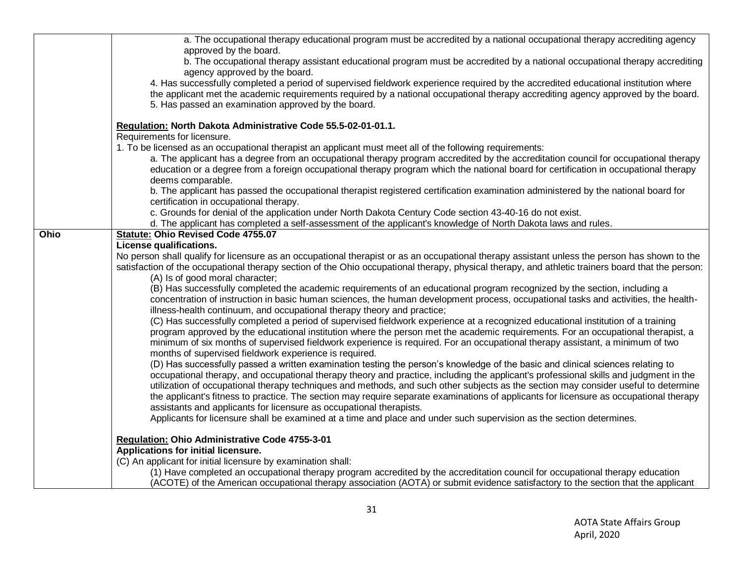|             | a. The occupational therapy educational program must be accredited by a national occupational therapy accrediting agency                                                                                                                                                                                                                                                                                                                                                                                                                                                                                                         |
|-------------|----------------------------------------------------------------------------------------------------------------------------------------------------------------------------------------------------------------------------------------------------------------------------------------------------------------------------------------------------------------------------------------------------------------------------------------------------------------------------------------------------------------------------------------------------------------------------------------------------------------------------------|
|             | approved by the board.<br>b. The occupational therapy assistant educational program must be accredited by a national occupational therapy accrediting<br>agency approved by the board.                                                                                                                                                                                                                                                                                                                                                                                                                                           |
|             | 4. Has successfully completed a period of supervised fieldwork experience required by the accredited educational institution where<br>the applicant met the academic requirements required by a national occupational therapy accrediting agency approved by the board.<br>5. Has passed an examination approved by the board.                                                                                                                                                                                                                                                                                                   |
|             | Regulation: North Dakota Administrative Code 55.5-02-01-01.1.<br>Requirements for licensure.                                                                                                                                                                                                                                                                                                                                                                                                                                                                                                                                     |
|             | 1. To be licensed as an occupational therapist an applicant must meet all of the following requirements:                                                                                                                                                                                                                                                                                                                                                                                                                                                                                                                         |
|             | a. The applicant has a degree from an occupational therapy program accredited by the accreditation council for occupational therapy<br>education or a degree from a foreign occupational therapy program which the national board for certification in occupational therapy<br>deems comparable.                                                                                                                                                                                                                                                                                                                                 |
|             | b. The applicant has passed the occupational therapist registered certification examination administered by the national board for<br>certification in occupational therapy.                                                                                                                                                                                                                                                                                                                                                                                                                                                     |
|             | c. Grounds for denial of the application under North Dakota Century Code section 43-40-16 do not exist.                                                                                                                                                                                                                                                                                                                                                                                                                                                                                                                          |
|             | d. The applicant has completed a self-assessment of the applicant's knowledge of North Dakota laws and rules.                                                                                                                                                                                                                                                                                                                                                                                                                                                                                                                    |
| <b>Ohio</b> | <b>Statute: Ohio Revised Code 4755.07</b>                                                                                                                                                                                                                                                                                                                                                                                                                                                                                                                                                                                        |
|             | License qualifications.                                                                                                                                                                                                                                                                                                                                                                                                                                                                                                                                                                                                          |
|             | No person shall qualify for licensure as an occupational therapist or as an occupational therapy assistant unless the person has shown to the<br>satisfaction of the occupational therapy section of the Ohio occupational therapy, physical therapy, and athletic trainers board that the person:<br>(A) Is of good moral character;                                                                                                                                                                                                                                                                                            |
|             | (B) Has successfully completed the academic requirements of an educational program recognized by the section, including a<br>concentration of instruction in basic human sciences, the human development process, occupational tasks and activities, the health-<br>illness-health continuum, and occupational therapy theory and practice;                                                                                                                                                                                                                                                                                      |
|             | (C) Has successfully completed a period of supervised fieldwork experience at a recognized educational institution of a training<br>program approved by the educational institution where the person met the academic requirements. For an occupational therapist, a<br>minimum of six months of supervised fieldwork experience is required. For an occupational therapy assistant, a minimum of two<br>months of supervised fieldwork experience is required.                                                                                                                                                                  |
|             | (D) Has successfully passed a written examination testing the person's knowledge of the basic and clinical sciences relating to<br>occupational therapy, and occupational therapy theory and practice, including the applicant's professional skills and judgment in the<br>utilization of occupational therapy techniques and methods, and such other subjects as the section may consider useful to determine<br>the applicant's fitness to practice. The section may require separate examinations of applicants for licensure as occupational therapy<br>assistants and applicants for licensure as occupational therapists. |
|             | Applicants for licensure shall be examined at a time and place and under such supervision as the section determines.                                                                                                                                                                                                                                                                                                                                                                                                                                                                                                             |
|             | Regulation: Ohio Administrative Code 4755-3-01                                                                                                                                                                                                                                                                                                                                                                                                                                                                                                                                                                                   |
|             | Applications for initial licensure.                                                                                                                                                                                                                                                                                                                                                                                                                                                                                                                                                                                              |
|             | (C) An applicant for initial licensure by examination shall:                                                                                                                                                                                                                                                                                                                                                                                                                                                                                                                                                                     |
|             | (1) Have completed an occupational therapy program accredited by the accreditation council for occupational therapy education<br>(ACOTE) of the American occupational therapy association (AOTA) or submit evidence satisfactory to the section that the applicant                                                                                                                                                                                                                                                                                                                                                               |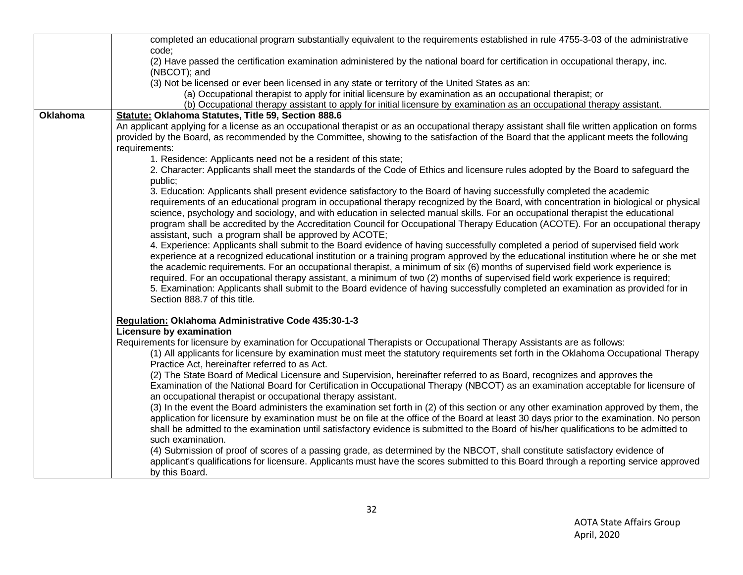|                 | completed an educational program substantially equivalent to the requirements established in rule 4755-3-03 of the administrative                                                                                                                                                                                                                                                                                                                                                                                                                                                                                                                                                                            |
|-----------------|--------------------------------------------------------------------------------------------------------------------------------------------------------------------------------------------------------------------------------------------------------------------------------------------------------------------------------------------------------------------------------------------------------------------------------------------------------------------------------------------------------------------------------------------------------------------------------------------------------------------------------------------------------------------------------------------------------------|
|                 | code:                                                                                                                                                                                                                                                                                                                                                                                                                                                                                                                                                                                                                                                                                                        |
|                 | (2) Have passed the certification examination administered by the national board for certification in occupational therapy, inc.<br>(NBCOT); and                                                                                                                                                                                                                                                                                                                                                                                                                                                                                                                                                             |
|                 | (3) Not be licensed or ever been licensed in any state or territory of the United States as an:                                                                                                                                                                                                                                                                                                                                                                                                                                                                                                                                                                                                              |
|                 | (a) Occupational therapist to apply for initial licensure by examination as an occupational therapist; or                                                                                                                                                                                                                                                                                                                                                                                                                                                                                                                                                                                                    |
|                 | (b) Occupational therapy assistant to apply for initial licensure by examination as an occupational therapy assistant.                                                                                                                                                                                                                                                                                                                                                                                                                                                                                                                                                                                       |
| <b>Oklahoma</b> | Statute: Oklahoma Statutes, Title 59, Section 888.6                                                                                                                                                                                                                                                                                                                                                                                                                                                                                                                                                                                                                                                          |
|                 | An applicant applying for a license as an occupational therapist or as an occupational therapy assistant shall file written application on forms                                                                                                                                                                                                                                                                                                                                                                                                                                                                                                                                                             |
|                 | provided by the Board, as recommended by the Committee, showing to the satisfaction of the Board that the applicant meets the following                                                                                                                                                                                                                                                                                                                                                                                                                                                                                                                                                                      |
|                 | requirements:                                                                                                                                                                                                                                                                                                                                                                                                                                                                                                                                                                                                                                                                                                |
|                 | 1. Residence: Applicants need not be a resident of this state;                                                                                                                                                                                                                                                                                                                                                                                                                                                                                                                                                                                                                                               |
|                 | 2. Character: Applicants shall meet the standards of the Code of Ethics and licensure rules adopted by the Board to safeguard the                                                                                                                                                                                                                                                                                                                                                                                                                                                                                                                                                                            |
|                 | public;                                                                                                                                                                                                                                                                                                                                                                                                                                                                                                                                                                                                                                                                                                      |
|                 | 3. Education: Applicants shall present evidence satisfactory to the Board of having successfully completed the academic<br>requirements of an educational program in occupational therapy recognized by the Board, with concentration in biological or physical<br>science, psychology and sociology, and with education in selected manual skills. For an occupational therapist the educational<br>program shall be accredited by the Accreditation Council for Occupational Therapy Education (ACOTE). For an occupational therapy<br>assistant, such a program shall be approved by ACOTE;                                                                                                               |
|                 | 4. Experience: Applicants shall submit to the Board evidence of having successfully completed a period of supervised field work<br>experience at a recognized educational institution or a training program approved by the educational institution where he or she met<br>the academic requirements. For an occupational therapist, a minimum of six (6) months of supervised field work experience is<br>required. For an occupational therapy assistant, a minimum of two (2) months of supervised field work experience is required;<br>5. Examination: Applicants shall submit to the Board evidence of having successfully completed an examination as provided for in<br>Section 888.7 of this title. |
|                 | Regulation: Oklahoma Administrative Code 435:30-1-3                                                                                                                                                                                                                                                                                                                                                                                                                                                                                                                                                                                                                                                          |
|                 | Licensure by examination                                                                                                                                                                                                                                                                                                                                                                                                                                                                                                                                                                                                                                                                                     |
|                 | Requirements for licensure by examination for Occupational Therapists or Occupational Therapy Assistants are as follows:<br>(1) All applicants for licensure by examination must meet the statutory requirements set forth in the Oklahoma Occupational Therapy<br>Practice Act, hereinafter referred to as Act.                                                                                                                                                                                                                                                                                                                                                                                             |
|                 | (2) The State Board of Medical Licensure and Supervision, hereinafter referred to as Board, recognizes and approves the<br>Examination of the National Board for Certification in Occupational Therapy (NBCOT) as an examination acceptable for licensure of<br>an occupational therapist or occupational therapy assistant.                                                                                                                                                                                                                                                                                                                                                                                 |
|                 | (3) In the event the Board administers the examination set forth in (2) of this section or any other examination approved by them, the<br>application for licensure by examination must be on file at the office of the Board at least 30 days prior to the examination. No person<br>shall be admitted to the examination until satisfactory evidence is submitted to the Board of his/her qualifications to be admitted to                                                                                                                                                                                                                                                                                 |
|                 | such examination.                                                                                                                                                                                                                                                                                                                                                                                                                                                                                                                                                                                                                                                                                            |
|                 | (4) Submission of proof of scores of a passing grade, as determined by the NBCOT, shall constitute satisfactory evidence of                                                                                                                                                                                                                                                                                                                                                                                                                                                                                                                                                                                  |
|                 | applicant's qualifications for licensure. Applicants must have the scores submitted to this Board through a reporting service approved<br>by this Board.                                                                                                                                                                                                                                                                                                                                                                                                                                                                                                                                                     |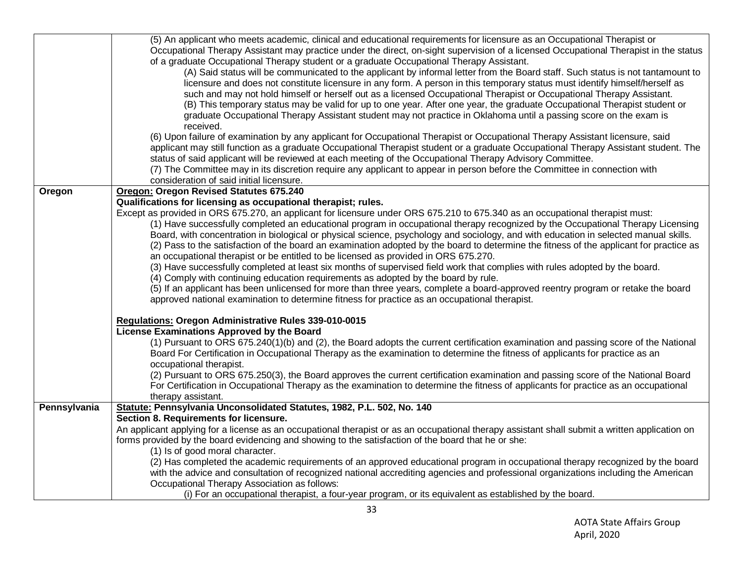|              | (5) An applicant who meets academic, clinical and educational requirements for licensure as an Occupational Therapist or                       |
|--------------|------------------------------------------------------------------------------------------------------------------------------------------------|
|              | Occupational Therapy Assistant may practice under the direct, on-sight supervision of a licensed Occupational Therapist in the status          |
|              | of a graduate Occupational Therapy student or a graduate Occupational Therapy Assistant.                                                       |
|              | (A) Said status will be communicated to the applicant by informal letter from the Board staff. Such status is not tantamount to                |
|              | licensure and does not constitute licensure in any form. A person in this temporary status must identify himself/herself as                    |
|              | such and may not hold himself or herself out as a licensed Occupational Therapist or Occupational Therapy Assistant.                           |
|              | (B) This temporary status may be valid for up to one year. After one year, the graduate Occupational Therapist student or                      |
|              | graduate Occupational Therapy Assistant student may not practice in Oklahoma until a passing score on the exam is                              |
|              |                                                                                                                                                |
|              | received.                                                                                                                                      |
|              | (6) Upon failure of examination by any applicant for Occupational Therapist or Occupational Therapy Assistant licensure, said                  |
|              | applicant may still function as a graduate Occupational Therapist student or a graduate Occupational Therapy Assistant student. The            |
|              | status of said applicant will be reviewed at each meeting of the Occupational Therapy Advisory Committee.                                      |
|              | (7) The Committee may in its discretion require any applicant to appear in person before the Committee in connection with                      |
|              | consideration of said initial licensure.                                                                                                       |
| Oregon       | <b>Oregon: Oregon Revised Statutes 675.240</b>                                                                                                 |
|              | Qualifications for licensing as occupational therapist; rules.                                                                                 |
|              | Except as provided in ORS 675.270, an applicant for licensure under ORS 675.210 to 675.340 as an occupational therapist must:                  |
|              | (1) Have successfully completed an educational program in occupational therapy recognized by the Occupational Therapy Licensing                |
|              | Board, with concentration in biological or physical science, psychology and sociology, and with education in selected manual skills.           |
|              | (2) Pass to the satisfaction of the board an examination adopted by the board to determine the fitness of the applicant for practice as        |
|              | an occupational therapist or be entitled to be licensed as provided in ORS 675.270.                                                            |
|              | (3) Have successfully completed at least six months of supervised field work that complies with rules adopted by the board.                    |
|              | (4) Comply with continuing education requirements as adopted by the board by rule.                                                             |
|              | (5) If an applicant has been unlicensed for more than three years, complete a board-approved reentry program or retake the board               |
|              | approved national examination to determine fitness for practice as an occupational therapist.                                                  |
|              |                                                                                                                                                |
|              | Regulations: Oregon Administrative Rules 339-010-0015<br>License Examinations Approved by the Board                                            |
|              |                                                                                                                                                |
|              | (1) Pursuant to ORS 675.240(1)(b) and (2), the Board adopts the current certification examination and passing score of the National            |
|              | Board For Certification in Occupational Therapy as the examination to determine the fitness of applicants for practice as an                   |
|              | occupational therapist.                                                                                                                        |
|              | (2) Pursuant to ORS 675.250(3), the Board approves the current certification examination and passing score of the National Board               |
|              | For Certification in Occupational Therapy as the examination to determine the fitness of applicants for practice as an occupational            |
|              | therapy assistant.                                                                                                                             |
| Pennsylvania | Statute: Pennsylvania Unconsolidated Statutes, 1982, P.L. 502, No. 140                                                                         |
|              | Section 8. Requirements for licensure.                                                                                                         |
|              | An applicant applying for a license as an occupational therapist or as an occupational therapy assistant shall submit a written application on |
|              | forms provided by the board evidencing and showing to the satisfaction of the board that he or she:                                            |
|              | (1) Is of good moral character.                                                                                                                |
|              | (2) Has completed the academic requirements of an approved educational program in occupational therapy recognized by the board                 |
|              | with the advice and consultation of recognized national accrediting agencies and professional organizations including the American             |
|              | Occupational Therapy Association as follows:                                                                                                   |
|              | (i) For an occupational therapist, a four-year program, or its equivalent as established by the board.                                         |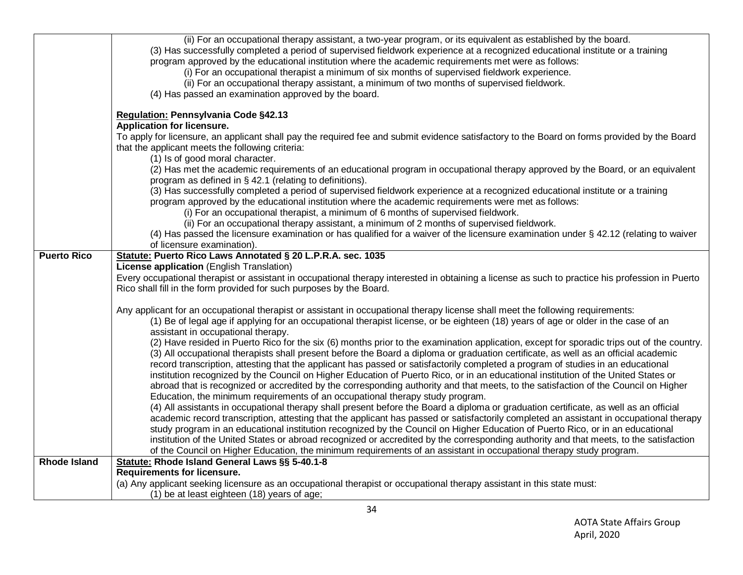|                     | (ii) For an occupational therapy assistant, a two-year program, or its equivalent as established by the board.<br>(3) Has successfully completed a period of supervised fieldwork experience at a recognized educational institute or a training<br>program approved by the educational institution where the academic requirements met were as follows:<br>(i) For an occupational therapist a minimum of six months of supervised fieldwork experience.<br>(ii) For an occupational therapy assistant, a minimum of two months of supervised fieldwork.<br>(4) Has passed an examination approved by the board. |
|---------------------|-------------------------------------------------------------------------------------------------------------------------------------------------------------------------------------------------------------------------------------------------------------------------------------------------------------------------------------------------------------------------------------------------------------------------------------------------------------------------------------------------------------------------------------------------------------------------------------------------------------------|
|                     | Regulation: Pennsylvania Code §42.13                                                                                                                                                                                                                                                                                                                                                                                                                                                                                                                                                                              |
|                     | Application for licensure.                                                                                                                                                                                                                                                                                                                                                                                                                                                                                                                                                                                        |
|                     | To apply for licensure, an applicant shall pay the required fee and submit evidence satisfactory to the Board on forms provided by the Board<br>that the applicant meets the following criteria:                                                                                                                                                                                                                                                                                                                                                                                                                  |
|                     | (1) Is of good moral character.                                                                                                                                                                                                                                                                                                                                                                                                                                                                                                                                                                                   |
|                     | (2) Has met the academic requirements of an educational program in occupational therapy approved by the Board, or an equivalent<br>program as defined in § 42.1 (relating to definitions).                                                                                                                                                                                                                                                                                                                                                                                                                        |
|                     | (3) Has successfully completed a period of supervised fieldwork experience at a recognized educational institute or a training<br>program approved by the educational institution where the academic requirements were met as follows:                                                                                                                                                                                                                                                                                                                                                                            |
|                     | (i) For an occupational therapist, a minimum of 6 months of supervised fieldwork.                                                                                                                                                                                                                                                                                                                                                                                                                                                                                                                                 |
|                     | (ii) For an occupational therapy assistant, a minimum of 2 months of supervised fieldwork.                                                                                                                                                                                                                                                                                                                                                                                                                                                                                                                        |
|                     | (4) Has passed the licensure examination or has qualified for a waiver of the licensure examination under § 42.12 (relating to waiver                                                                                                                                                                                                                                                                                                                                                                                                                                                                             |
|                     | of licensure examination).                                                                                                                                                                                                                                                                                                                                                                                                                                                                                                                                                                                        |
| <b>Puerto Rico</b>  | Statute: Puerto Rico Laws Annotated § 20 L.P.R.A. sec. 1035                                                                                                                                                                                                                                                                                                                                                                                                                                                                                                                                                       |
|                     | License application (English Translation)                                                                                                                                                                                                                                                                                                                                                                                                                                                                                                                                                                         |
|                     | Every occupational therapist or assistant in occupational therapy interested in obtaining a license as such to practice his profession in Puerto<br>Rico shall fill in the form provided for such purposes by the Board.                                                                                                                                                                                                                                                                                                                                                                                          |
|                     | Any applicant for an occupational therapist or assistant in occupational therapy license shall meet the following requirements:<br>(1) Be of legal age if applying for an occupational therapist license, or be eighteen (18) years of age or older in the case of an<br>assistant in occupational therapy.                                                                                                                                                                                                                                                                                                       |
|                     | (2) Have resided in Puerto Rico for the six (6) months prior to the examination application, except for sporadic trips out of the country.<br>(3) All occupational therapists shall present before the Board a diploma or graduation certificate, as well as an official academic<br>record transcription, attesting that the applicant has passed or satisfactorily completed a program of studies in an educational<br>institution recognized by the Council on Higher Education of Puerto Rico, or in an educational institution of the United States or                                                       |
|                     | abroad that is recognized or accredited by the corresponding authority and that meets, to the satisfaction of the Council on Higher<br>Education, the minimum requirements of an occupational therapy study program.                                                                                                                                                                                                                                                                                                                                                                                              |
|                     | (4) All assistants in occupational therapy shall present before the Board a diploma or graduation certificate, as well as an official                                                                                                                                                                                                                                                                                                                                                                                                                                                                             |
|                     | academic record transcription, attesting that the applicant has passed or satisfactorily completed an assistant in occupational therapy                                                                                                                                                                                                                                                                                                                                                                                                                                                                           |
|                     | study program in an educational institution recognized by the Council on Higher Education of Puerto Rico, or in an educational                                                                                                                                                                                                                                                                                                                                                                                                                                                                                    |
|                     | institution of the United States or abroad recognized or accredited by the corresponding authority and that meets, to the satisfaction                                                                                                                                                                                                                                                                                                                                                                                                                                                                            |
|                     | of the Council on Higher Education, the minimum requirements of an assistant in occupational therapy study program.                                                                                                                                                                                                                                                                                                                                                                                                                                                                                               |
| <b>Rhode Island</b> | Statute: Rhode Island General Laws §§ 5-40.1-8                                                                                                                                                                                                                                                                                                                                                                                                                                                                                                                                                                    |
|                     | <b>Requirements for licensure.</b><br>(a) Any applicant seeking licensure as an occupational therapist or occupational therapy assistant in this state must:                                                                                                                                                                                                                                                                                                                                                                                                                                                      |
|                     | (1) be at least eighteen (18) years of age;                                                                                                                                                                                                                                                                                                                                                                                                                                                                                                                                                                       |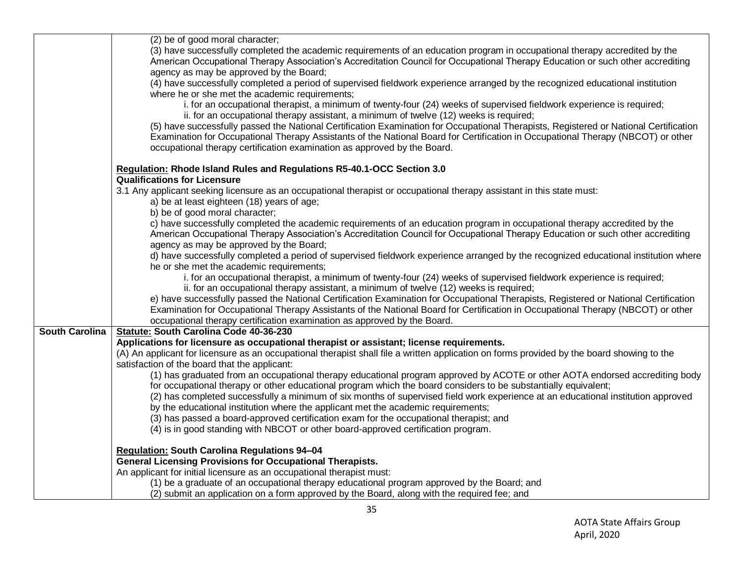| (2) be of good moral character;                                                                                                            |
|--------------------------------------------------------------------------------------------------------------------------------------------|
| (3) have successfully completed the academic requirements of an education program in occupational therapy accredited by the                |
| American Occupational Therapy Association's Accreditation Council for Occupational Therapy Education or such other accrediting             |
| agency as may be approved by the Board;                                                                                                    |
| (4) have successfully completed a period of supervised fieldwork experience arranged by the recognized educational institution             |
| where he or she met the academic requirements;                                                                                             |
| i. for an occupational therapist, a minimum of twenty-four (24) weeks of supervised fieldwork experience is required;                      |
| ii. for an occupational therapy assistant, a minimum of twelve (12) weeks is required;                                                     |
| (5) have successfully passed the National Certification Examination for Occupational Therapists, Registered or National Certification      |
| Examination for Occupational Therapy Assistants of the National Board for Certification in Occupational Therapy (NBCOT) or other           |
|                                                                                                                                            |
| occupational therapy certification examination as approved by the Board.                                                                   |
| Regulation: Rhode Island Rules and Regulations R5-40.1-OCC Section 3.0                                                                     |
| <b>Qualifications for Licensure</b>                                                                                                        |
| 3.1 Any applicant seeking licensure as an occupational therapist or occupational therapy assistant in this state must:                     |
| a) be at least eighteen (18) years of age;                                                                                                 |
| b) be of good moral character;                                                                                                             |
| c) have successfully completed the academic requirements of an education program in occupational therapy accredited by the                 |
| American Occupational Therapy Association's Accreditation Council for Occupational Therapy Education or such other accrediting             |
| agency as may be approved by the Board;                                                                                                    |
| d) have successfully completed a period of supervised fieldwork experience arranged by the recognized educational institution where        |
| he or she met the academic requirements;                                                                                                   |
| i. for an occupational therapist, a minimum of twenty-four (24) weeks of supervised fieldwork experience is required;                      |
| ii. for an occupational therapy assistant, a minimum of twelve (12) weeks is required;                                                     |
| e) have successfully passed the National Certification Examination for Occupational Therapists, Registered or National Certification       |
| Examination for Occupational Therapy Assistants of the National Board for Certification in Occupational Therapy (NBCOT) or other           |
| occupational therapy certification examination as approved by the Board.                                                                   |
| <b>South Carolina</b><br>Statute: South Carolina Code 40-36-230                                                                            |
| Applications for licensure as occupational therapist or assistant; license requirements.                                                   |
| (A) An applicant for licensure as an occupational therapist shall file a written application on forms provided by the board showing to the |
| satisfaction of the board that the applicant:                                                                                              |
| (1) has graduated from an occupational therapy educational program approved by ACOTE or other AOTA endorsed accrediting body               |
| for occupational therapy or other educational program which the board considers to be substantially equivalent;                            |
| (2) has completed successfully a minimum of six months of supervised field work experience at an educational institution approved          |
| by the educational institution where the applicant met the academic requirements;                                                          |
| (3) has passed a board-approved certification exam for the occupational therapist; and                                                     |
| (4) is in good standing with NBCOT or other board-approved certification program.                                                          |
|                                                                                                                                            |
| <b>Regulation: South Carolina Regulations 94-04</b>                                                                                        |
| <b>General Licensing Provisions for Occupational Therapists.</b>                                                                           |
| An applicant for initial licensure as an occupational therapist must:                                                                      |
| (1) be a graduate of an occupational therapy educational program approved by the Board; and                                                |
| (2) submit an application on a form approved by the Board, along with the required fee; and                                                |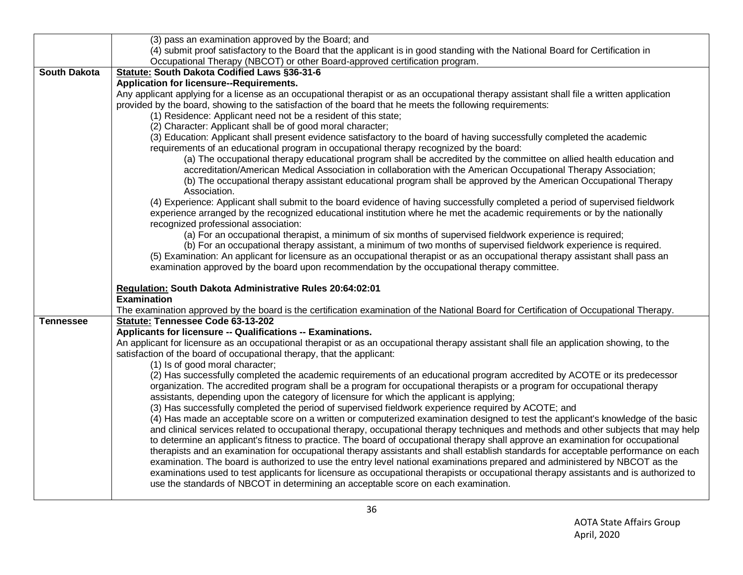|                     | (3) pass an examination approved by the Board; and                                                                                                                                                                                                                                                  |
|---------------------|-----------------------------------------------------------------------------------------------------------------------------------------------------------------------------------------------------------------------------------------------------------------------------------------------------|
|                     | (4) submit proof satisfactory to the Board that the applicant is in good standing with the National Board for Certification in                                                                                                                                                                      |
|                     | Occupational Therapy (NBCOT) or other Board-approved certification program.                                                                                                                                                                                                                         |
| <b>South Dakota</b> | Statute: South Dakota Codified Laws §36-31-6                                                                                                                                                                                                                                                        |
|                     | <b>Application for licensure--Requirements.</b>                                                                                                                                                                                                                                                     |
|                     | Any applicant applying for a license as an occupational therapist or as an occupational therapy assistant shall file a written application<br>provided by the board, showing to the satisfaction of the board that he meets the following requirements:                                             |
|                     | (1) Residence: Applicant need not be a resident of this state;                                                                                                                                                                                                                                      |
|                     | (2) Character: Applicant shall be of good moral character;                                                                                                                                                                                                                                          |
|                     | (3) Education: Applicant shall present evidence satisfactory to the board of having successfully completed the academic<br>requirements of an educational program in occupational therapy recognized by the board:                                                                                  |
|                     | (a) The occupational therapy educational program shall be accredited by the committee on allied health education and                                                                                                                                                                                |
|                     | accreditation/American Medical Association in collaboration with the American Occupational Therapy Association;<br>(b) The occupational therapy assistant educational program shall be approved by the American Occupational Therapy                                                                |
|                     | Association.                                                                                                                                                                                                                                                                                        |
|                     | (4) Experience: Applicant shall submit to the board evidence of having successfully completed a period of supervised fieldwork<br>experience arranged by the recognized educational institution where he met the academic requirements or by the nationally<br>recognized professional association: |
|                     | (a) For an occupational therapist, a minimum of six months of supervised fieldwork experience is required;                                                                                                                                                                                          |
|                     | (b) For an occupational therapy assistant, a minimum of two months of supervised fieldwork experience is required.                                                                                                                                                                                  |
|                     | (5) Examination: An applicant for licensure as an occupational therapist or as an occupational therapy assistant shall pass an                                                                                                                                                                      |
|                     | examination approved by the board upon recommendation by the occupational therapy committee.                                                                                                                                                                                                        |
|                     | Regulation: South Dakota Administrative Rules 20:64:02:01                                                                                                                                                                                                                                           |
|                     | <b>Examination</b>                                                                                                                                                                                                                                                                                  |
|                     | The examination approved by the board is the certification examination of the National Board for Certification of Occupational Therapy.                                                                                                                                                             |
| <b>Tennessee</b>    | Statute: Tennessee Code 63-13-202                                                                                                                                                                                                                                                                   |
|                     | Applicants for licensure -- Qualifications -- Examinations.                                                                                                                                                                                                                                         |
|                     | An applicant for licensure as an occupational therapist or as an occupational therapy assistant shall file an application showing, to the                                                                                                                                                           |
|                     | satisfaction of the board of occupational therapy, that the applicant:                                                                                                                                                                                                                              |
|                     | (1) Is of good moral character;                                                                                                                                                                                                                                                                     |
|                     | (2) Has successfully completed the academic requirements of an educational program accredited by ACOTE or its predecessor<br>organization. The accredited program shall be a program for occupational therapists or a program for occupational therapy                                              |
|                     | assistants, depending upon the category of licensure for which the applicant is applying;                                                                                                                                                                                                           |
|                     | (3) Has successfully completed the period of supervised fieldwork experience required by ACOTE; and                                                                                                                                                                                                 |
|                     | (4) Has made an acceptable score on a written or computerized examination designed to test the applicant's knowledge of the basic                                                                                                                                                                   |
|                     | and clinical services related to occupational therapy, occupational therapy techniques and methods and other subjects that may help                                                                                                                                                                 |
|                     | to determine an applicant's fitness to practice. The board of occupational therapy shall approve an examination for occupational                                                                                                                                                                    |
|                     | therapists and an examination for occupational therapy assistants and shall establish standards for acceptable performance on each                                                                                                                                                                  |
|                     | examination. The board is authorized to use the entry level national examinations prepared and administered by NBCOT as the<br>examinations used to test applicants for licensure as occupational therapists or occupational therapy assistants and is authorized to                                |
|                     | use the standards of NBCOT in determining an acceptable score on each examination.                                                                                                                                                                                                                  |
|                     |                                                                                                                                                                                                                                                                                                     |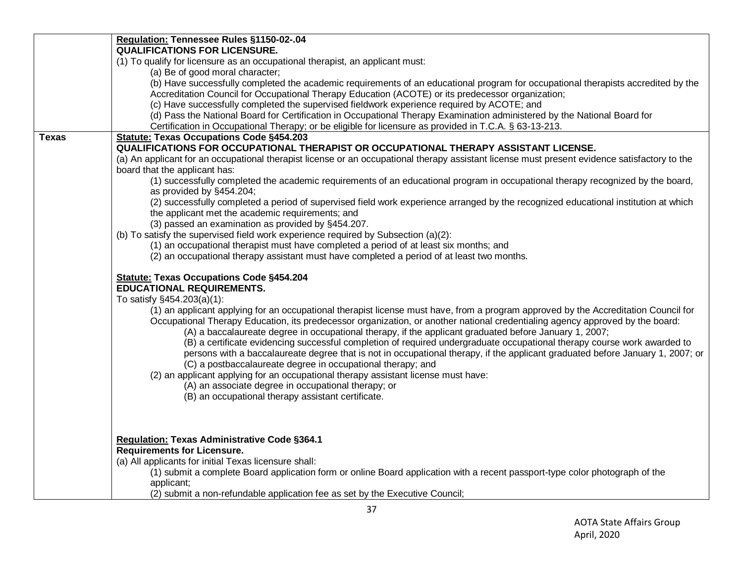|       | Regulation: Tennessee Rules §1150-02-.04<br><b>QUALIFICATIONS FOR LICENSURE.</b>                                                                                                                                                                                     |
|-------|----------------------------------------------------------------------------------------------------------------------------------------------------------------------------------------------------------------------------------------------------------------------|
|       | (1) To qualify for licensure as an occupational therapist, an applicant must:                                                                                                                                                                                        |
|       | (a) Be of good moral character;                                                                                                                                                                                                                                      |
|       | (b) Have successfully completed the academic requirements of an educational program for occupational therapists accredited by the                                                                                                                                    |
|       | Accreditation Council for Occupational Therapy Education (ACOTE) or its predecessor organization;                                                                                                                                                                    |
|       | (c) Have successfully completed the supervised fieldwork experience required by ACOTE; and                                                                                                                                                                           |
|       | (d) Pass the National Board for Certification in Occupational Therapy Examination administered by the National Board for                                                                                                                                             |
|       | Certification in Occupational Therapy; or be eligible for licensure as provided in T.C.A. § 63-13-213.                                                                                                                                                               |
| Texas | <b>Statute: Texas Occupations Code §454.203</b>                                                                                                                                                                                                                      |
|       | QUALIFICATIONS FOR OCCUPATIONAL THERAPIST OR OCCUPATIONAL THERAPY ASSISTANT LICENSE.                                                                                                                                                                                 |
|       | (a) An applicant for an occupational therapist license or an occupational therapy assistant license must present evidence satisfactory to the                                                                                                                        |
|       | board that the applicant has:<br>(1) successfully completed the academic requirements of an educational program in occupational therapy recognized by the board,                                                                                                     |
|       | as provided by §454.204;                                                                                                                                                                                                                                             |
|       | (2) successfully completed a period of supervised field work experience arranged by the recognized educational institution at which                                                                                                                                  |
|       | the applicant met the academic requirements; and                                                                                                                                                                                                                     |
|       | (3) passed an examination as provided by §454.207.                                                                                                                                                                                                                   |
|       | (b) To satisfy the supervised field work experience required by Subsection (a)(2):                                                                                                                                                                                   |
|       | (1) an occupational therapist must have completed a period of at least six months; and                                                                                                                                                                               |
|       | (2) an occupational therapy assistant must have completed a period of at least two months.                                                                                                                                                                           |
|       |                                                                                                                                                                                                                                                                      |
|       | <b>Statute: Texas Occupations Code §454.204</b>                                                                                                                                                                                                                      |
|       | <b>EDUCATIONAL REQUIREMENTS.</b>                                                                                                                                                                                                                                     |
|       | To satisfy §454.203(a)(1):                                                                                                                                                                                                                                           |
|       | (1) an applicant applying for an occupational therapist license must have, from a program approved by the Accreditation Council for<br>Occupational Therapy Education, its predecessor organization, or another national credentialing agency approved by the board: |
|       | (A) a baccalaureate degree in occupational therapy, if the applicant graduated before January 1, 2007;                                                                                                                                                               |
|       | (B) a certificate evidencing successful completion of required undergraduate occupational therapy course work awarded to                                                                                                                                             |
|       | persons with a baccalaureate degree that is not in occupational therapy, if the applicant graduated before January 1, 2007; or                                                                                                                                       |
|       | (C) a postbaccalaureate degree in occupational therapy; and                                                                                                                                                                                                          |
|       | (2) an applicant applying for an occupational therapy assistant license must have:                                                                                                                                                                                   |
|       | (A) an associate degree in occupational therapy; or                                                                                                                                                                                                                  |
|       | (B) an occupational therapy assistant certificate.                                                                                                                                                                                                                   |
|       |                                                                                                                                                                                                                                                                      |
|       |                                                                                                                                                                                                                                                                      |
|       |                                                                                                                                                                                                                                                                      |
|       | Regulation: Texas Administrative Code §364.1                                                                                                                                                                                                                         |
|       | <b>Requirements for Licensure.</b><br>(a) All applicants for initial Texas licensure shall:                                                                                                                                                                          |
|       | (1) submit a complete Board application form or online Board application with a recent passport-type color photograph of the                                                                                                                                         |
|       | applicant;                                                                                                                                                                                                                                                           |
|       | (2) submit a non-refundable application fee as set by the Executive Council;                                                                                                                                                                                         |
|       |                                                                                                                                                                                                                                                                      |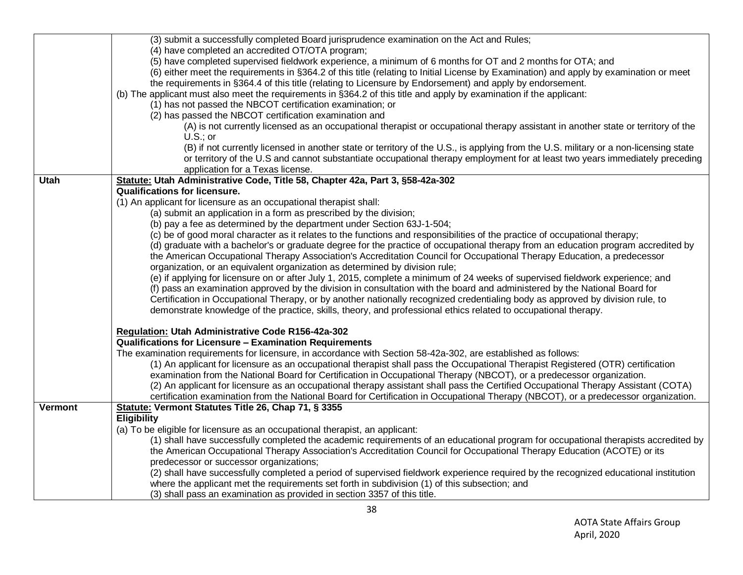|                | (3) submit a successfully completed Board jurisprudence examination on the Act and Rules;                                              |
|----------------|----------------------------------------------------------------------------------------------------------------------------------------|
|                | (4) have completed an accredited OT/OTA program;                                                                                       |
|                | (5) have completed supervised fieldwork experience, a minimum of 6 months for OT and 2 months for OTA; and                             |
|                | (6) either meet the requirements in §364.2 of this title (relating to Initial License by Examination) and apply by examination or meet |
|                | the requirements in §364.4 of this title (relating to Licensure by Endorsement) and apply by endorsement.                              |
|                | (b) The applicant must also meet the requirements in §364.2 of this title and apply by examination if the applicant:                   |
|                | (1) has not passed the NBCOT certification examination; or                                                                             |
|                | (2) has passed the NBCOT certification examination and                                                                                 |
|                | (A) is not currently licensed as an occupational therapist or occupational therapy assistant in another state or territory of the      |
|                | $U.S.:$ or                                                                                                                             |
|                | (B) if not currently licensed in another state or territory of the U.S., is applying from the U.S. military or a non-licensing state   |
|                | or territory of the U.S and cannot substantiate occupational therapy employment for at least two years immediately preceding           |
|                | application for a Texas license.                                                                                                       |
| <b>Utah</b>    | Statute: Utah Administrative Code, Title 58, Chapter 42a, Part 3, §58-42a-302                                                          |
|                | <b>Qualifications for licensure.</b>                                                                                                   |
|                | (1) An applicant for licensure as an occupational therapist shall:                                                                     |
|                | (a) submit an application in a form as prescribed by the division;                                                                     |
|                | (b) pay a fee as determined by the department under Section 63J-1-504;                                                                 |
|                | (c) be of good moral character as it relates to the functions and responsibilities of the practice of occupational therapy;            |
|                | (d) graduate with a bachelor's or graduate degree for the practice of occupational therapy from an education program accredited by     |
|                | the American Occupational Therapy Association's Accreditation Council for Occupational Therapy Education, a predecessor                |
|                | organization, or an equivalent organization as determined by division rule;                                                            |
|                | (e) if applying for licensure on or after July 1, 2015, complete a minimum of 24 weeks of supervised fieldwork experience; and         |
|                | (f) pass an examination approved by the division in consultation with the board and administered by the National Board for             |
|                | Certification in Occupational Therapy, or by another nationally recognized credentialing body as approved by division rule, to         |
|                | demonstrate knowledge of the practice, skills, theory, and professional ethics related to occupational therapy.                        |
|                |                                                                                                                                        |
|                | Regulation: Utah Administrative Code R156-42a-302                                                                                      |
|                | Qualifications for Licensure - Examination Requirements                                                                                |
|                | The examination requirements for licensure, in accordance with Section 58-42a-302, are established as follows:                         |
|                | (1) An applicant for licensure as an occupational therapist shall pass the Occupational Therapist Registered (OTR) certification       |
|                | examination from the National Board for Certification in Occupational Therapy (NBCOT), or a predecessor organization.                  |
|                | (2) An applicant for licensure as an occupational therapy assistant shall pass the Certified Occupational Therapy Assistant (COTA)     |
|                | certification examination from the National Board for Certification in Occupational Therapy (NBCOT), or a predecessor organization.    |
| <b>Vermont</b> | Statute: Vermont Statutes Title 26, Chap 71, § 3355                                                                                    |
|                | <b>Eligibility</b>                                                                                                                     |
|                | (a) To be eligible for licensure as an occupational therapist, an applicant:                                                           |
|                | (1) shall have successfully completed the academic requirements of an educational program for occupational therapists accredited by    |
|                | the American Occupational Therapy Association's Accreditation Council for Occupational Therapy Education (ACOTE) or its                |
|                | predecessor or successor organizations;                                                                                                |
|                | (2) shall have successfully completed a period of supervised fieldwork experience required by the recognized educational institution   |
|                | where the applicant met the requirements set forth in subdivision (1) of this subsection; and                                          |
|                | (3) shall pass an examination as provided in section 3357 of this title.                                                               |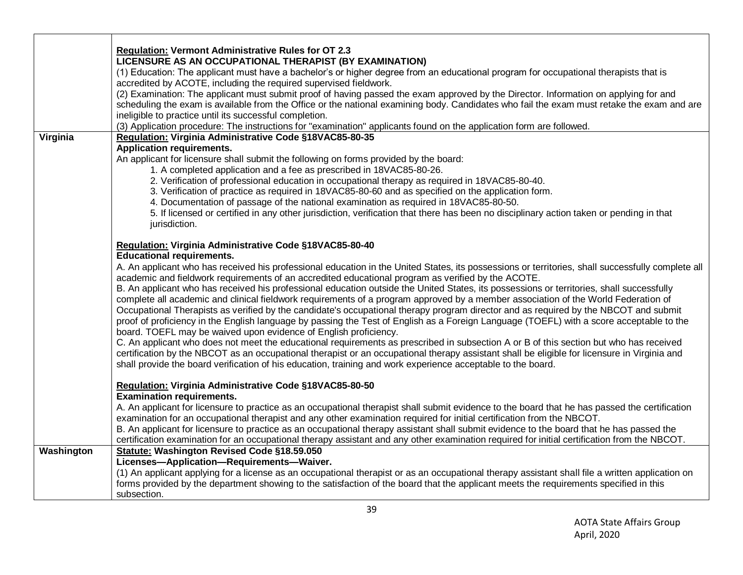|            | <b>Regulation: Vermont Administrative Rules for OT 2.3</b>                                                                                        |
|------------|---------------------------------------------------------------------------------------------------------------------------------------------------|
|            | LICENSURE AS AN OCCUPATIONAL THERAPIST (BY EXAMINATION)                                                                                           |
|            | (1) Education: The applicant must have a bachelor's or higher degree from an educational program for occupational therapists that is              |
|            | accredited by ACOTE, including the required supervised fieldwork.                                                                                 |
|            | (2) Examination: The applicant must submit proof of having passed the exam approved by the Director. Information on applying for and              |
|            | scheduling the exam is available from the Office or the national examining body. Candidates who fail the exam must retake the exam and are        |
|            | ineligible to practice until its successful completion.                                                                                           |
|            | (3) Application procedure: The instructions for "examination" applicants found on the application form are followed.                              |
| Virginia   | Regulation: Virginia Administrative Code §18VAC85-80-35                                                                                           |
|            | <b>Application requirements.</b>                                                                                                                  |
|            | An applicant for licensure shall submit the following on forms provided by the board:                                                             |
|            | 1. A completed application and a fee as prescribed in 18VAC85-80-26.                                                                              |
|            | 2. Verification of professional education in occupational therapy as required in 18VAC85-80-40.                                                   |
|            | 3. Verification of practice as required in 18VAC85-80-60 and as specified on the application form.                                                |
|            | 4. Documentation of passage of the national examination as required in 18VAC85-80-50.                                                             |
|            | 5. If licensed or certified in any other jurisdiction, verification that there has been no disciplinary action taken or pending in that           |
|            | jurisdiction.                                                                                                                                     |
|            |                                                                                                                                                   |
|            | Regulation: Virginia Administrative Code §18VAC85-80-40                                                                                           |
|            | <b>Educational requirements.</b>                                                                                                                  |
|            | A. An applicant who has received his professional education in the United States, its possessions or territories, shall successfully complete all |
|            | academic and fieldwork requirements of an accredited educational program as verified by the ACOTE.                                                |
|            | B. An applicant who has received his professional education outside the United States, its possessions or territories, shall successfully         |
|            | complete all academic and clinical fieldwork requirements of a program approved by a member association of the World Federation of                |
|            | Occupational Therapists as verified by the candidate's occupational therapy program director and as required by the NBCOT and submit              |
|            | proof of proficiency in the English language by passing the Test of English as a Foreign Language (TOEFL) with a score acceptable to the          |
|            | board. TOEFL may be waived upon evidence of English proficiency.                                                                                  |
|            | C. An applicant who does not meet the educational requirements as prescribed in subsection A or B of this section but who has received            |
|            | certification by the NBCOT as an occupational therapist or an occupational therapy assistant shall be eligible for licensure in Virginia and      |
|            | shall provide the board verification of his education, training and work experience acceptable to the board.                                      |
|            |                                                                                                                                                   |
|            | Regulation: Virginia Administrative Code §18VAC85-80-50                                                                                           |
|            | <b>Examination requirements.</b>                                                                                                                  |
|            | A. An applicant for licensure to practice as an occupational therapist shall submit evidence to the board that he has passed the certification    |
|            | examination for an occupational therapist and any other examination required for initial certification from the NBCOT.                            |
|            | B. An applicant for licensure to practice as an occupational therapy assistant shall submit evidence to the board that he has passed the          |
|            | certification examination for an occupational therapy assistant and any other examination required for initial certification from the NBCOT.      |
| Washington | Statute: Washington Revised Code §18.59.050                                                                                                       |
|            | Licenses-Application-Requirements-Waiver.                                                                                                         |
|            | (1) An applicant applying for a license as an occupational therapist or as an occupational therapy assistant shall file a written application on  |
|            | forms provided by the department showing to the satisfaction of the board that the applicant meets the requirements specified in this             |
|            | subsection.                                                                                                                                       |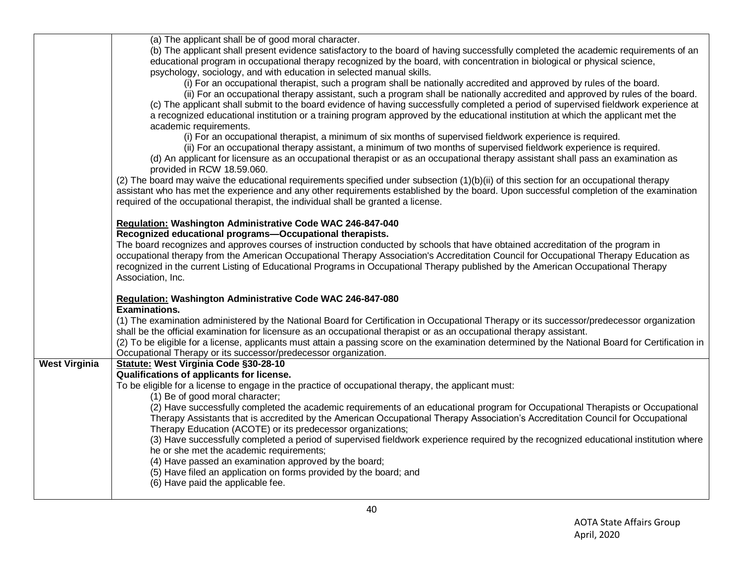|                      | (a) The applicant shall be of good moral character.                                                                                                            |
|----------------------|----------------------------------------------------------------------------------------------------------------------------------------------------------------|
|                      |                                                                                                                                                                |
|                      | (b) The applicant shall present evidence satisfactory to the board of having successfully completed the academic requirements of an                            |
|                      | educational program in occupational therapy recognized by the board, with concentration in biological or physical science,                                     |
|                      | psychology, sociology, and with education in selected manual skills.                                                                                           |
|                      | (i) For an occupational therapist, such a program shall be nationally accredited and approved by rules of the board.                                           |
|                      | (ii) For an occupational therapy assistant, such a program shall be nationally accredited and approved by rules of the board.                                  |
|                      | (c) The applicant shall submit to the board evidence of having successfully completed a period of supervised fieldwork experience at                           |
|                      | a recognized educational institution or a training program approved by the educational institution at which the applicant met the                              |
|                      | academic requirements.                                                                                                                                         |
|                      | (i) For an occupational therapist, a minimum of six months of supervised fieldwork experience is required.                                                     |
|                      | (ii) For an occupational therapy assistant, a minimum of two months of supervised fieldwork experience is required.                                            |
|                      | (d) An applicant for licensure as an occupational therapist or as an occupational therapy assistant shall pass an examination as<br>provided in RCW 18.59.060. |
|                      | (2) The board may waive the educational requirements specified under subsection (1)(b)(ii) of this section for an occupational therapy                         |
|                      | assistant who has met the experience and any other requirements established by the board. Upon successful completion of the examination                        |
|                      | required of the occupational therapist, the individual shall be granted a license.                                                                             |
|                      |                                                                                                                                                                |
|                      | Regulation: Washington Administrative Code WAC 246-847-040                                                                                                     |
|                      | Recognized educational programs-Occupational therapists.                                                                                                       |
|                      | The board recognizes and approves courses of instruction conducted by schools that have obtained accreditation of the program in                               |
|                      | occupational therapy from the American Occupational Therapy Association's Accreditation Council for Occupational Therapy Education as                          |
|                      | recognized in the current Listing of Educational Programs in Occupational Therapy published by the American Occupational Therapy                               |
|                      | Association, Inc.                                                                                                                                              |
|                      |                                                                                                                                                                |
|                      | Regulation: Washington Administrative Code WAC 246-847-080                                                                                                     |
|                      | <b>Examinations.</b>                                                                                                                                           |
|                      | (1) The examination administered by the National Board for Certification in Occupational Therapy or its successor/predecessor organization                     |
|                      | shall be the official examination for licensure as an occupational therapist or as an occupational therapy assistant.                                          |
|                      | (2) To be eligible for a license, applicants must attain a passing score on the examination determined by the National Board for Certification in              |
|                      | Occupational Therapy or its successor/predecessor organization.                                                                                                |
| <b>West Virginia</b> | Statute: West Virginia Code §30-28-10                                                                                                                          |
|                      | Qualifications of applicants for license.                                                                                                                      |
|                      | To be eligible for a license to engage in the practice of occupational therapy, the applicant must:                                                            |
|                      | (1) Be of good moral character;                                                                                                                                |
|                      | (2) Have successfully completed the academic requirements of an educational program for Occupational Therapists or Occupational                                |
|                      | Therapy Assistants that is accredited by the American Occupational Therapy Association's Accreditation Council for Occupational                                |
|                      | Therapy Education (ACOTE) or its predecessor organizations;                                                                                                    |
|                      | (3) Have successfully completed a period of supervised fieldwork experience required by the recognized educational institution where                           |
|                      | he or she met the academic requirements;                                                                                                                       |
|                      | (4) Have passed an examination approved by the board;                                                                                                          |
|                      | (5) Have filed an application on forms provided by the board; and                                                                                              |
|                      | (6) Have paid the applicable fee.                                                                                                                              |
|                      |                                                                                                                                                                |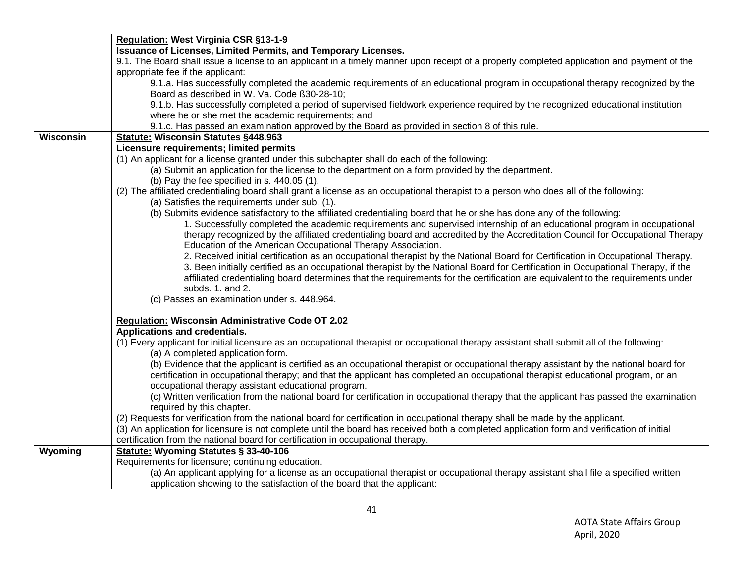|           | Regulation: West Virginia CSR §13-1-9                                                                                                       |
|-----------|---------------------------------------------------------------------------------------------------------------------------------------------|
|           | <b>Issuance of Licenses, Limited Permits, and Temporary Licenses.</b>                                                                       |
|           | 9.1. The Board shall issue a license to an applicant in a timely manner upon receipt of a properly completed application and payment of the |
|           | appropriate fee if the applicant:                                                                                                           |
|           | 9.1.a. Has successfully completed the academic requirements of an educational program in occupational therapy recognized by the             |
|           | Board as described in W. Va. Code ß30-28-10;                                                                                                |
|           | 9.1.b. Has successfully completed a period of supervised fieldwork experience required by the recognized educational institution            |
|           | where he or she met the academic requirements; and                                                                                          |
|           | 9.1.c. Has passed an examination approved by the Board as provided in section 8 of this rule.                                               |
| Wisconsin | Statute: Wisconsin Statutes §448.963                                                                                                        |
|           | Licensure requirements; limited permits                                                                                                     |
|           | (1) An applicant for a license granted under this subchapter shall do each of the following:                                                |
|           | (a) Submit an application for the license to the department on a form provided by the department.                                           |
|           | (b) Pay the fee specified in s. 440.05 (1).                                                                                                 |
|           | (2) The affiliated credentialing board shall grant a license as an occupational therapist to a person who does all of the following:        |
|           | (a) Satisfies the requirements under sub. (1).                                                                                              |
|           | (b) Submits evidence satisfactory to the affiliated credentialing board that he or she has done any of the following:                       |
|           | 1. Successfully completed the academic requirements and supervised internship of an educational program in occupational                     |
|           | therapy recognized by the affiliated credentialing board and accredited by the Accreditation Council for Occupational Therapy               |
|           | Education of the American Occupational Therapy Association.                                                                                 |
|           | 2. Received initial certification as an occupational therapist by the National Board for Certification in Occupational Therapy.             |
|           | 3. Been initially certified as an occupational therapist by the National Board for Certification in Occupational Therapy, if the            |
|           | affiliated credentialing board determines that the requirements for the certification are equivalent to the requirements under              |
|           | subds. 1. and 2.                                                                                                                            |
|           | (c) Passes an examination under s. 448.964.                                                                                                 |
|           |                                                                                                                                             |
|           | Regulation: Wisconsin Administrative Code OT 2.02                                                                                           |
|           | Applications and credentials.                                                                                                               |
|           | (1) Every applicant for initial licensure as an occupational therapist or occupational therapy assistant shall submit all of the following: |
|           | (a) A completed application form.                                                                                                           |
|           | (b) Evidence that the applicant is certified as an occupational therapist or occupational therapy assistant by the national board for       |
|           | certification in occupational therapy; and that the applicant has completed an occupational therapist educational program, or an            |
|           | occupational therapy assistant educational program.                                                                                         |
|           | (c) Written verification from the national board for certification in occupational therapy that the applicant has passed the examination    |
|           | required by this chapter.                                                                                                                   |
|           | (2) Requests for verification from the national board for certification in occupational therapy shall be made by the applicant.             |
|           | (3) An application for licensure is not complete until the board has received both a completed application form and verification of initial |
|           | certification from the national board for certification in occupational therapy.                                                            |
| Wyoming   | <b>Statute: Wyoming Statutes § 33-40-106</b>                                                                                                |
|           | Requirements for licensure; continuing education.                                                                                           |
|           | (a) An applicant applying for a license as an occupational therapist or occupational therapy assistant shall file a specified written       |
|           | application showing to the satisfaction of the board that the applicant:                                                                    |